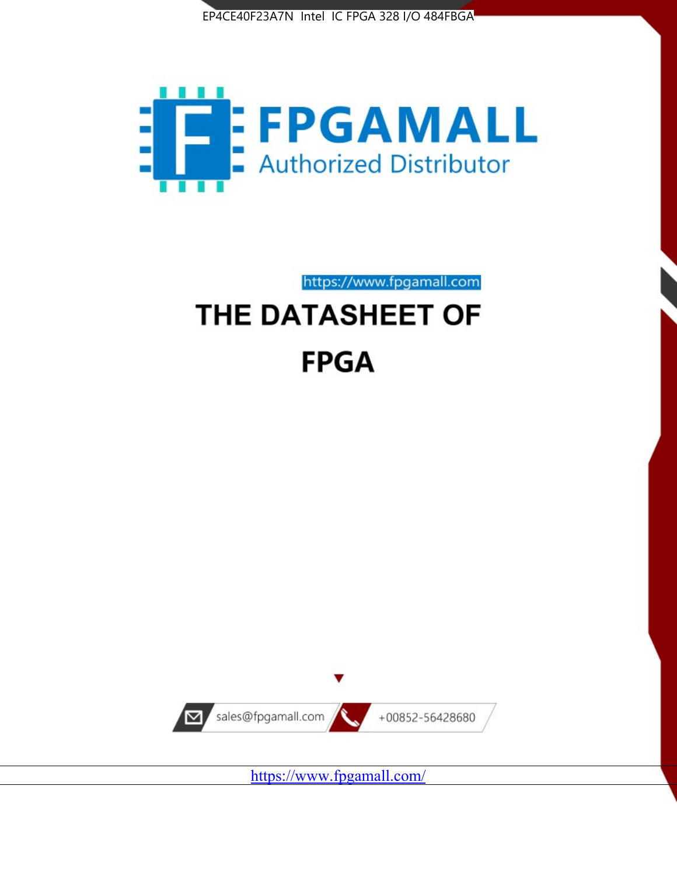



https://www.fpgamall.com

# THE DATASHEET OF **FPGA**



<https://www.fpgamall.com/>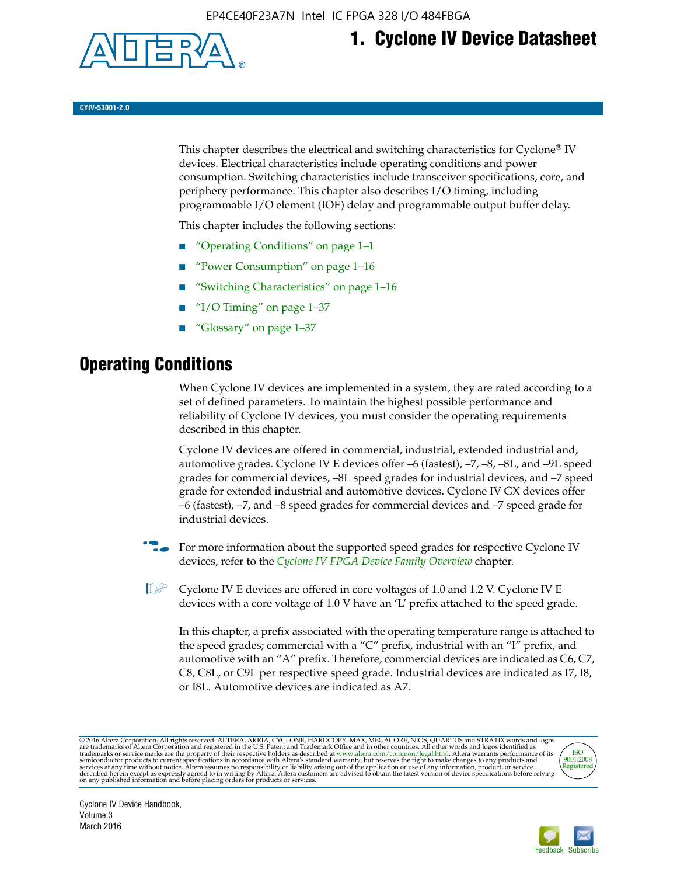

# **1. Cyclone IV Device Datasheet**

**CYIV-53001-2.0**

This chapter describes the electrical and switching characteristics for Cyclone<sup>®</sup> IV devices. Electrical characteristics include operating conditions and power consumption. Switching characteristics include transceiver specifications, core, and periphery performance. This chapter also describes I/O timing, including programmable I/O element (IOE) delay and programmable output buffer delay.

This chapter includes the following sections:

- "Operating Conditions" on page 1–1
- "Power Consumption" on page 1–16
- "Switching Characteristics" on page 1–16
- " $I/O$  Timing" on page  $1-37$
- "Glossary" on page 1–37

# **Operating Conditions**

When Cyclone IV devices are implemented in a system, they are rated according to a set of defined parameters. To maintain the highest possible performance and reliability of Cyclone IV devices, you must consider the operating requirements described in this chapter.

Cyclone IV devices are offered in commercial, industrial, extended industrial and, automotive grades. Cyclone IV E devices offer –6 (fastest), –7, –8, –8L, and –9L speed grades for commercial devices, –8L speed grades for industrial devices, and –7 speed grade for extended industrial and automotive devices. Cyclone IV GX devices offer –6 (fastest), –7, and –8 speed grades for commercial devices and –7 speed grade for industrial devices.

**For more information about the supported speed grades for respective Cyclone IV** devices, refer to the *[Cyclone IV FPGA Device Family Overview](http://www.altera.com/literature/hb/cyclone-iv/cyiv-51001.pdf)* chapter.

 $\mathbb{I} \rightarrow \mathbb{C}$  Cyclone IV E devices are offered in core voltages of 1.0 and 1.2 V. Cyclone IV E devices with a core voltage of 1.0 V have an 'L' prefix attached to the speed grade.

In this chapter, a prefix associated with the operating temperature range is attached to the speed grades; commercial with a "C" prefix, industrial with an "I" prefix, and automotive with an "A" prefix. Therefore, commercial devices are indicated as C6, C7, C8, C8L, or C9L per respective speed grade. Industrial devices are indicated as I7, I8, or I8L. Automotive devices are indicated as A7.

@2016 Altera Corporation. All rights reserved. ALTERA, ARRIA, CYCLONE, HARDCOPY, MAX, MEGACORE, NIOS, QUARTUS and STRATIX words and logos are trademarks of Altera Corporation and registered in the U.S. Patent and Trademark



Cyclone IV Device Handbook, Volume 3 March 2016

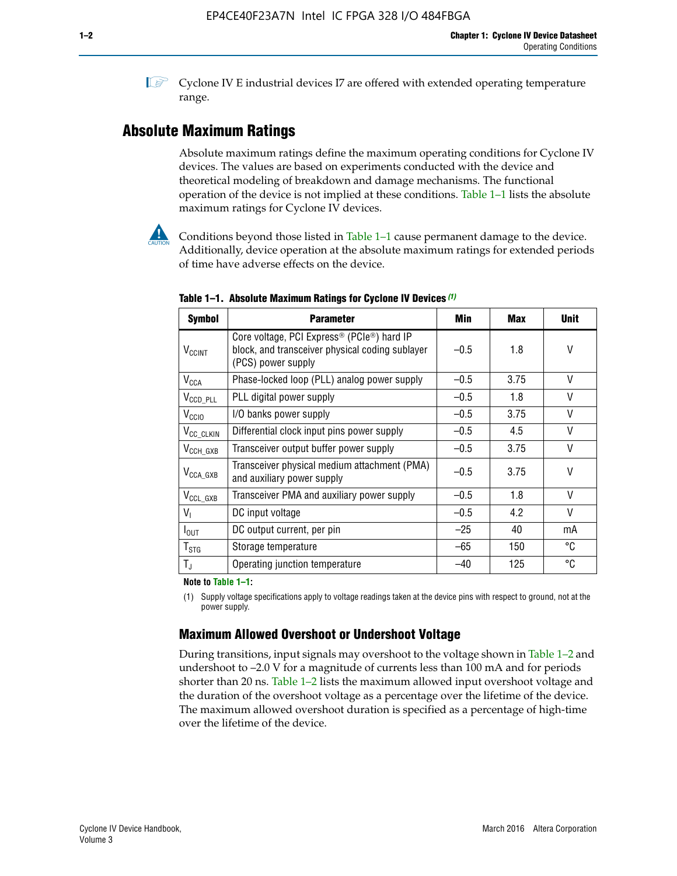$\mathbb{I}$  Cyclone IV E industrial devices I7 are offered with extended operating temperature range.

# **Absolute Maximum Ratings**

Absolute maximum ratings define the maximum operating conditions for Cyclone IV devices. The values are based on experiments conducted with the device and theoretical modeling of breakdown and damage mechanisms. The functional operation of the device is not implied at these conditions. Table 1–1 lists the absolute maximum ratings for Cyclone IV devices.



Conditions beyond those listed in Table  $1-1$  cause permanent damage to the device. Additionally, device operation at the absolute maximum ratings for extended periods of time have adverse effects on the device.

| <b>Symbol</b>            | <b>Parameter</b>                                                                                                                             | Min    | <b>Max</b> | <b>Unit</b> |
|--------------------------|----------------------------------------------------------------------------------------------------------------------------------------------|--------|------------|-------------|
| <b>V<sub>CCINT</sub></b> | Core voltage, PCI Express <sup>®</sup> (PCIe <sup>®</sup> ) hard IP<br>block, and transceiver physical coding sublayer<br>(PCS) power supply | $-0.5$ | 1.8        | V           |
| $V_{CCA}$                | Phase-locked loop (PLL) analog power supply                                                                                                  | $-0.5$ | 3.75       | V           |
| $V_{CCD\_PLL}$           | PLL digital power supply                                                                                                                     | $-0.5$ | 1.8        | V           |
| V <sub>CCIO</sub>        | I/O banks power supply                                                                                                                       | $-0.5$ | 3.75       | V           |
| V <sub>CC_CLKIN</sub>    | Differential clock input pins power supply                                                                                                   | $-0.5$ | 4.5        | V           |
| $V_{\text{CCH_GXB}}$     | Transceiver output buffer power supply                                                                                                       | $-0.5$ | 3.75       | V           |
| $V_{\text{CCA\_GXB}}$    | Transceiver physical medium attachment (PMA)<br>and auxiliary power supply                                                                   | $-0.5$ | 3.75       | V           |
| $V_{CCL_GXB}$            | Transceiver PMA and auxiliary power supply                                                                                                   | $-0.5$ | 1.8        | V           |
| $V_{1}$                  | DC input voltage                                                                                                                             | $-0.5$ | 4.2        | V           |
| $I_{\text{OUT}}$         | DC output current, per pin                                                                                                                   | $-25$  | 40         | mA          |
| $T_{\mathtt{STG}}$       | Storage temperature                                                                                                                          | -65    | 150        | °C          |
| $T_{\rm J}$              | Operating junction temperature                                                                                                               | $-40$  | 125        | °C          |

**Table 1–1. Absolute Maximum Ratings for Cyclone IV Devices** *(1)*

**Note to Table 1–1:**

(1) Supply voltage specifications apply to voltage readings taken at the device pins with respect to ground, not at the power supply.

# **Maximum Allowed Overshoot or Undershoot Voltage**

During transitions, input signals may overshoot to the voltage shown in Table 1–2 and undershoot to –2.0 V for a magnitude of currents less than 100 mA and for periods shorter than 20 ns. Table 1–2 lists the maximum allowed input overshoot voltage and the duration of the overshoot voltage as a percentage over the lifetime of the device. The maximum allowed overshoot duration is specified as a percentage of high-time over the lifetime of the device.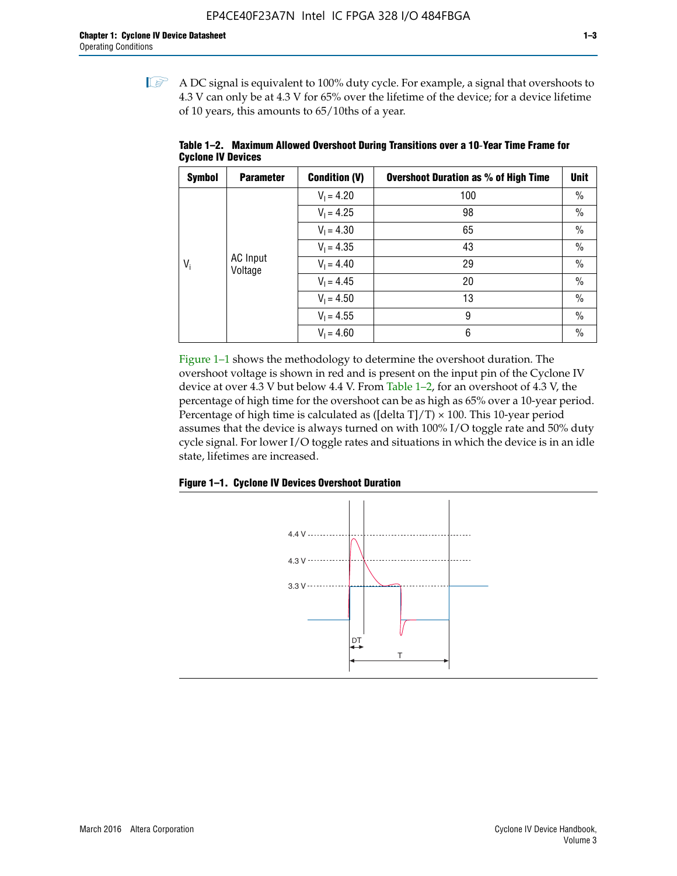$\mathbb{I}$  A DC signal is equivalent to 100% duty cycle. For example, a signal that overshoots to 4.3 V can only be at 4.3 V for 65% over the lifetime of the device; for a device lifetime of 10 years, this amounts to 65/10ths of a year.

| <b>Symbol</b> | <b>Parameter</b>           | <b>Condition (V)</b> | <b>Overshoot Duration as % of High Time</b> | <b>Unit</b>   |
|---------------|----------------------------|----------------------|---------------------------------------------|---------------|
|               |                            | $V_1 = 4.20$         | 100                                         | $\%$          |
|               |                            | $V_1 = 4.25$         | 98                                          | $\%$          |
|               |                            | $V_1 = 4.30$         | 65                                          | $\%$          |
|               |                            | $V_1 = 4.35$         | 43                                          | $\%$          |
| $V_i$         | <b>AC</b> Input<br>Voltage | $V_1 = 4.40$         | 29                                          | $\frac{0}{0}$ |
|               |                            | $V_1 = 4.45$         | 20                                          | $\%$          |
|               |                            | $V_1 = 4.50$         | 13                                          | $\%$          |
|               |                            | $V_1 = 4.55$         | 9                                           | $\frac{0}{0}$ |
|               |                            | $V_1 = 4.60$         | 6                                           | $\%$          |

**Table 1–2. Maximum Allowed Overshoot During Transitions over a 10**-**Year Time Frame for Cyclone IV Devices**

Figure 1–1 shows the methodology to determine the overshoot duration. The overshoot voltage is shown in red and is present on the input pin of the Cyclone IV device at over 4.3 V but below 4.4 V. From Table 1–2, for an overshoot of 4.3 V, the percentage of high time for the overshoot can be as high as 65% over a 10-year period. Percentage of high time is calculated as ([delta  $T$ ]/T)  $\times$  100. This 10-year period assumes that the device is always turned on with 100% I/O toggle rate and 50% duty cycle signal. For lower I/O toggle rates and situations in which the device is in an idle state, lifetimes are increased.



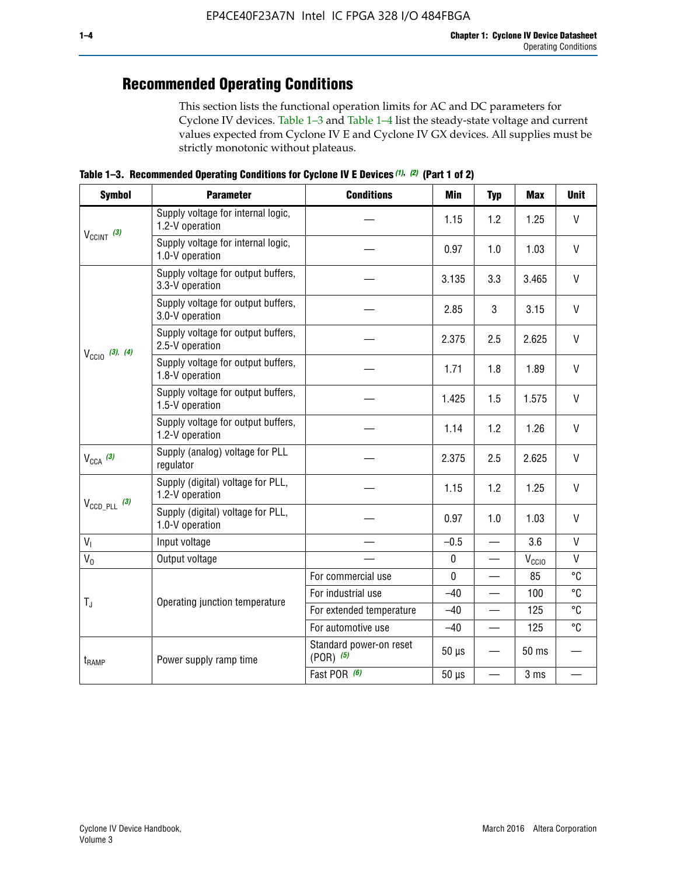# **Recommended Operating Conditions**

This section lists the functional operation limits for AC and DC parameters for Cyclone IV devices. Table 1–3 and Table 1–4 list the steady-state voltage and current values expected from Cyclone IV E and Cyclone IV GX devices. All supplies must be strictly monotonic without plateaus.

**Table 1–3. Recommended Operating Conditions for Cyclone IV E Devices** *(1)***,** *(2)* **(Part 1 of 2)**

| <b>Symbol</b>                                                                                                                                                                                                                                                                                                                                                                                                                                                                                                                                                                                                                                                                                                                                                                                                                                                                                                                                                                                                                                                                  | <b>Parameter</b>                                      | <b>Conditions</b> | <b>Min</b>                                                                                                                   | <b>Typ</b> | <b>Max</b>                                                                                                   | <b>Unit</b>  |
|--------------------------------------------------------------------------------------------------------------------------------------------------------------------------------------------------------------------------------------------------------------------------------------------------------------------------------------------------------------------------------------------------------------------------------------------------------------------------------------------------------------------------------------------------------------------------------------------------------------------------------------------------------------------------------------------------------------------------------------------------------------------------------------------------------------------------------------------------------------------------------------------------------------------------------------------------------------------------------------------------------------------------------------------------------------------------------|-------------------------------------------------------|-------------------|------------------------------------------------------------------------------------------------------------------------------|------------|--------------------------------------------------------------------------------------------------------------|--------------|
| $V_{CClNT}$ (3)<br>$V_{\text{CC10}}$ (3), (4)<br>$V_{CCA}$ (3)<br>$V_{\text{CCD\_PLL}}$ (3)<br>V <sub>1</sub><br>$V_0$<br>$T_{\rm J}$<br>$t_{\rm{RAMP}}$                                                                                                                                                                                                                                                                                                                                                                                                                                                                                                                                                                                                                                                                                                                                                                                                                                                                                                                       | Supply voltage for internal logic,<br>1.2-V operation |                   | 1.15                                                                                                                         | 1.2        | 1.25                                                                                                         | $\mathsf{V}$ |
|                                                                                                                                                                                                                                                                                                                                                                                                                                                                                                                                                                                                                                                                                                                                                                                                                                                                                                                                                                                                                                                                                | Supply voltage for internal logic,<br>1.0-V operation |                   | 0.97                                                                                                                         | 1.0        | 1.03                                                                                                         | $\mathsf{V}$ |
| Supply voltage for output buffers,<br>3.135<br>3.3<br>3.3-V operation<br>Supply voltage for output buffers,<br>3<br>2.85<br>3.0-V operation<br>Supply voltage for output buffers,<br>2.375<br>2.5<br>2.5-V operation<br>Supply voltage for output buffers,<br>1.8<br>1.71<br>1.8-V operation<br>Supply voltage for output buffers,<br>1.425<br>1.5<br>1.5-V operation<br>Supply voltage for output buffers,<br>1.2<br>1.14<br>1.2-V operation<br>Supply (analog) voltage for PLL<br>2.375<br>2.5<br>regulator<br>Supply (digital) voltage for PLL,<br>1.15<br>1.2<br>1.2-V operation<br>Supply (digital) voltage for PLL,<br>0.97<br>1.0<br>1.0-V operation<br>$-0.5$<br>Input voltage<br>$\overline{\phantom{0}}$<br>Output voltage<br>$\pmb{0}$<br>—<br>$\mathbf 0$<br>For commercial use<br>For industrial use<br>$-40$<br>Operating junction temperature<br>For extended temperature<br>$-40$<br>For automotive use<br>$-40$<br>Standard power-on reset<br>$50 \mu s$<br>$(POR)$ $(5)$<br>Power supply ramp time<br>Fast POR (6)<br>$50 \mu s$<br>$\overline{\phantom{0}}$ |                                                       |                   |                                                                                                                              |            | 3.465                                                                                                        | $\vee$       |
|                                                                                                                                                                                                                                                                                                                                                                                                                                                                                                                                                                                                                                                                                                                                                                                                                                                                                                                                                                                                                                                                                | 3.15                                                  | V                 |                                                                                                                              |            |                                                                                                              |              |
|                                                                                                                                                                                                                                                                                                                                                                                                                                                                                                                                                                                                                                                                                                                                                                                                                                                                                                                                                                                                                                                                                |                                                       |                   | 2.625<br>1.89<br>1.575<br>1.26<br>2.625<br>1.25<br>1.03<br>3.6<br>$V_{\rm CClO}$<br>85<br>100<br>125<br>125<br>50 ms<br>3 ms | $\vee$     |                                                                                                              |              |
|                                                                                                                                                                                                                                                                                                                                                                                                                                                                                                                                                                                                                                                                                                                                                                                                                                                                                                                                                                                                                                                                                |                                                       |                   |                                                                                                                              |            | V<br>$\vee$<br>$\mathsf{V}$<br>$\vee$<br>V<br>$\vee$<br>$\mathsf{V}$<br>$\mathsf{V}$<br>°C<br>°C<br>°C<br>°C |              |
|                                                                                                                                                                                                                                                                                                                                                                                                                                                                                                                                                                                                                                                                                                                                                                                                                                                                                                                                                                                                                                                                                |                                                       |                   |                                                                                                                              |            |                                                                                                              |              |
|                                                                                                                                                                                                                                                                                                                                                                                                                                                                                                                                                                                                                                                                                                                                                                                                                                                                                                                                                                                                                                                                                |                                                       |                   |                                                                                                                              |            |                                                                                                              |              |
|                                                                                                                                                                                                                                                                                                                                                                                                                                                                                                                                                                                                                                                                                                                                                                                                                                                                                                                                                                                                                                                                                |                                                       |                   |                                                                                                                              |            |                                                                                                              |              |
|                                                                                                                                                                                                                                                                                                                                                                                                                                                                                                                                                                                                                                                                                                                                                                                                                                                                                                                                                                                                                                                                                |                                                       |                   |                                                                                                                              |            |                                                                                                              |              |
|                                                                                                                                                                                                                                                                                                                                                                                                                                                                                                                                                                                                                                                                                                                                                                                                                                                                                                                                                                                                                                                                                |                                                       |                   |                                                                                                                              |            |                                                                                                              |              |
|                                                                                                                                                                                                                                                                                                                                                                                                                                                                                                                                                                                                                                                                                                                                                                                                                                                                                                                                                                                                                                                                                |                                                       |                   |                                                                                                                              |            |                                                                                                              |              |
|                                                                                                                                                                                                                                                                                                                                                                                                                                                                                                                                                                                                                                                                                                                                                                                                                                                                                                                                                                                                                                                                                |                                                       |                   |                                                                                                                              |            |                                                                                                              |              |
|                                                                                                                                                                                                                                                                                                                                                                                                                                                                                                                                                                                                                                                                                                                                                                                                                                                                                                                                                                                                                                                                                |                                                       |                   |                                                                                                                              |            |                                                                                                              |              |
|                                                                                                                                                                                                                                                                                                                                                                                                                                                                                                                                                                                                                                                                                                                                                                                                                                                                                                                                                                                                                                                                                |                                                       |                   |                                                                                                                              |            |                                                                                                              |              |
|                                                                                                                                                                                                                                                                                                                                                                                                                                                                                                                                                                                                                                                                                                                                                                                                                                                                                                                                                                                                                                                                                |                                                       |                   |                                                                                                                              |            |                                                                                                              |              |
|                                                                                                                                                                                                                                                                                                                                                                                                                                                                                                                                                                                                                                                                                                                                                                                                                                                                                                                                                                                                                                                                                |                                                       |                   |                                                                                                                              |            |                                                                                                              |              |
|                                                                                                                                                                                                                                                                                                                                                                                                                                                                                                                                                                                                                                                                                                                                                                                                                                                                                                                                                                                                                                                                                |                                                       |                   |                                                                                                                              |            |                                                                                                              |              |
|                                                                                                                                                                                                                                                                                                                                                                                                                                                                                                                                                                                                                                                                                                                                                                                                                                                                                                                                                                                                                                                                                |                                                       |                   |                                                                                                                              |            |                                                                                                              |              |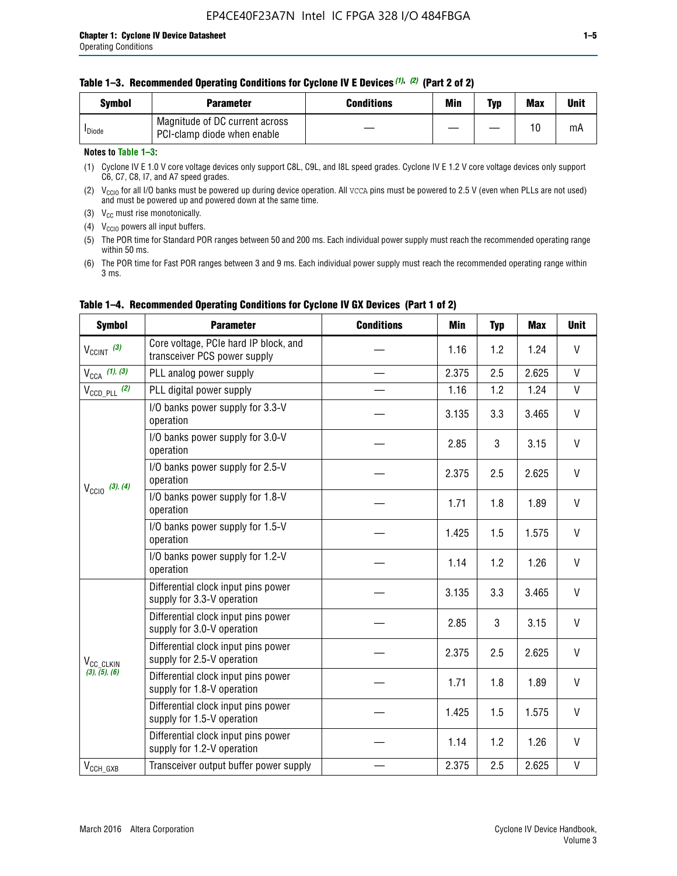| Svmbol             | <b>Parameter</b>                                              | <b>Conditions</b> | Min | Typ | <b>Max</b> | Unit |
|--------------------|---------------------------------------------------------------|-------------------|-----|-----|------------|------|
| <sup>I</sup> Diode | Magnitude of DC current across<br>PCI-clamp diode when enable |                   |     |     | 10         | mA   |

#### **Notes to Table 1–3:**

(1) Cyclone IV E 1.0 V core voltage devices only support C8L, C9L, and I8L speed grades. Cyclone IV E 1.2 V core voltage devices only support C6, C7, C8, I7, and A7 speed grades.

(2)  $V_{CCIO}$  for all I/O banks must be powered up during device operation. All vcca pins must be powered to 2.5 V (even when PLLs are not used) and must be powered up and powered down at the same time.

(3)  $V_{CC}$  must rise monotonically.

(4)  $V_{\text{CCIO}}$  powers all input buffers.

(5) The POR time for Standard POR ranges between 50 and 200 ms. Each individual power supply must reach the recommended operating range within 50 ms.

(6) The POR time for Fast POR ranges between 3 and 9 ms. Each individual power supply must reach the recommended operating range within 3 ms.

| <b>Symbol</b>                                                                                                                                                                                                                                                                                                                                                                                                                                                                                                                                                                                                                                                                                                                                                                                                                                                                                                            | <b>Parameter</b>                                                      | <b>Conditions</b> | Min          | <b>Typ</b> | <b>Max</b> | <b>Unit</b>  |
|--------------------------------------------------------------------------------------------------------------------------------------------------------------------------------------------------------------------------------------------------------------------------------------------------------------------------------------------------------------------------------------------------------------------------------------------------------------------------------------------------------------------------------------------------------------------------------------------------------------------------------------------------------------------------------------------------------------------------------------------------------------------------------------------------------------------------------------------------------------------------------------------------------------------------|-----------------------------------------------------------------------|-------------------|--------------|------------|------------|--------------|
| $V_{\text{CCINT}}$ (3)                                                                                                                                                                                                                                                                                                                                                                                                                                                                                                                                                                                                                                                                                                                                                                                                                                                                                                   | Core voltage, PCIe hard IP block, and<br>transceiver PCS power supply |                   | 1.16         | 1.2        | 1.24       | V            |
| $V_{CCA}$ (1), (3)                                                                                                                                                                                                                                                                                                                                                                                                                                                                                                                                                                                                                                                                                                                                                                                                                                                                                                       | PLL analog power supply                                               |                   | 2.375        | 2.5        | 2.625      | V            |
| $V_{\text{CCD PLL}}$ (2)                                                                                                                                                                                                                                                                                                                                                                                                                                                                                                                                                                                                                                                                                                                                                                                                                                                                                                 | PLL digital power supply                                              |                   | 1.16         | 1.2        | 1.24       | $\mathsf{V}$ |
|                                                                                                                                                                                                                                                                                                                                                                                                                                                                                                                                                                                                                                                                                                                                                                                                                                                                                                                          | I/O banks power supply for 3.3-V<br>operation                         |                   | 3.135        | 3.3        | 3.465      | V            |
| I/O banks power supply for 3.0-V<br>2.85<br>operation<br>I/O banks power supply for 2.5-V<br>2.375<br>operation<br>$V_{\text{CC10}}$ (3), (4)<br>I/O banks power supply for 1.8-V<br>1.71<br>operation<br>I/O banks power supply for 1.5-V<br>1.425<br>operation<br>I/O banks power supply for 1.2-V<br>1.14<br>operation<br>Differential clock input pins power<br>3.135<br>supply for 3.3-V operation<br>Differential clock input pins power<br>2.85<br>supply for 3.0-V operation<br>Differential clock input pins power<br>2.375<br>supply for 2.5-V operation<br>V <sub>CC</sub> CLKIN<br>(3), (5), (6)<br>Differential clock input pins power<br>1.71<br>supply for 1.8-V operation<br>Differential clock input pins power<br>1.425<br>supply for 1.5-V operation<br>Differential clock input pins power<br>1.14<br>supply for 1.2-V operation<br>2.375<br>Transceiver output buffer power supply<br>$V_{CCH_GXB}$ |                                                                       |                   |              | 3          | 3.15       | V            |
|                                                                                                                                                                                                                                                                                                                                                                                                                                                                                                                                                                                                                                                                                                                                                                                                                                                                                                                          | 2.5                                                                   | 2.625             | V            |            |            |              |
|                                                                                                                                                                                                                                                                                                                                                                                                                                                                                                                                                                                                                                                                                                                                                                                                                                                                                                                          |                                                                       |                   |              | 1.8        | 1.89       | V            |
|                                                                                                                                                                                                                                                                                                                                                                                                                                                                                                                                                                                                                                                                                                                                                                                                                                                                                                                          |                                                                       |                   |              | 1.5        | 1.575      | V            |
|                                                                                                                                                                                                                                                                                                                                                                                                                                                                                                                                                                                                                                                                                                                                                                                                                                                                                                                          |                                                                       |                   |              | 1.2        | 1.26       | $\vee$       |
| 3                                                                                                                                                                                                                                                                                                                                                                                                                                                                                                                                                                                                                                                                                                                                                                                                                                                                                                                        |                                                                       |                   |              | 3.3        | 3.465      | V            |
|                                                                                                                                                                                                                                                                                                                                                                                                                                                                                                                                                                                                                                                                                                                                                                                                                                                                                                                          |                                                                       | 3.15              | $\mathsf{V}$ |            |            |              |
|                                                                                                                                                                                                                                                                                                                                                                                                                                                                                                                                                                                                                                                                                                                                                                                                                                                                                                                          | 2.5                                                                   | 2.625             | V            |            |            |              |
|                                                                                                                                                                                                                                                                                                                                                                                                                                                                                                                                                                                                                                                                                                                                                                                                                                                                                                                          |                                                                       |                   |              | 1.8        | 1.89       | V            |
|                                                                                                                                                                                                                                                                                                                                                                                                                                                                                                                                                                                                                                                                                                                                                                                                                                                                                                                          |                                                                       |                   |              | 1.5        | 1.575      | V            |
|                                                                                                                                                                                                                                                                                                                                                                                                                                                                                                                                                                                                                                                                                                                                                                                                                                                                                                                          |                                                                       |                   |              | 1.2        | 1.26       | V            |
|                                                                                                                                                                                                                                                                                                                                                                                                                                                                                                                                                                                                                                                                                                                                                                                                                                                                                                                          |                                                                       |                   |              | 2.5        | 2.625      | V            |

#### **Table 1–4. Recommended Operating Conditions for Cyclone IV GX Devices (Part 1 of 2)**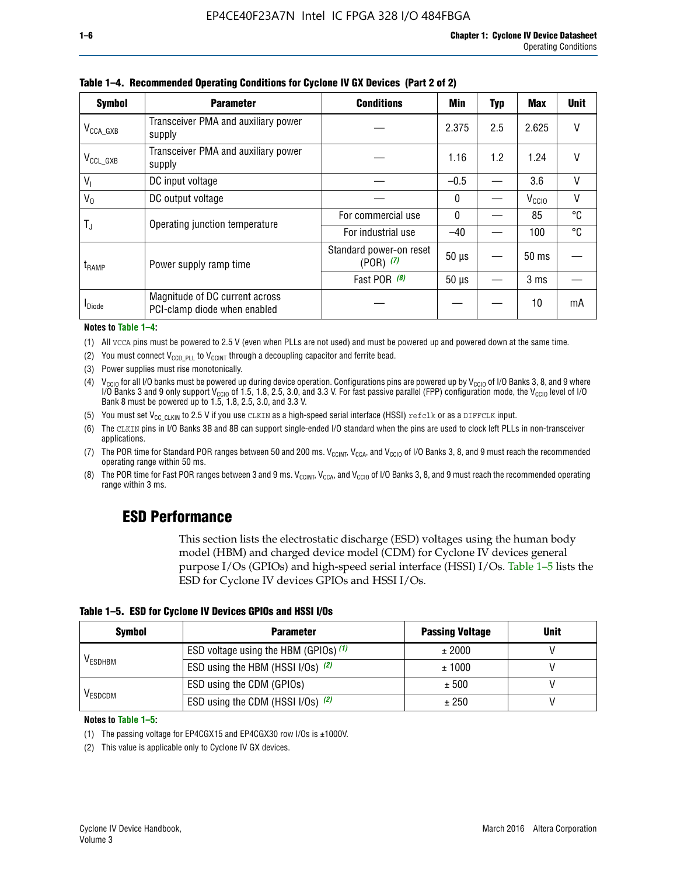| <b>Symbol</b>         | <b>Parameter</b>                                               | <b>Conditions</b>                                            | <b>Min</b>      | <b>Typ</b> | <b>Max</b>        | <b>Unit</b> |
|-----------------------|----------------------------------------------------------------|--------------------------------------------------------------|-----------------|------------|-------------------|-------------|
| $V_{\text{CCA\_GXB}}$ | Transceiver PMA and auxiliary power<br>supply                  |                                                              | 2.375           | 2.5        | 2.625             |             |
| $V_{CCL_GXB}$         | Transceiver PMA and auxiliary power<br>supply                  |                                                              | 1.16            | 1.2        | 1.24              | V           |
| $V_{1}$               | DC input voltage                                               |                                                              | $-0.5$          |            | 3.6               | $\vee$      |
| $V_0$                 | DC output voltage                                              |                                                              | 0               |            | V <sub>CCIO</sub> | V           |
|                       |                                                                | For commercial use                                           | 0               |            | 85                | °C          |
| T,                    |                                                                | For industrial use                                           | $-40$           |            | 100               | °C          |
| $t_{\rm{RAMP}}$       | Power supply ramp time                                         | Standard power-on reset<br>$(POR)$ $(7)$                     | $50 \mu s$      |            | 50 ms             |             |
|                       |                                                                | Operating junction temperature<br>Fast POR (8)<br>$50 \mu s$ | 3 <sub>ms</sub> |            |                   |             |
| <b>I</b> Diode        | Magnitude of DC current across<br>PCI-clamp diode when enabled |                                                              |                 |            | 10                | mA          |

**Table 1–4. Recommended Operating Conditions for Cyclone IV GX Devices (Part 2 of 2)**

#### **Notes to Table 1–4:**

- (1) All VCCA pins must be powered to 2.5 V (even when PLLs are not used) and must be powered up and powered down at the same time.
- (2) You must connect  $V_{CCD-PLL}$  to  $V_{CCINT}$  through a decoupling capacitor and ferrite bead.
- (3) Power supplies must rise monotonically.
- (4)  $V_{\text{CCIO}}$  for all I/O banks must be powered up during device operation. Configurations pins are powered up by V<sub>CCIO</sub> of I/O Banks 3, 8, and 9 where I/O Banks 3 and 9 only support V<sub>CCIO</sub> of 1.5, 1.8, 2.5, 3.0, and 3.3 V. For fast passive parallel (FPP) configuration mode, the V<sub>CCIO</sub> level of I/O<br>Bank 8 must be powered up to 1.5, 1.8, 2.5, 3.0, and 3.3 V.
- (5) You must set  $V_{CC_CCLKIN}$  to 2.5 V if you use CLKIN as a high-speed serial interface (HSSI) refclk or as a DIFFCLK input.
- (6) The CLKIN pins in I/O Banks 3B and 8B can support single-ended I/O standard when the pins are used to clock left PLLs in non-transceiver applications.
- (7) The POR time for Standard POR ranges between 50 and 200 ms.  $V_{\text{CCIA}}$ ,  $V_{\text{CCIA}}$ , and  $V_{\text{CCIO}}$  of I/O Banks 3, 8, and 9 must reach the recommended operating range within 50 ms.
- (8) The POR time for Fast POR ranges between 3 and 9 ms.  $V_{\text{CCH},T}$ ,  $V_{\text{CCA}}$ , and  $V_{\text{CCI}}$  of I/O Banks 3, 8, and 9 must reach the recommended operating range within 3 ms.

# **ESD Performance**

This section lists the electrostatic discharge (ESD) voltages using the human body model (HBM) and charged device model (CDM) for Cyclone IV devices general purpose I/Os (GPIOs) and high-speed serial interface (HSSI) I/Os. Table 1–5 lists the ESD for Cyclone IV devices GPIOs and HSSI I/Os.

|  |  |  | Table 1–5. ESD for Cyclone IV Devices GPIOs and HSSI I/Os |  |  |
|--|--|--|-----------------------------------------------------------|--|--|
|  |  |  |                                                           |  |  |

| <b>Symbol</b>  | <b>Parameter</b>                      | <b>Passing Voltage</b> | <b>Unit</b> |
|----------------|---------------------------------------|------------------------|-------------|
| <b>VESDHBM</b> | ESD voltage using the HBM (GPIOs) (1) | ± 2000                 |             |
|                | ESD using the HBM (HSSI I/Os) (2)     | ± 1000                 |             |
|                | ESD using the CDM (GPIOs)             | ± 500                  |             |
| <b>VESDCDM</b> | ESD using the CDM (HSSI I/Os) (2)     | ± 250                  |             |

#### **Notes to Table 1–5:**

(1) The passing voltage for EP4CGX15 and EP4CGX30 row I/Os is ±1000V.

(2) This value is applicable only to Cyclone IV GX devices.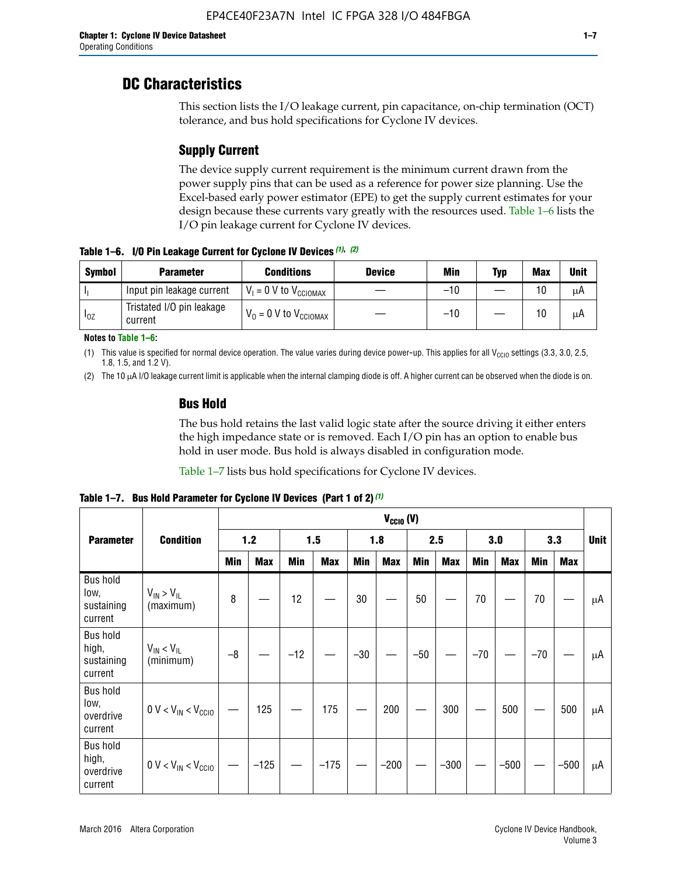# **DC Characteristics**

This section lists the I/O leakage current, pin capacitance, on-chip termination (OCT) tolerance, and bus hold specifications for Cyclone IV devices.

# **Supply Current**

The device supply current requirement is the minimum current drawn from the power supply pins that can be used as a reference for power size planning. Use the Excel-based early power estimator (EPE) to get the supply current estimates for your design because these currents vary greatly with the resources used. Table 1–6 lists the I/O pin leakage current for Cyclone IV devices.

**Table 1–6. I/O Pin Leakage Current for Cyclone IV Devices** *(1)***,** *(2)*

| <b>Symbol</b> | <b>Parameter</b>                     | <b>Conditions</b>            | <b>Device</b> | Min   | Typ | <b>Max</b> | <b>Unit</b> |
|---------------|--------------------------------------|------------------------------|---------------|-------|-----|------------|-------------|
|               | Input pin leakage current            | $V_1 = 0$ V to $V_{CGIOMAX}$ |               | $-10$ |     | 10         | μA          |
| $I_{0Z}$      | Tristated I/O pin leakage<br>current | $V_0 = 0 V to V_{CCIOMAX}$   |               | $-10$ |     | 10         | μA          |

**Notes to Table 1–6:**

(1) This value is specified for normal device operation. The value varies during device power-up. This applies for all V<sub>CCIO</sub> settings (3.3, 3.0, 2.5, 1.8, 1.5, and 1.2 V).

(2) The 10 µA I/O leakage current limit is applicable when the internal clamping diode is off. A higher current can be observed when the diode is on.

### **Bus Hold**

The bus hold retains the last valid logic state after the source driving it either enters the high impedance state or is removed. Each I/O pin has an option to enable bus hold in user mode. Bus hold is always disabled in configuration mode.

Table 1–7 lists bus hold specifications for Cyclone IV devices.

|                                                   |                                  | $V_{CCIO} (V)$ |            |       |            |            |            |            |            |       |            |       |            |    |
|---------------------------------------------------|----------------------------------|----------------|------------|-------|------------|------------|------------|------------|------------|-------|------------|-------|------------|----|
| <b>Parameter</b>                                  | <b>Condition</b>                 | 1.2            |            |       | 1.5        |            | 1.8        |            | 2.5        |       | 3.0        |       | 3.3        |    |
|                                                   |                                  | <b>Min</b>     | <b>Max</b> | Min   | <b>Max</b> | <b>Min</b> | <b>Max</b> | <b>Min</b> | <b>Max</b> | Min   | <b>Max</b> | Min   | <b>Max</b> |    |
| <b>Bus hold</b><br>low,<br>sustaining<br>current  | $V_{IN}$ > $V_{IL}$<br>(maximum) | 8              |            | 12    |            | 30         |            | 50         |            | 70    |            | 70    |            | μA |
| <b>Bus hold</b><br>high,<br>sustaining<br>current | $V_{IN}$ < $V_{IL}$<br>(minimum) | $-8$           |            | $-12$ |            | $-30$      |            | $-50$      |            | $-70$ |            | $-70$ |            | μA |
| <b>Bus hold</b><br>low,<br>overdrive<br>current   | $0 V < V_{IN} < V_{CG10}$        |                | 125        |       | 175        |            | 200        |            | 300        |       | 500        |       | 500        | μA |
| <b>Bus hold</b><br>high,<br>overdrive<br>current  | $0 V < V_{IN} < V_{CG10}$        |                | $-125$     |       | $-175$     |            | $-200$     |            | $-300$     |       | $-500$     |       | $-500$     | μA |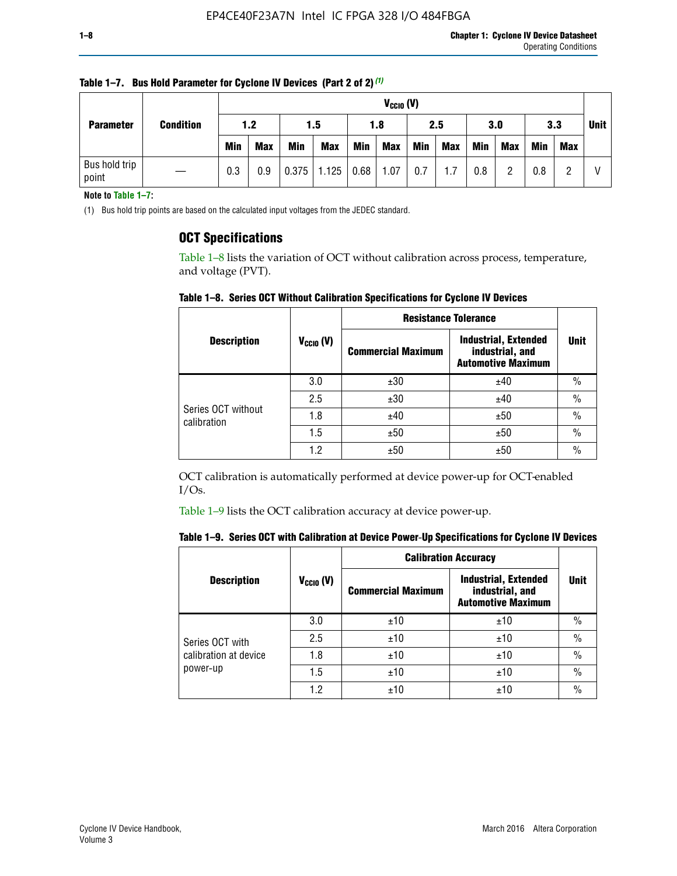| <b>Parameter</b>       | <b>Condition</b> |            | $V_{CClO}$ (V) |            |                    |     |            |     |     |     |            |            |     |             |
|------------------------|------------------|------------|----------------|------------|--------------------|-----|------------|-----|-----|-----|------------|------------|-----|-------------|
|                        |                  | 1.2        |                | 1.5        |                    | 1.8 |            | 2.5 |     | 3.0 |            | 3.3        |     | <b>Unit</b> |
|                        |                  | <b>Min</b> | <b>Max</b>     | <b>Min</b> | <b>Max</b>         | Min | <b>Max</b> | Min | Max | Min | <b>Max</b> | <b>Min</b> | Max |             |
| Bus hold trip<br>point |                  | 0.3        | 0.9            |            | $0.375$ 1.125 0.68 |     | 1.07       | 0.7 | 1.7 | 0.8 | ŋ          | 0.8        |     |             |

**Table 1–7. Bus Hold Parameter for Cyclone IV Devices (Part 2 of 2)** *(1)*

**Note to Table 1–7:**

(1) Bus hold trip points are based on the calculated input voltages from the JEDEC standard.

### **OCT Specifications**

Table 1–8 lists the variation of OCT without calibration across process, temperature, and voltage (PVT).

**Table 1–8. Series OCT Without Calibration Specifications for Cyclone IV Devices**

|                                   |                       | <b>Resistance Tolerance</b> |                                                                             |               |
|-----------------------------------|-----------------------|-----------------------------|-----------------------------------------------------------------------------|---------------|
| <b>Description</b>                | $V_{\text{CCIO}}$ (V) | <b>Commercial Maximum</b>   | <b>Industrial, Extended</b><br>industrial, and<br><b>Automotive Maximum</b> | <b>Unit</b>   |
|                                   | 3.0                   | ±30                         | ±40                                                                         | $\frac{0}{0}$ |
|                                   | 2.5                   | ±30                         | ±40                                                                         | $\frac{0}{0}$ |
| Series OCT without<br>calibration | 1.8                   | ±40                         | ±50                                                                         | $\frac{0}{0}$ |
|                                   | 1.5                   | ±50                         | ±50                                                                         | $\frac{0}{0}$ |
|                                   | 1.2                   | ±50                         | ±50                                                                         | $\frac{0}{0}$ |

OCT calibration is automatically performed at device power-up for OCT-enabled I/Os.

Table 1–9 lists the OCT calibration accuracy at device power-up.

|  |  | Table 1–9. Series OCT with Calibration at Device Power-Up Specifications for Cyclone IV Devices |  |
|--|--|-------------------------------------------------------------------------------------------------|--|
|--|--|-------------------------------------------------------------------------------------------------|--|

|                                   |                      | <b>Calibration Accuracy</b> |                                                                             |               |
|-----------------------------------|----------------------|-----------------------------|-----------------------------------------------------------------------------|---------------|
| <b>Description</b>                | $V_{\text{CCIO}}(V)$ | <b>Commercial Maximum</b>   | <b>Industrial, Extended</b><br>industrial, and<br><b>Automotive Maximum</b> | <b>Unit</b>   |
|                                   | 3.0                  | ±10                         | ±10                                                                         | $\%$          |
| Series OCT with                   | 2.5                  | ±10                         | ±10                                                                         | $\frac{0}{0}$ |
| calibration at device<br>power-up | 1.8                  | ±10                         | ±10                                                                         | $\%$          |
|                                   | 1.5                  | ±10                         | ±10                                                                         | $\%$          |
|                                   | 1.2                  | ±10                         | ±10                                                                         | $\frac{0}{0}$ |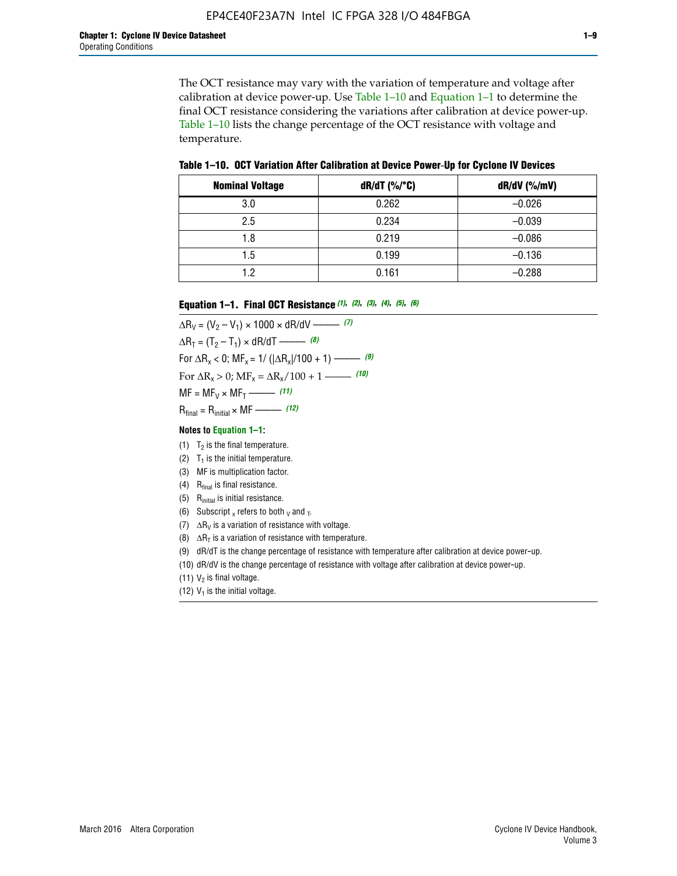The OCT resistance may vary with the variation of temperature and voltage after calibration at device power-up. Use Table 1–10 and Equation 1–1 to determine the final OCT resistance considering the variations after calibration at device power-up. Table 1–10 lists the change percentage of the OCT resistance with voltage and temperature.

**Table 1–10. OCT Variation After Calibration at Device Power**-**Up for Cyclone IV Devices**

| <b>Nominal Voltage</b> | dR/dT (%/°C) | $dR/dV$ (%/mV) |
|------------------------|--------------|----------------|
| 3.0                    | 0.262        | $-0.026$       |
| 2.5                    | 0.234        | $-0.039$       |
| 1.8                    | 0.219        | $-0.086$       |
| 1.5                    | 0.199        | $-0.136$       |
| 1.2                    | 0.161        | $-0.288$       |

#### **Equation 1–1. Final OCT Resistance** *(1)***,** *(2)***,** *(3)***,** *(4)***,** *(5)***,** *(6)*

 $\Delta R_V = (V_2 - V_1) \times 1000 \times dR/dV$  ––––––––––––(7)  $\Delta R_T = (T_2 - T_1) \times dR/dT$  ––––––– (8) For  $\Delta R_x < 0$ ; MF<sub>x</sub> = 1/ ( $|\Delta R_x|/100 + 1$ ) –––––– (9) For  $\Delta R_x > 0$ ;  $\text{MF}_x = \Delta R_x / 100 + 1$  ——– (10)  $MF = MF_V \times MF_T$  –––––––––––(11) Rfinal = Rinitial × MF ––––– *(12)*

#### **Notes to Equation 1–1:**

- (1)  $T_2$  is the final temperature.
- (2)  $T_1$  is the initial temperature.
- (3) MF is multiplication factor.
- (4)  $R<sub>final</sub>$  is final resistance.
- (5) Rinitial is initial resistance.
- (6) Subscript x refers to both  $\sqrt{v}$  and  $\sqrt{v}$ .
- (7)  $\Delta R_V$  is a variation of resistance with voltage.
- (8)  $\Delta R_T$  is a variation of resistance with temperature.
- (9) dR/dT is the change percentage of resistance with temperature after calibration at device power-up.
- (10) dR/dV is the change percentage of resistance with voltage after calibration at device power-up.
- (11)  $V_2$  is final voltage.
- (12)  $V_1$  is the initial voltage.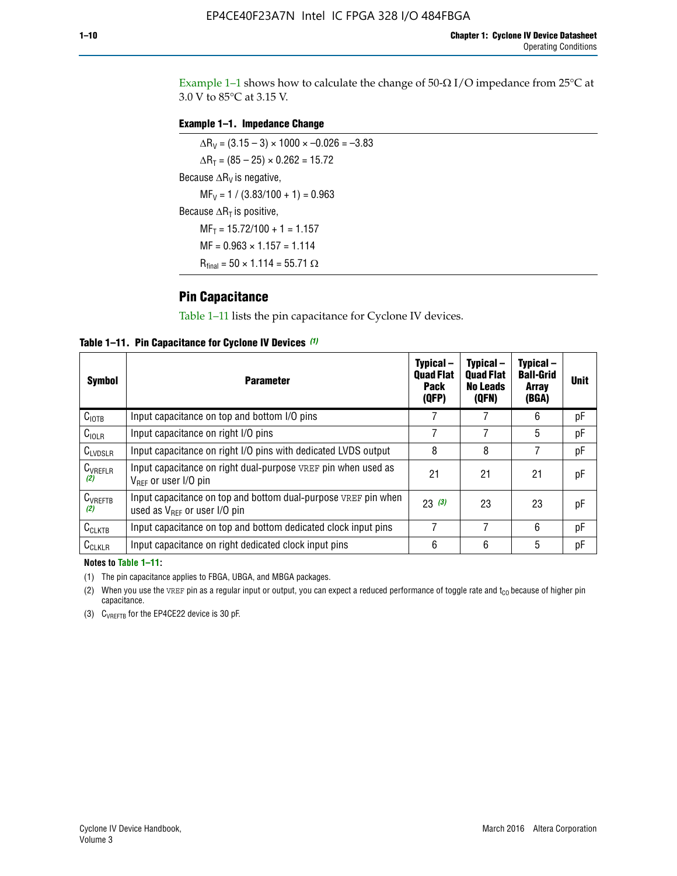Example 1-1 shows how to calculate the change of  $50$ - $\Omega$  I/O impedance from 25°C at 3.0 V to 85°C at 3.15 V.

#### **Example 1–1. Impedance Change**

 $\Delta R_V = (3.15 - 3) \times 1000 \times -0.026 = -3.83$  $\Delta R_T = (85 - 25) \times 0.262 = 15.72$ Because  $\Delta R_V$  is negative,  $MF_V = 1 / (3.83/100 + 1) = 0.963$ Because  $\Delta R_T$  is positive,  $MF_T = 15.72/100 + 1 = 1.157$  $MF = 0.963 \times 1.157 = 1.114$  $R_{final} = 50 \times 1.114 = 55.71 \Omega$ 

### **Pin Capacitance**

Table 1–11 lists the pin capacitance for Cyclone IV devices.

**Table 1–11. Pin Capacitance for Cyclone IV Devices** *(1)*

| <b>Symbol</b>       | <b>Parameter</b>                                                                                    | Typical-<br><b>Quad Flat</b><br><b>Pack</b><br>(QFP) | Typical-<br><b>Quad Flat</b><br><b>No Leads</b><br>(QFN) | Typical-<br><b>Ball-Grid</b><br><b>Array</b><br>(BGA) | <b>Unit</b> |
|---------------------|-----------------------------------------------------------------------------------------------------|------------------------------------------------------|----------------------------------------------------------|-------------------------------------------------------|-------------|
| C <sub>IOTB</sub>   | Input capacitance on top and bottom I/O pins                                                        |                                                      |                                                          | 6                                                     | рF          |
| $C_{IOLR}$          | Input capacitance on right I/O pins                                                                 |                                                      |                                                          | 5                                                     | pF          |
| $C_{LVDSLR}$        | Input capacitance on right I/O pins with dedicated LVDS output                                      | 8                                                    | 8                                                        | 7                                                     | рF          |
| $C_{VREFLR}$<br>(2) | Input capacitance on right dual-purpose VREF pin when used as<br>$V_{BFF}$ or user I/O pin          | 21                                                   | 21                                                       | 21                                                    | pF          |
| $C_{VREFTB}$<br>(2) | Input capacitance on top and bottom dual-purpose VREF pin when<br>used as $V_{BFF}$ or user I/O pin | 23(3)                                                | 23                                                       | 23                                                    | рF          |
| $C_{CLKTB}$         | Input capacitance on top and bottom dedicated clock input pins                                      |                                                      | 7                                                        | 6                                                     | рF          |
| $C_{CLKLR}$         | Input capacitance on right dedicated clock input pins                                               | 6                                                    | 6                                                        | 5                                                     | рF          |

#### **Notes to Table 1–11:**

(1) The pin capacitance applies to FBGA, UBGA, and MBGA packages.

(2) When you use the VREF pin as a regular input or output, you can expect a reduced performance of toggle rate and  $t_{\rm CO}$  because of higher pin capacitance.

(3) CVREFTB for the EP4CE22 device is 30 pF.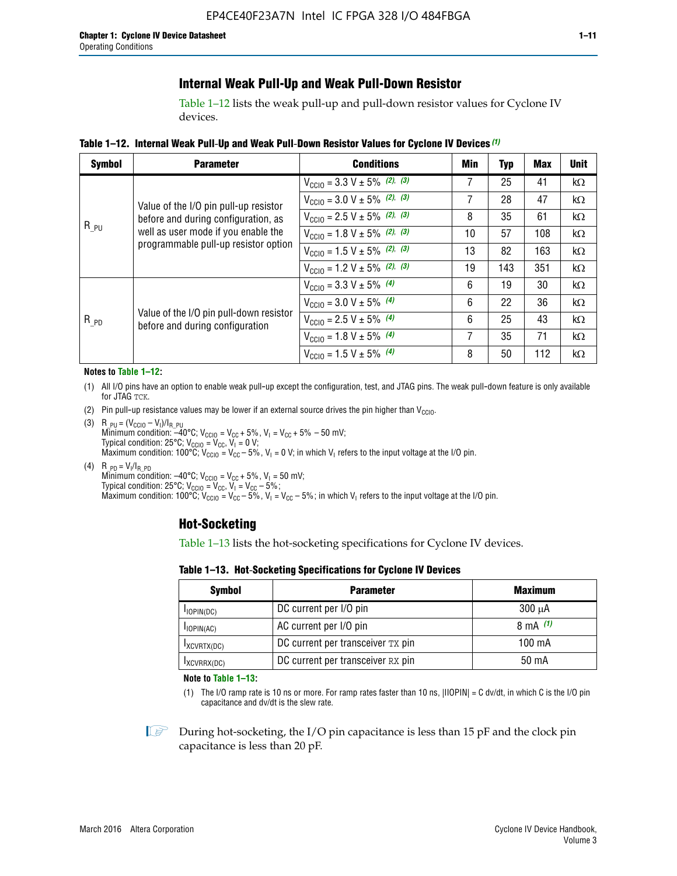# **Internal Weak Pull-Up and Weak Pull-Down Resistor**

Table 1–12 lists the weak pull-up and pull-down resistor values for Cyclone IV devices.

**Table 1–12. Internal Weak Pull**-**Up and Weak Pull**-**Down Resistor Values for Cyclone IV Devices** *(1)*

| <b>Symbol</b> | <b>Parameter</b>                                                            | <b>Conditions</b>                                  | Min | Typ | <b>Max</b> | <b>Unit</b> |
|---------------|-----------------------------------------------------------------------------|----------------------------------------------------|-----|-----|------------|-------------|
|               |                                                                             | $V_{\text{CC10}} = 3.3 \text{ V} \pm 5\%$ (2), (3) |     | 25  | 41         | kΩ          |
|               | Value of the I/O pin pull-up resistor                                       | $V_{\text{CC10}} = 3.0 \text{ V} \pm 5\%$ (2), (3) | 7   | 28  | 47         | $k\Omega$   |
|               | before and during configuration, as                                         | $V_{\text{CC10}} = 2.5 V \pm 5\%$ (2), (3)         | 8   | 35  | 61         | kΩ          |
| $R_{PU}$      | well as user mode if you enable the<br>programmable pull-up resistor option | $V_{\text{CC10}} = 1.8 V \pm 5\%$ (2), (3)         | 10  | 57  | 108        | kΩ          |
|               |                                                                             | $V_{\text{CC10}} = 1.5 V \pm 5\%$ (2), (3)         | 13  | 82  | 163        | kΩ          |
|               |                                                                             | $V_{\text{CC10}} = 1.2 \text{ V} \pm 5\%$ (2), (3) | 19  | 143 | 351        | kΩ          |
|               |                                                                             | $V_{\text{CC10}} = 3.3 V \pm 5\%$ (4)              | 6   | 19  | 30         | kΩ          |
|               |                                                                             | $V_{\text{CC10}} = 3.0 V \pm 5\%$ (4)              | 6   | 22  | 36         | kΩ          |
| $R_{PD}$      | Value of the I/O pin pull-down resistor<br>before and during configuration  | $V_{\text{CC10}} = 2.5 V \pm 5\%$ (4)              | 6   | 25  | 43         | kΩ          |
|               |                                                                             | $V_{\text{CC10}} = 1.8 \text{ V} \pm 5\%$ (4)      | 7   | 35  | 71         | kΩ          |
|               |                                                                             | $V_{\text{CC10}} = 1.5 V \pm 5\%$ (4)              | 8   | 50  | 112        | kΩ          |

#### **Notes to Table 1–12:**

- (1) All I/O pins have an option to enable weak pull-up except the configuration, test, and JTAG pins. The weak pull-down feature is only available for JTAG TCK.
- (2) Pin pull-up resistance values may be lower if an external source drives the pin higher than  $V_{\text{CCIO}}$ .
- (3)  $R_{PU} = (V_{CC10} V_1)/I_{R_PU}$ Minimum condition: –40°C; V<sub>CCIO</sub> = V<sub>CC</sub> + 5%, V<sub>I</sub> = V<sub>CC</sub> + 5% – 50 mV; Typical condition: 25°C; V<sub>CCIO</sub> = V<sub>CC</sub>, V<sub>I</sub> = 0 V; Maximum condition:  $100^{\circ}C$ ;  $V_{\text{CCIO}} = V_{\text{CC}} - 5\%$ ,  $V_1 = 0$  V; in which  $V_1$  refers to the input voltage at the I/O pin.
- (4)  $R_{PD} = V_I/I_{R_PD}$ Minimum condition:  $-40^{\circ}$ C; V<sub>CCIO</sub> = V<sub>CC</sub> + 5%, V<sub>I</sub> = 50 mV; Typical condition: 25°C;  $V_{\text{CCIO}} = V_{\text{CC}}$ ,  $V_{\text{I}} = V_{\text{CC}} - 5\%$ ; Maximum condition: 100°C; V<sub>CClO</sub> = V<sub>CC</sub> – 5%, V<sub>I</sub> = V<sub>CC</sub> – 5%; in which V<sub>I</sub> refers to the input voltage at the I/O pin.

### **Hot-Socketing**

Table 1–13 lists the hot-socketing specifications for Cyclone IV devices.

**Table 1–13. Hot**-**Socketing Specifications for Cyclone IV Devices**

| <b>Symbol</b> | <b>Maximum</b>                    |             |
|---------------|-----------------------------------|-------------|
| $I$ IOPIN(DC) | DC current per I/O pin            | $300 \mu A$ |
| $I$ IOPIN(AC) | AC current per I/O pin            | 8 mA $(1)$  |
| IXCVRTX(DC)   | DC current per transceiver TX pin | 100 mA      |
| IXCVRRX(DC)   | DC current per transceiver RX pin | 50 mA       |

**Note to Table 1–13:**

(1) The I/O ramp rate is 10 ns or more. For ramp rates faster than 10 ns, |IIOPIN| = C dv/dt, in which C is the I/O pin capacitance and dv/dt is the slew rate.

 $\mathbb{I} \rightarrow \mathbb{I}$  During hot-socketing, the I/O pin capacitance is less than 15 pF and the clock pin capacitance is less than 20 pF.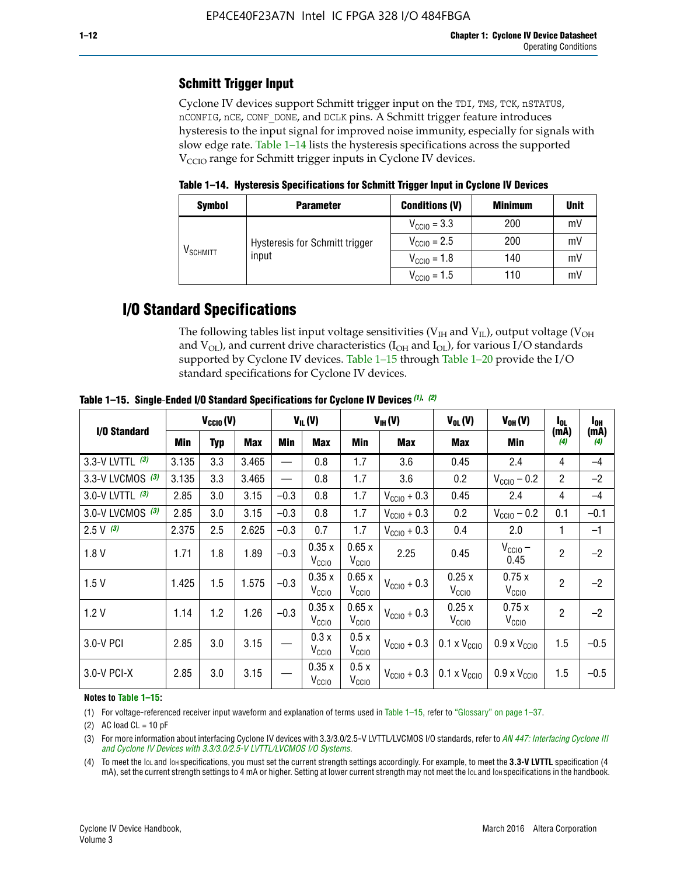# **Schmitt Trigger Input**

Cyclone IV devices support Schmitt trigger input on the TDI, TMS, TCK, nSTATUS, nCONFIG, nCE, CONF\_DONE, and DCLK pins. A Schmitt trigger feature introduces hysteresis to the input signal for improved noise immunity, especially for signals with slow edge rate. Table 1–14 lists the hysteresis specifications across the supported  $V<sub>CCIO</sub>$  range for Schmitt trigger inputs in Cyclone IV devices.

**Table 1–14. Hysteresis Specifications for Schmitt Trigger Input in Cyclone IV Devices**

| <b>Symbol</b>                  | <b>Parameter</b>                        | <b>Conditions (V)</b>   | <b>Minimum</b> | <b>Unit</b> |
|--------------------------------|-----------------------------------------|-------------------------|----------------|-------------|
|                                |                                         | $V_{\text{CGI0}} = 3.3$ | 200            | mV          |
|                                | Hysteresis for Schmitt trigger<br>input | $V_{\text{CCIO}} = 2.5$ | 200            | mV          |
| $\mathsf{V}_{\mathsf{SCHMIT}}$ |                                         | $V_{\text{CCIO}} = 1.8$ | 140            | mV          |
|                                |                                         | $V_{\text{CC10}} = 1.5$ | 110            | mV          |

# **I/O Standard Specifications**

The following tables list input voltage sensitivities ( $V<sub>IH</sub>$  and  $V<sub>II</sub>$ ), output voltage ( $V<sub>OH</sub>$ and  $V_{OL}$ ), and current drive characteristics ( $I_{OH}$  and  $I_{OL}$ ), for various I/O standards supported by Cyclone IV devices. Table 1–15 through Table 1–20 provide the I/O standard specifications for Cyclone IV devices.

|                   | $V_{CClO}(V)$ |     | $V_{IL}(V)$ |        | $V_{IH} (V)$               |                            | $V_{OL}(V)$             | $V_{OH} (V)$                 | l <sub>OL</sub>              | l <sub>oh</sub> |             |
|-------------------|---------------|-----|-------------|--------|----------------------------|----------------------------|-------------------------|------------------------------|------------------------------|-----------------|-------------|
| I/O Standard      | Min           | Typ | <b>Max</b>  | Min    | <b>Max</b>                 | Min                        | <b>Max</b>              | Max                          | Min                          | (mA)<br>(4)     | (mA)<br>(4) |
| 3.3-V LVTTL (3)   | 3.135         | 3.3 | 3.465       |        | 0.8                        | 1.7                        | 3.6                     | 0.45                         | 2.4                          | 4               | $-4$        |
| 3.3-V LVCMOS (3)  | 3.135         | 3.3 | 3.465       |        | 0.8                        | 1.7                        | 3.6                     | 0.2                          | $V_{\text{CCIO}} - 0.2$      | $\overline{2}$  | $-2$        |
| 3.0-V LVTTL $(3)$ | 2.85          | 3.0 | 3.15        | $-0.3$ | 0.8                        | 1.7                        | $V_{\text{CC10}} + 0.3$ | 0.45                         | 2.4                          | 4               | $-4$        |
| 3.0-V LVCMOS (3)  | 2.85          | 3.0 | 3.15        | $-0.3$ | 0.8                        | 1.7                        | $V_{\text{CCI}0}$ + 0.3 | 0.2                          | $V_{\text{CC10}} - 0.2$      | 0.1             | $-0.1$      |
| $2.5 V$ (3)       | 2.375         | 2.5 | 2.625       | $-0.3$ | 0.7                        | 1.7                        | $V_{\text{CCI}0}$ + 0.3 | 0.4                          | 2.0                          | 1               | $-1$        |
| 1.8V              | 1.71          | 1.8 | 1.89        | $-0.3$ | 0.35x<br>V <sub>CCIO</sub> | 0.65x<br>V <sub>CCIO</sub> | 2.25                    | 0.45                         | $V_{CGIO}$ –<br>0.45         | $\overline{2}$  | $-2$        |
| 1.5V              | 1.425         | 1.5 | 1.575       | $-0.3$ | 0.35x<br>V <sub>CCIO</sub> | 0.65x<br>V <sub>CCIO</sub> | $V_{\text{CC10}} + 0.3$ | 0.25x<br>$V_{\rm CClO}$      | 0.75x<br>V <sub>CCIO</sub>   | $\overline{2}$  | $-2$        |
| 1.2V              | 1.14          | 1.2 | 1.26        | $-0.3$ | 0.35x<br>V <sub>CCIO</sub> | 0.65x<br>V <sub>CCIO</sub> | $V_{\text{CGI0}} + 0.3$ | 0.25x<br>$V_{\rm CClO}$      | 0.75x<br>V <sub>CCIO</sub>   | $\overline{2}$  | $-2$        |
| 3.0-V PCI         | 2.85          | 3.0 | 3.15        |        | 0.3x<br>V <sub>CCIO</sub>  | 0.5x<br>V <sub>CCIO</sub>  | $V_{\text{CC10}} + 0.3$ | $0.1 \times V_{CC10}$        | $0.9 \times V_{\text{CC10}}$ | 1.5             | $-0.5$      |
| 3.0-V PCI-X       | 2.85          | 3.0 | 3.15        |        | 0.35x<br>V <sub>CCIO</sub> | 0.5x<br>V <sub>CCIO</sub>  | $V_{\text{CC}10}$ + 0.3 | $0.1 \times V_{\text{CC10}}$ | $0.9 \times V_{\text{CC10}}$ | 1.5             | $-0.5$      |

**Table 1–15. Single**-**Ended I/O Standard Specifications for Cyclone IV Devices** *(1)***,** *(2)*

#### **Notes to Table 1–15:**

(1) For voltage-referenced receiver input waveform and explanation of terms used in Table 1–15, refer to "Glossary" on page 1–37.

(2) AC load  $CL = 10$  pF

(3) For more information about interfacing Cyclone IV devices with 3.3/3.0/2.5-V LVTTL/LVCMOS I/O standards, refer to *[AN 447: Interfacing Cyclone III](http://www.altera.com/literature/an/an447.pdf)  [and Cyclone IV Devices with 3.3/3.0/2.5-V LVTTL/LVCMOS I/O Systems](http://www.altera.com/literature/an/an447.pdf)*.

(4) To meet the IOL and IOH specifications, you must set the current strength settings accordingly. For example, to meet the **3.3-V LVTTL** specification (4 mA), set the current strength settings to 4 mA or higher. Setting at lower current strength may not meet the lou and lon specifications in the handbook.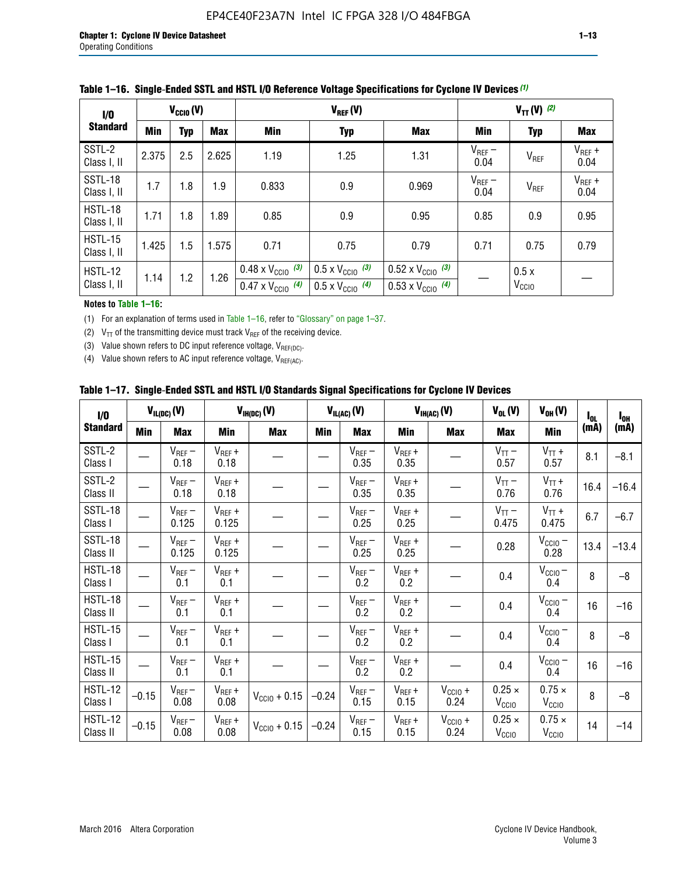| 1/0                    | $V_{CGI0}(V)$ |            |       | $V_{REF}(V)$                                                           |                                                                      |                                                                        | $V_{TT}(V)^{(2)}$   |                           |                     |
|------------------------|---------------|------------|-------|------------------------------------------------------------------------|----------------------------------------------------------------------|------------------------------------------------------------------------|---------------------|---------------------------|---------------------|
| <b>Standard</b>        | <b>Min</b>    | <b>Typ</b> | Max   | Min                                                                    | <b>Typ</b>                                                           | <b>Max</b>                                                             | Min                 | <b>Typ</b>                | <b>Max</b>          |
| SSTL-2<br>Class I, II  | 2.375         | 2.5        | 2.625 | 1.19                                                                   | 1.25                                                                 | 1.31                                                                   | $V_{REF}$ –<br>0.04 | V <sub>REF</sub>          | $V_{REF}$ +<br>0.04 |
| SSTL-18<br>Class I, II | 1.7           | 1.8        | 1.9   | 0.833                                                                  | 0.9                                                                  | 0.969                                                                  | $V_{REF}$ –<br>0.04 | V <sub>REF</sub>          | $V_{REF}$ +<br>0.04 |
| HSTL-18<br>Class I, II | 1.71          | 1.8        | .89   | 0.85                                                                   | 0.9                                                                  | 0.95                                                                   | 0.85                | 0.9                       | 0.95                |
| HSTL-15<br>Class I, II | 1.425         | 1.5        | 1.575 | 0.71                                                                   | 0.75                                                                 | 0.79                                                                   | 0.71                | 0.75                      | 0.79                |
| HSTL-12<br>Class I, II | 1.14          | 1.2        | 1.26  | $0.48 \times V_{\text{CC10}}$ (3)<br>$0.47 \times V_{\text{CC10}}$ (4) | $0.5 \times V_{\text{CC10}}$ (3)<br>$0.5 \times V_{\text{CC10}}$ (4) | $0.52 \times V_{\text{CC10}}$ (3)<br>$0.53 \times V_{\text{CC10}}$ (4) |                     | 0.5x<br>V <sub>CCIO</sub> |                     |

|  |  |  |  | Table 1–16. Single-Ended SSTL and HSTL I/O Reference Voltage Specifications for Cyclone IV Devices (1) |
|--|--|--|--|--------------------------------------------------------------------------------------------------------|
|--|--|--|--|--------------------------------------------------------------------------------------------------------|

**Notes to Table 1–16:**

(1) For an explanation of terms used in Table 1–16, refer to "Glossary" on page 1–37.

(2)  $V_{TT}$  of the transmitting device must track  $V_{REF}$  of the receiving device.

(3) Value shown refers to DC input reference voltage,  $V_{REF(DC)}$ .

(4) Value shown refers to AC input reference voltage,  $V_{REF(AC)}$ .

|  |  |  |  |  | Table 1–17.  Single-Ended SSTL and HSTL I/O Standards Signal Specifications for Cyclone IV Devices |
|--|--|--|--|--|----------------------------------------------------------------------------------------------------|
|--|--|--|--|--|----------------------------------------------------------------------------------------------------|

| I/O                        |         | $V_{IL(DC)}(V)$      |                      | $V_{IH(DC)}(V)$   |         | $V_{IL(AC)}(V)$     |                     | $V_{IH(AC)}(V)$      | $V_{OL}(V)$                        | $V_{OH} (V)$                       | $I_{0L}$ | $I_{0H}$ |
|----------------------------|---------|----------------------|----------------------|-------------------|---------|---------------------|---------------------|----------------------|------------------------------------|------------------------------------|----------|----------|
| <b>Standard</b>            | Min     | <b>Max</b>           | Min                  | <b>Max</b>        | Min     | <b>Max</b>          | Min                 | <b>Max</b>           | <b>Max</b>                         | Min                                | (mA)     | (mA)     |
| SSTL-2<br>Class I          |         | $V_{REF}$ –<br>0.18  | $V_{REF} +$<br>0.18  |                   |         | $V_{REF}$ –<br>0.35 | $V_{REF} +$<br>0.35 |                      | $V_{TT}$ –<br>0.57                 | $V_{TT}$ +<br>0.57                 | 8.1      | $-8.1$   |
| SSTL-2<br>Class II         |         | $V_{REF}$ –<br>0.18  | $V_{REF} +$<br>0.18  |                   |         | $V_{REF}$ –<br>0.35 | $V_{REF} +$<br>0.35 |                      | $V_{TT}$ –<br>0.76                 | $V_{TT}$ +<br>0.76                 | 16.4     | $-16.4$  |
| SSTL-18<br>Class I         |         | $V_{REF}$ –<br>0.125 | $V_{REF}$ +<br>0.125 |                   |         | $V_{REF}$ –<br>0.25 | $V_{REF}$ +<br>0.25 |                      | $V_{TT}$ –<br>0.475                | $V_{TT}$ +<br>0.475                | 6.7      | $-6.7$   |
| SSTL-18<br>Class II        |         | $V_{REF}$ –<br>0.125 | $V_{REF}$ +<br>0.125 |                   |         | $V_{REF}$ –<br>0.25 | $V_{REF}$ +<br>0.25 |                      | 0.28                               | $V_{CC10} -$<br>0.28               | 13.4     | $-13.4$  |
| HSTL-18<br>Class I         |         | $V_{REF}$ –<br>0.1   | $V_{REF}$ +<br>0.1   |                   |         | $V_{REF}$ –<br>0.2  | $V_{REF}$ +<br>0.2  |                      | 0.4                                | $V_{CCIO}$<br>0.4                  | 8        | $-8$     |
| HSTL-18<br>Class II        |         | $V_{REF}$ –<br>0.1   | $V_{REF}$ +<br>0.1   |                   |         | $V_{REF}$ –<br>0.2  | $V_{REF}$ +<br>0.2  |                      | 0.4                                | $V_{\text{CC1O}} -$<br>0.4         | 16       | $-16$    |
| HSTL-15<br>Class I         |         | $V_{REF}$ –<br>0.1   | $V_{REF}$ +<br>0.1   |                   |         | $V_{REF}$ –<br>0.2  | $V_{REF}$ +<br>0.2  |                      | 0.4                                | $V_{\text{CC1O}} -$<br>0.4         | 8        | $-8$     |
| HSTL-15<br>Class II        |         | $V_{REF}$ –<br>0.1   | $V_{REF}$ +<br>0.1   |                   |         | $V_{REF}$ –<br>0.2  | $V_{REF}$ +<br>0.2  |                      | 0.4                                | $V_{CC10}$ –<br>0.4                | 16       | $-16$    |
| <b>HSTL-12</b><br>Class I  | $-0.15$ | $V_{REF}-$<br>0.08   | $V_{REF} +$<br>0.08  | $V_{CGI0} + 0.15$ | $-0.24$ | $V_{REF}$ –<br>0.15 | $V_{REF} +$<br>0.15 | $V_{CCIO} +$<br>0.24 | $0.25 \times$<br>V <sub>CCIO</sub> | $0.75 \times$<br>V <sub>CCIO</sub> | 8        | $-8$     |
| <b>HSTL-12</b><br>Class II | $-0.15$ | $V_{REF}-$<br>0.08   | $V_{REF} +$<br>0.08  | $V_{CGI0} + 0.15$ | $-0.24$ | $V_{REF}$ –<br>0.15 | $V_{REF} +$<br>0.15 | $V_{CCIO}$ +<br>0.24 | $0.25 \times$<br>V <sub>CCIO</sub> | $0.75 \times$<br>V <sub>CCIO</sub> | 14       | $-14$    |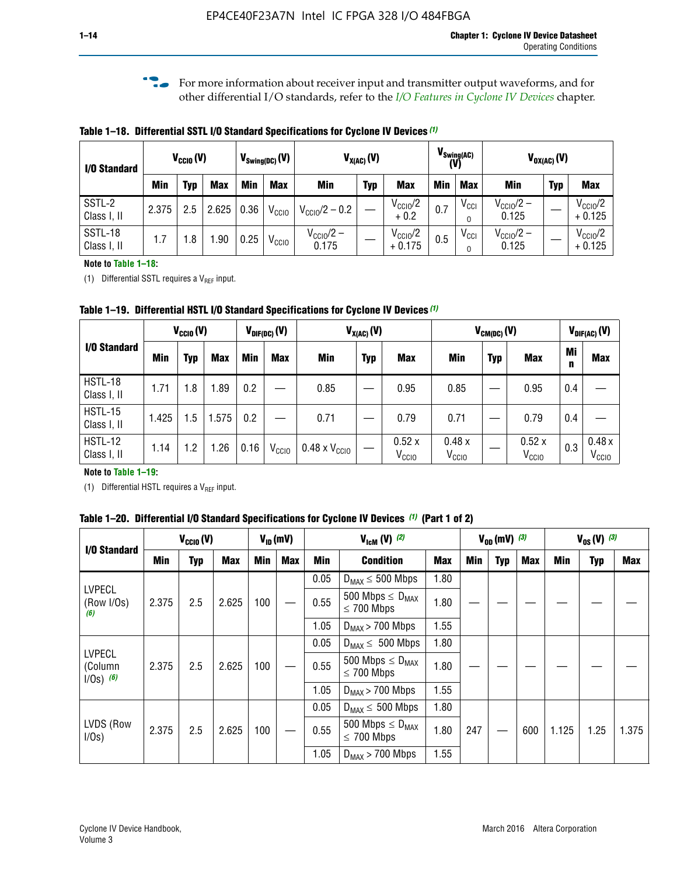**f For more information about receiver input and transmitter output waveforms, and for** other differential I/O standards, refer to the *[I/O Features in Cyclone IV Devices](http://www.altera.com/literature/hb/cyclone-iv/cyiv-51006.pdf)* chapter*.*

**Table 1–18. Differential SSTL I/O Standard Specifications for Cyclone IV Devices** *(1)*

| I/O Standard           |       | $V_{\text{CCIO}}(V)$ |            |      | $V_{\text{Swing(DC)}}(V)$ |                           | $V_{X(AC)}(V)$ |                                 | (V) | $V_{\text{Swing}(AC)}$       |                                | $V_{OX(AC)}(V)$ |                                 |
|------------------------|-------|----------------------|------------|------|---------------------------|---------------------------|----------------|---------------------------------|-----|------------------------------|--------------------------------|-----------------|---------------------------------|
|                        | Min   | Typ                  | <b>Max</b> | Min  | <b>Max</b>                | <b>Min</b>                | <b>Typ</b>     | <b>Max</b>                      | Min | <b>Max</b>                   | Min                            | <b>Typ</b>      | <b>Max</b>                      |
| SSTL-2<br>Class I, II  | 2.375 | 2.5                  | 2.625      | 0.36 | V <sub>CCIO</sub>         | $V_{\text{CC10}}/2 - 0.2$ |                | $V_{\text{CC10}}/2$<br>$+0.2$   | 0.7 | $V_{\text{CCI}}$<br>$\Omega$ | $V_{\text{CC10}}/2 -$<br>0.125 |                 | $V_{\text{CC10}}/2$<br>$+0.125$ |
| SSTL-18<br>Class I, II | 1.7   | .8                   | .90        | 0.25 | V <sub>CCIO</sub>         | $V_{CC10}/2 -$<br>0.175   |                | $V_{\text{CC10}}/2$<br>$+0.175$ | 0.5 | $V_{\text{CCI}}$<br>0        | $V_{\text{CC10}}/2 -$<br>0.125 |                 | $V_{\text{CC10}}/2$<br>$+0.125$ |

#### **Note to Table 1–18:**

(1) Differential SSTL requires a  $V_{REF}$  input.

**Table 1–19. Differential HSTL I/O Standard Specifications for Cyclone IV Devices** *(1)*

|                               |       | $V_{CClO}(V)$ |            |         | $V_{\text{DIF(DC)}}(V)$ |                               | $V_{X(AC)}(V)$ |                            |                            | $V_{CM(DC)}(V)$ |                            |         | $V_{\text{DIF(AC)}}(V)$    |
|-------------------------------|-------|---------------|------------|---------|-------------------------|-------------------------------|----------------|----------------------------|----------------------------|-----------------|----------------------------|---------|----------------------------|
| I/O Standard                  | Min   | Typ           | <b>Max</b> | Min     | <b>Max</b>              | Min                           | <b>Typ</b>     | <b>Max</b>                 | Min                        | <b>Typ</b>      | <b>Max</b>                 | Mi<br>n | <b>Max</b>                 |
| HSTL-18<br>Class I, II        | 1.71  | 1.8           | .89        | 0.2     |                         | 0.85                          |                | 0.95                       | 0.85                       |                 | 0.95                       | 0.4     |                            |
| <b>HSTL-15</b><br>Class I, II | 1.425 | 1.5           | .575       | $0.2\,$ |                         | 0.71                          |                | 0.79                       | 0.71                       |                 | 0.79                       | 0.4     |                            |
| <b>HSTL-12</b><br>Class I, II | 1.14  | 1.2           | 1.26       | 0.16    | V <sub>CCIO</sub>       | $0.48 \times V_{\text{CC10}}$ |                | 0.52x<br>V <sub>CCIO</sub> | 0.48x<br>V <sub>CCIO</sub> |                 | 0.52x<br>V <sub>CCIO</sub> | 0.3     | 0.48x<br>V <sub>CCIO</sub> |

#### **Note to Table 1–19:**

(1) Differential HSTL requires a  $V_{REF}$  input.

**Table 1–20. Differential I/O Standard Specifications for Cyclone IV Devices** *(1)* **(Part 1 of 2)**

| I/O Standard                            |       | $V_{CCl0} (V)$ |            |            | $V_{ID}$ (mV) |      | $V_{\text{lcm}}(V)^{(2)}$                  |            |     | $V_{0D}$ (mV) $(3)$ |     |       | $V_{0S} (V)^{(3)}$ |       |
|-----------------------------------------|-------|----------------|------------|------------|---------------|------|--------------------------------------------|------------|-----|---------------------|-----|-------|--------------------|-------|
|                                         | Min   | Typ            | <b>Max</b> | <b>Min</b> | Max           | Min  | <b>Condition</b>                           | <b>Max</b> | Min | Typ                 | Max | Min   | <b>Typ</b>         | Max   |
|                                         |       |                |            |            |               | 0.05 | $D_{MAX} \leq 500$ Mbps                    | 1.80       |     |                     |     |       |                    |       |
| <b>LVPECL</b><br>(Row I/Os)<br>(6)      | 2.375 | 2.5            | 2.625      | 100        |               | 0.55 | 500 Mbps $\leq D_{MAX}$<br>$\leq$ 700 Mbps | 1.80       |     |                     |     |       |                    |       |
|                                         |       |                |            |            |               | 1.05 | $D_{MAX}$ > 700 Mbps                       | 1.55       |     |                     |     |       |                    |       |
|                                         |       |                |            |            |               | 0.05 | $D_{MAX} \leq 500$ Mbps                    | 1.80       |     |                     |     |       |                    |       |
| <b>LVPECL</b><br>(Column<br>$1/Os)$ (6) | 2.375 | 2.5            | 2.625      | 100        |               | 0.55 | 500 Mbps $\leq D_{MAX}$<br>$\leq$ 700 Mbps | 1.80       |     |                     |     |       |                    |       |
|                                         |       |                |            |            |               | 1.05 | $D_{MAX}$ > 700 Mbps                       | 1.55       |     |                     |     |       |                    |       |
|                                         |       |                |            |            |               | 0.05 | $D_{MAX} \leq 500$ Mbps                    | 1.80       |     |                     |     |       |                    |       |
| LVDS (Row<br>I/Os)                      | 2.375 | 2.5            | 2.625      | 100        |               | 0.55 | 500 Mbps $\leq D_{MAX}$<br>$\leq 700$ Mbps | 1.80       | 247 |                     | 600 | 1.125 | 1.25               | 1.375 |
|                                         |       |                |            |            |               | 1.05 | $D_{MAX}$ > 700 Mbps                       | 1.55       |     |                     |     |       |                    |       |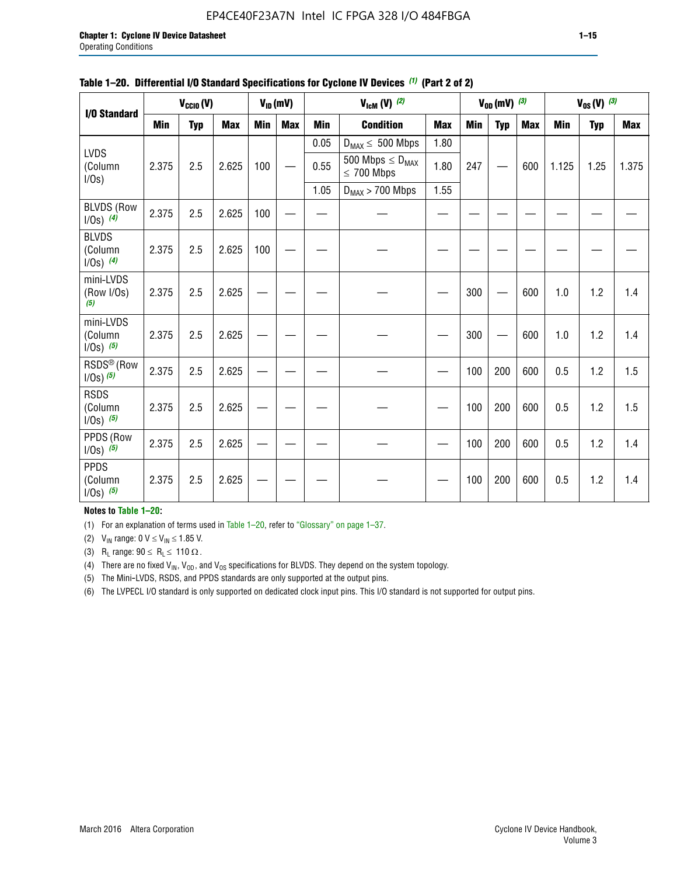#### EP4CE40F23A7N Intel IC FPGA 328 I/O 484FBGA

| I/O Standard                            |            | $V_{CClO}(V)$ |            |            | $V_{ID}(mV)$ |            | $V_{\text{lcm}}(V)^{(2)}$                  |            |     | $V_{0D}$ (mV) $(3)$ |            |            | $V_{0S} (V)$ (3) |            |
|-----------------------------------------|------------|---------------|------------|------------|--------------|------------|--------------------------------------------|------------|-----|---------------------|------------|------------|------------------|------------|
|                                         | <b>Min</b> | <b>Typ</b>    | <b>Max</b> | <b>Min</b> | <b>Max</b>   | <b>Min</b> | <b>Condition</b>                           | <b>Max</b> | Min | <b>Typ</b>          | <b>Max</b> | <b>Min</b> | <b>Typ</b>       | <b>Max</b> |
|                                         |            |               |            |            |              | 0.05       | $D_{MAX} \leq 500$ Mbps                    | 1.80       |     |                     |            |            |                  |            |
| <b>LVDS</b><br>(Column<br>$I/Os$ )      | 2.375      | 2.5           | 2.625      | 100        |              | 0.55       | 500 Mbps $\leq D_{MAX}$<br>$\leq 700$ Mbps | 1.80       | 247 |                     | 600        | 1.125      | 1.25             | 1.375      |
|                                         |            |               |            |            |              | 1.05       | $D_{MAX}$ > 700 Mbps                       | 1.55       |     |                     |            |            |                  |            |
| <b>BLVDS (Row</b><br>$1/0s)$ (4)        | 2.375      | 2.5           | 2.625      | 100        |              |            |                                            |            |     |                     |            |            |                  |            |
| <b>BLVDS</b><br>(Column<br>$1/0s)$ (4)  | 2.375      | 2.5           | 2.625      | 100        |              |            |                                            |            |     |                     |            |            |                  |            |
| mini-LVDS<br>(Row I/Os)<br>(5)          | 2.375      | 2.5           | 2.625      |            |              |            |                                            |            | 300 |                     | 600        | 1.0        | 1.2              | 1.4        |
| mini-LVDS<br>(Column<br>$1/0s)$ (5)     | 2.375      | 2.5           | 2.625      |            |              |            |                                            |            | 300 |                     | 600        | 1.0        | 1.2              | 1.4        |
| RSDS <sup>®</sup> (Row<br>$1/0s)$ $(5)$ | 2.375      | 2.5           | 2.625      |            |              |            |                                            |            | 100 | 200                 | 600        | 0.5        | 1.2              | 1.5        |
| <b>RSDS</b><br>(Column<br>$1/0s)$ (5)   | 2.375      | 2.5           | 2.625      |            |              |            |                                            |            | 100 | 200                 | 600        | 0.5        | 1.2              | 1.5        |
| PPDS (Row<br>$1/Os)$ (5)                | 2.375      | 2.5           | 2.625      |            |              |            |                                            |            | 100 | 200                 | 600        | 0.5        | 1.2              | 1.4        |
| <b>PPDS</b><br>(Column<br>$1/0s)$ (5)   | 2.375      | 2.5           | 2.625      |            |              |            |                                            |            | 100 | 200                 | 600        | 0.5        | 1.2              | 1.4        |

#### **Table 1–20. Differential I/O Standard Specifications for Cyclone IV Devices** *(1)* **(Part 2 of 2)**

#### **Notes to Table 1–20:**

(1) For an explanation of terms used in Table 1–20, refer to "Glossary" on page 1–37.

(2)  $V_{IN}$  range: 0  $V \le V_{IN} \le 1.85$  V.

(3) R<sub>L</sub> range:  $90 \le R_L \le 110 \Omega$ .

(4) There are no fixed  $V_{IN}$ ,  $V_{OD}$ , and  $V_{OS}$  specifications for BLVDS. They depend on the system topology.

(5) The Mini-LVDS, RSDS, and PPDS standards are only supported at the output pins.

(6) The LVPECL I/O standard is only supported on dedicated clock input pins. This I/O standard is not supported for output pins.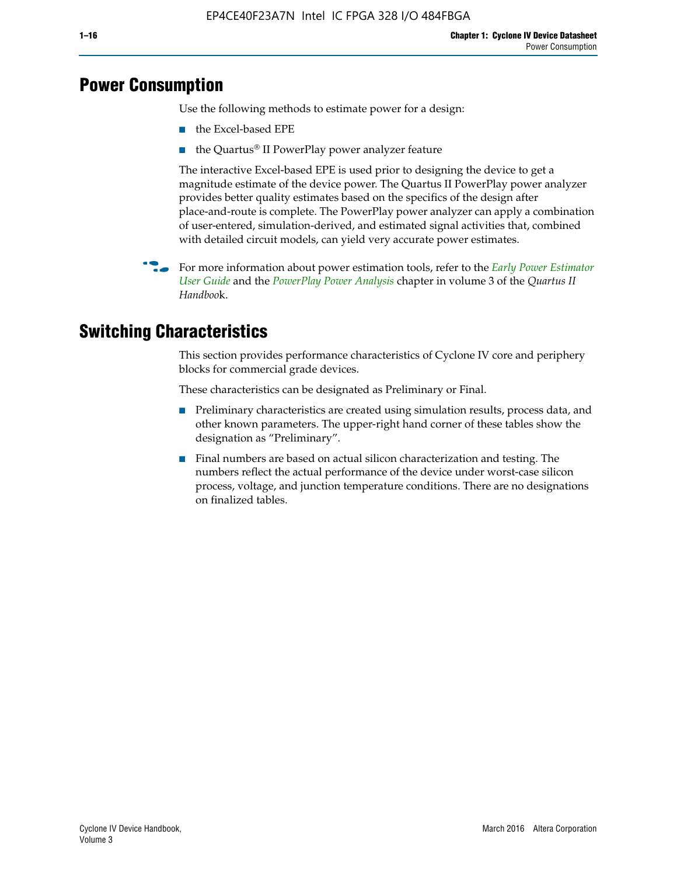# **Power Consumption**

Use the following methods to estimate power for a design:

- the Excel-based EPE
- the Quartus® II PowerPlay power analyzer feature

The interactive Excel-based EPE is used prior to designing the device to get a magnitude estimate of the device power. The Quartus II PowerPlay power analyzer provides better quality estimates based on the specifics of the design after place-and-route is complete. The PowerPlay power analyzer can apply a combination of user-entered, simulation-derived, and estimated signal activities that, combined with detailed circuit models, can yield very accurate power estimates.

f For more information about power estimation tools, refer to the *[Early Power Estimator](http://www.altera.com/literature/ug/ug_epe.pdf
)  [User Guide](http://www.altera.com/literature/ug/ug_epe.pdf
)* and the *[PowerPlay Power Analysis](http://www.altera.com/literature/hb/qts/qts_qii53013.pdf)* chapter in volume 3 of the *Quartus II Handboo*k.

# **Switching Characteristics**

This section provides performance characteristics of Cyclone IV core and periphery blocks for commercial grade devices.

These characteristics can be designated as Preliminary or Final.

- Preliminary characteristics are created using simulation results, process data, and other known parameters. The upper-right hand corner of these tables show the designation as "Preliminary".
- Final numbers are based on actual silicon characterization and testing. The numbers reflect the actual performance of the device under worst-case silicon process, voltage, and junction temperature conditions. There are no designations on finalized tables.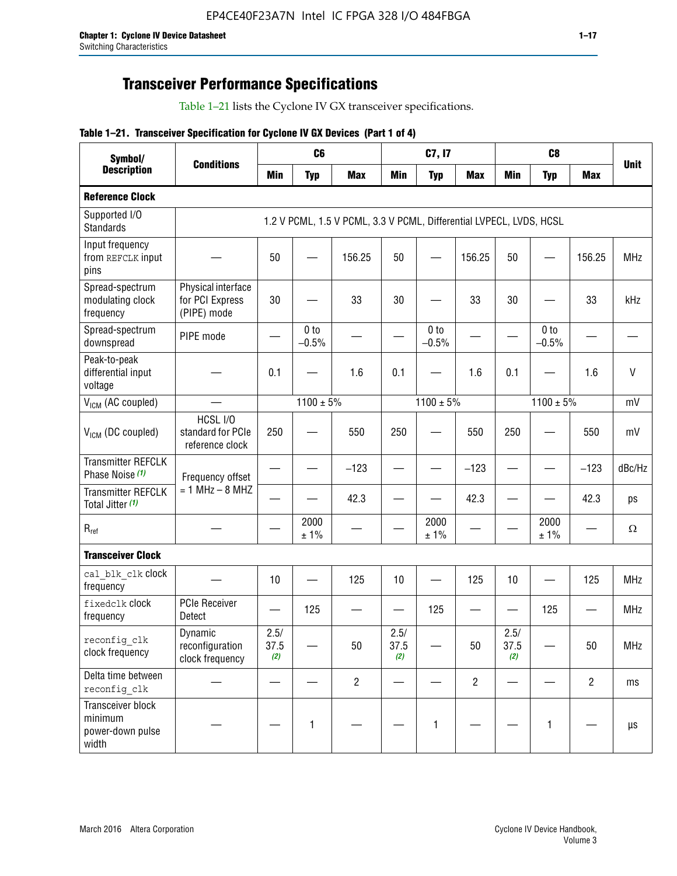# **Transceiver Performance Specifications**

Table 1–21 lists the Cyclone IV GX transceiver specifications.

#### **Table 1–21. Transceiver Specification for Cyclone IV GX Devices (Part 1 of 4)**

| Symbol/                                                   |                                                      |                     | C <sub>6</sub>             |                                                                     |                     | C7, I7                     |                |                     | C <sub>8</sub>             |                |              |
|-----------------------------------------------------------|------------------------------------------------------|---------------------|----------------------------|---------------------------------------------------------------------|---------------------|----------------------------|----------------|---------------------|----------------------------|----------------|--------------|
| <b>Description</b>                                        | <b>Conditions</b>                                    | <b>Min</b>          | <b>Typ</b>                 | <b>Max</b>                                                          | <b>Min</b>          | <b>Typ</b>                 | <b>Max</b>     | <b>Min</b>          | <b>Typ</b>                 | <b>Max</b>     | <b>Unit</b>  |
| <b>Reference Clock</b>                                    |                                                      |                     |                            |                                                                     |                     |                            |                |                     |                            |                |              |
| Supported I/O<br><b>Standards</b>                         |                                                      |                     |                            | 1.2 V PCML, 1.5 V PCML, 3.3 V PCML, Differential LVPECL, LVDS, HCSL |                     |                            |                |                     |                            |                |              |
| Input frequency<br>from REFCLK input<br>pins              |                                                      | 50                  |                            | 156.25                                                              | 50                  |                            | 156.25         | 50                  |                            | 156.25         | <b>MHz</b>   |
| Spread-spectrum<br>modulating clock<br>frequency          | Physical interface<br>for PCI Express<br>(PIPE) mode | 30                  |                            | 33                                                                  | 30                  |                            | 33             | 30                  |                            | 33             | kHz          |
| Spread-spectrum<br>downspread                             | PIPE mode                                            |                     | 0 <sub>to</sub><br>$-0.5%$ |                                                                     |                     | 0 <sub>to</sub><br>$-0.5%$ |                |                     | 0 <sub>to</sub><br>$-0.5%$ |                |              |
| Peak-to-peak<br>differential input<br>voltage             |                                                      | 0.1                 |                            | 1.6                                                                 | 0.1                 |                            | 1.6            | 0.1                 |                            | 1.6            | $\mathsf{V}$ |
| V <sub>ICM</sub> (AC coupled)                             |                                                      |                     | $1100 \pm 5\%$             |                                                                     |                     | $1100 \pm 5\%$             |                |                     | $1100 \pm 5\%$             |                | mV           |
| $VICM$ (DC coupled)                                       | HCSL I/O<br>standard for PCIe<br>reference clock     | 250                 |                            | 550                                                                 | 250                 |                            | 550            | 250                 |                            | 550            | mV           |
| <b>Transmitter REFCLK</b><br>Phase Noise (1)              | Frequency offset                                     |                     |                            | $-123$                                                              |                     |                            | $-123$         |                     |                            | $-123$         | dBc/Hz       |
| <b>Transmitter REFCLK</b><br>Total Jitter (1)             | $= 1$ MHz $- 8$ MHZ                                  |                     |                            | 42.3                                                                |                     |                            | 42.3           |                     |                            | 42.3           | ps           |
| $R_{ref}$                                                 |                                                      |                     | 2000<br>± 1%               |                                                                     |                     | 2000<br>± 1%               |                |                     | 2000<br>± 1%               |                | $\Omega$     |
| <b>Transceiver Clock</b>                                  |                                                      |                     |                            |                                                                     |                     |                            |                |                     |                            |                |              |
| cal blk clk clock<br>frequency                            |                                                      | 10                  |                            | 125                                                                 | 10                  |                            | 125            | 10                  |                            | 125            | <b>MHz</b>   |
| fixedclk Clock<br>frequency                               | <b>PCIe Receiver</b><br>Detect                       |                     | 125                        |                                                                     |                     | 125                        |                |                     | 125                        |                | <b>MHz</b>   |
| reconfig clk<br>clock frequency                           | Dynamic<br>reconfiguration<br>clock frequency        | 2.5/<br>37.5<br>(2) |                            | 50                                                                  | 2.5/<br>37.5<br>(2) |                            | 50             | 2.5/<br>37.5<br>(2) |                            | 50             | <b>MHz</b>   |
| Delta time between<br>reconfig_clk                        |                                                      |                     |                            | $\overline{2}$                                                      |                     |                            | $\overline{2}$ |                     |                            | $\overline{2}$ | ms           |
| Transceiver block<br>minimum<br>power-down pulse<br>width |                                                      |                     | 1                          |                                                                     |                     | 1                          |                |                     | $\mathbf{1}$               |                | $\mu s$      |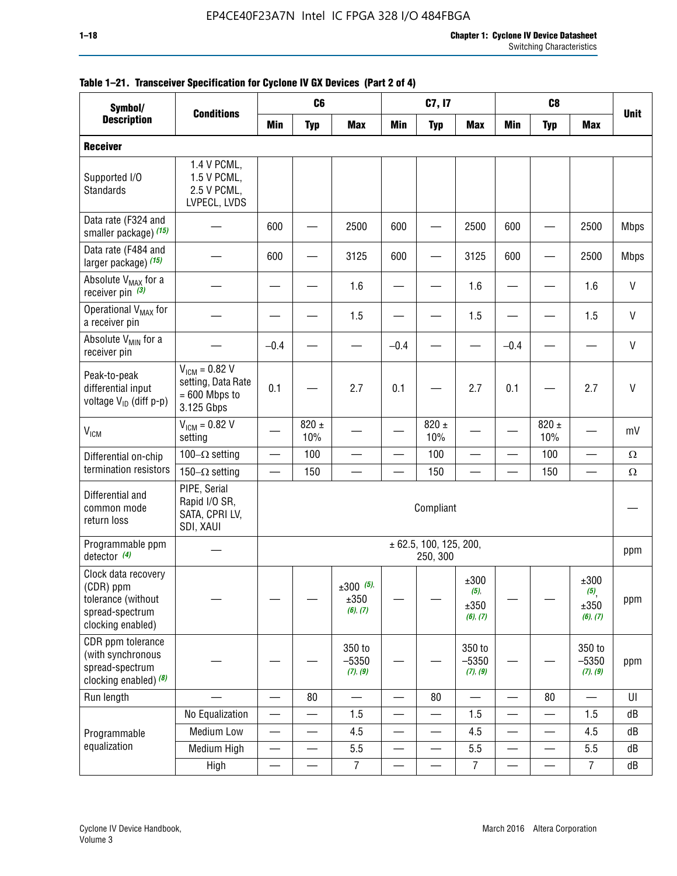| Symbol/                                                                                        |                                                                           |                          | C <sub>6</sub>   |                                    |                          | C7, I7                                 |                                  |            | C <sub>8</sub>           |                                 |              |
|------------------------------------------------------------------------------------------------|---------------------------------------------------------------------------|--------------------------|------------------|------------------------------------|--------------------------|----------------------------------------|----------------------------------|------------|--------------------------|---------------------------------|--------------|
| <b>Description</b>                                                                             | <b>Conditions</b>                                                         | <b>Min</b>               | <b>Typ</b>       | <b>Max</b>                         | <b>Min</b>               | <b>Typ</b>                             | <b>Max</b>                       | <b>Min</b> | <b>Typ</b>               | <b>Max</b>                      | <b>Unit</b>  |
| <b>Receiver</b>                                                                                |                                                                           |                          |                  |                                    |                          |                                        |                                  |            |                          |                                 |              |
| Supported I/O<br>Standards                                                                     | 1.4 V PCML,<br>1.5 V PCML,<br>2.5 V PCML,<br>LVPECL, LVDS                 |                          |                  |                                    |                          |                                        |                                  |            |                          |                                 |              |
| Data rate (F324 and<br>smaller package) (15)                                                   |                                                                           | 600                      |                  | 2500                               | 600                      |                                        | 2500                             | 600        |                          | 2500                            | <b>Mbps</b>  |
| Data rate (F484 and<br>larger package) (15)                                                    |                                                                           | 600                      |                  | 3125                               | 600                      |                                        | 3125                             | 600        | $\overline{\phantom{0}}$ | 2500                            | <b>Mbps</b>  |
| Absolute V <sub>MAX</sub> for a<br>receiver pin $(3)$                                          |                                                                           |                          |                  | 1.6                                |                          |                                        | 1.6                              |            |                          | 1.6                             | $\mathsf{V}$ |
| Operational V <sub>MAX</sub> for<br>a receiver pin                                             |                                                                           |                          |                  | 1.5                                |                          |                                        | 1.5                              |            |                          | 1.5                             | V            |
| Absolute V <sub>MIN</sub> for a<br>receiver pin                                                |                                                                           | $-0.4$                   |                  |                                    | $-0.4$                   |                                        |                                  | $-0.4$     |                          |                                 | $\mathsf{V}$ |
| Peak-to-peak<br>differential input<br>voltage V <sub>ID</sub> (diff p-p)                       | $V_{ICM} = 0.82 V$<br>setting, Data Rate<br>$= 600$ Mbps to<br>3.125 Gbps | 0.1                      |                  | 2.7                                | 0.1                      |                                        | 2.7                              | 0.1        |                          | 2.7                             | $\mathsf{V}$ |
| <b>V<sub>ICM</sub></b>                                                                         | $V_{IGM} = 0.82 V$<br>setting                                             |                          | $820 \pm$<br>10% |                                    |                          | 820 $\pm$<br>10%                       |                                  |            | $820 \pm$<br>10%         |                                 | mV           |
| Differential on-chip                                                                           | 100 $-\Omega$ setting                                                     |                          | 100              |                                    |                          | 100                                    |                                  |            | 100                      |                                 | $\Omega$     |
| termination resistors                                                                          | 150 $-\Omega$ setting                                                     |                          | 150              |                                    |                          | 150                                    |                                  |            | 150                      |                                 | $\Omega$     |
| Differential and<br>common mode<br>return loss                                                 | PIPE, Serial<br>Rapid I/O SR,<br>SATA, CPRI LV,<br>SDI, XAUI              |                          |                  |                                    |                          | Compliant                              |                                  |            |                          |                                 |              |
| Programmable ppm<br>detector $(4)$                                                             |                                                                           |                          |                  |                                    |                          | $\pm$ 62.5, 100, 125, 200,<br>250, 300 |                                  |            |                          |                                 | ppm          |
| Clock data recovery<br>(CDR) ppm<br>tolerance (without<br>spread-spectrum<br>clocking enabled) |                                                                           |                          |                  | $\pm 300$ (5),<br>±350<br>(6), (7) |                          |                                        | ±300<br>(5),<br>±350<br>(6), (7) |            |                          | ±300<br>(5)<br>±350<br>(6), (7) | ppm          |
| CDR ppm tolerance<br>(with synchronous<br>spread-spectrum<br>clocking enabled) $(8)$           |                                                                           |                          |                  | 350 to<br>$-5350$<br>(7), (9)      |                          |                                        | 350 to<br>$-5350$<br>(7), (9)    |            |                          | 350 to<br>$-5350$<br>(7), (9)   | ppm          |
| Run length                                                                                     |                                                                           |                          | 80               |                                    |                          | 80                                     |                                  |            | 80                       |                                 | UI           |
|                                                                                                | No Equalization                                                           | $\overline{\phantom{0}}$ |                  | 1.5                                |                          |                                        | 1.5                              |            |                          | 1.5                             | dB           |
| Programmable                                                                                   | <b>Medium Low</b>                                                         | —                        | —                | 4.5                                | —                        | $\overline{\phantom{0}}$               | 4.5                              |            | $\overline{\phantom{0}}$ | 4.5                             | dB           |
| equalization                                                                                   | Medium High                                                               |                          |                  | 5.5                                |                          |                                        | 5.5                              |            |                          | 5.5                             | dB           |
|                                                                                                | High                                                                      | —                        |                  | $\overline{7}$                     | $\overline{\phantom{0}}$ |                                        | $\overline{7}$                   |            |                          | $\overline{7}$                  | dB           |

#### **Table 1–21. Transceiver Specification for Cyclone IV GX Devices (Part 2 of 4)**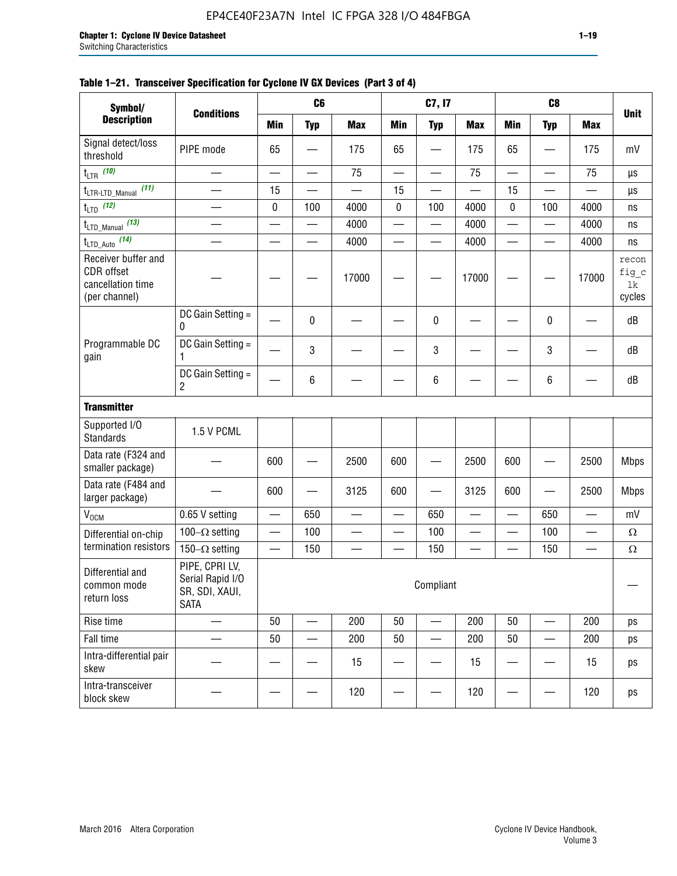| Symbol/                                                                        |                                                                     |           | C <sub>6</sub> |            |            | C7, I7                   |            |                 | C <sub>8</sub> |                 |                                |
|--------------------------------------------------------------------------------|---------------------------------------------------------------------|-----------|----------------|------------|------------|--------------------------|------------|-----------------|----------------|-----------------|--------------------------------|
| <b>Description</b>                                                             | <b>Conditions</b>                                                   | Min       | <b>Typ</b>     | <b>Max</b> | <b>Min</b> | <b>Typ</b>               | <b>Max</b> | <b>Min</b>      | <b>Typ</b>     | <b>Max</b>      | <b>Unit</b>                    |
| Signal detect/loss<br>threshold                                                | PIPE mode                                                           | 65        |                | 175        | 65         |                          | 175        | 65              |                | 175             | mV                             |
| t <sub>LTR</sub> (10)                                                          |                                                                     |           |                | 75         |            | —                        | 75         |                 |                | 75              | $\mu s$                        |
| (11)<br>t <sub>LTR-LTD_Manual</sub>                                            |                                                                     | 15        |                |            | 15         |                          |            | 15              |                |                 | μs                             |
| $t_{\text{LTD}}$ (12)                                                          |                                                                     | $\pmb{0}$ | 100            | 4000       | $\pmb{0}$  | 100                      | 4000       | 0               | 100            | 4000            | ns                             |
| t <sub>LTD_Manual</sub> (13)                                                   |                                                                     |           |                | 4000       | —          | —                        | 4000       |                 |                | 4000            | ns                             |
| t <sub>LTD_Auto</sub> (14)                                                     |                                                                     |           |                | 4000       |            |                          | 4000       |                 |                | 4000            | ns                             |
| Receiver buffer and<br><b>CDR</b> offset<br>cancellation time<br>(per channel) |                                                                     |           |                | 17000      |            |                          | 17000      |                 |                | 17000           | recon<br>fig_c<br>1k<br>cycles |
|                                                                                | DC Gain Setting =<br>0                                              |           | 0              |            |            | $\pmb{0}$                |            |                 | 0              |                 | dB                             |
| Programmable DC<br>gain                                                        | DC Gain Setting =<br>1                                              |           | 3              |            |            | 3                        |            |                 | 3              |                 | dB                             |
|                                                                                | DC Gain Setting =<br>$\overline{2}$                                 |           | 6              |            |            | 6                        |            |                 | 6              |                 | dB                             |
| <b>Transmitter</b>                                                             |                                                                     |           |                |            |            |                          |            |                 |                |                 |                                |
| Supported I/O<br><b>Standards</b>                                              | 1.5 V PCML                                                          |           |                |            |            |                          |            |                 |                |                 |                                |
| Data rate (F324 and<br>smaller package)                                        |                                                                     | 600       |                | 2500       | 600        |                          | 2500       | 600             |                | 2500            | <b>Mbps</b>                    |
| Data rate (F484 and<br>larger package)                                         |                                                                     | 600       |                | 3125       | 600        |                          | 3125       | 600             |                | 2500            | <b>Mbps</b>                    |
| $\rm V_{\rm OCM}$                                                              | 0.65 V setting                                                      |           | 650            |            |            | 650                      |            |                 | 650            |                 | mV                             |
| Differential on-chip                                                           | 100 $-\Omega$ setting                                               | —         | 100            |            |            | 100                      |            | $\qquad \qquad$ | 100            | $\qquad \qquad$ | $\Omega$                       |
| termination resistors                                                          | 150 $-\Omega$ setting                                               |           | 150            |            |            | 150                      |            |                 | 150            |                 | $\Omega$                       |
| Differential and<br>common mode<br>return loss                                 | PIPE, CPRI LV,<br>Serial Rapid I/O<br>SR, SDI, XAUI,<br><b>SATA</b> |           |                |            |            | Compliant                |            |                 |                |                 |                                |
| Rise time                                                                      |                                                                     | 50        |                | 200        | 50         |                          | 200        | 50              |                | 200             | ps                             |
| Fall time                                                                      |                                                                     | 50        |                | 200        | 50         | $\overline{\phantom{0}}$ | 200        | 50              |                | 200             | ps                             |
| Intra-differential pair<br>skew                                                |                                                                     |           |                | 15         |            |                          | 15         |                 |                | 15              | ps                             |
| Intra-transceiver<br>block skew                                                |                                                                     |           |                | 120        |            |                          | 120        |                 |                | 120             | ps                             |

#### **Table 1–21. Transceiver Specification for Cyclone IV GX Devices (Part 3 of 4)**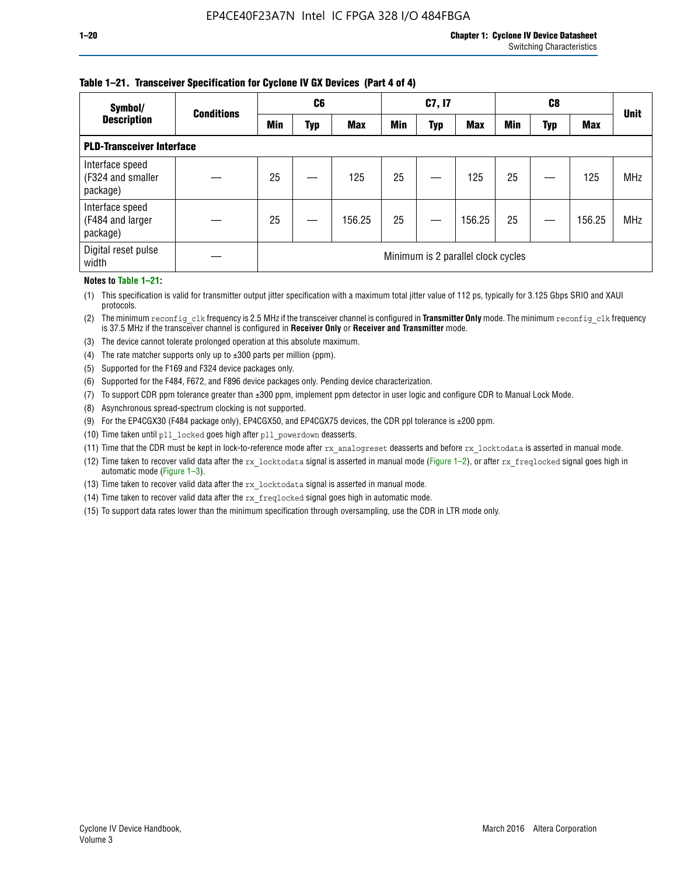#### **Table 1–21. Transceiver Specification for Cyclone IV GX Devices (Part 4 of 4)**

| Symbol/                                          | <b>Conditions</b> |     | C <sub>6</sub> |            |            | C7, I7     |                                    |            | C8  |            | <b>Unit</b> |  |
|--------------------------------------------------|-------------------|-----|----------------|------------|------------|------------|------------------------------------|------------|-----|------------|-------------|--|
| <b>Description</b>                               |                   | Min | Typ            | <b>Max</b> | <b>Min</b> | <b>Typ</b> | <b>Max</b>                         | <b>Min</b> | Typ | <b>Max</b> |             |  |
| <b>PLD-Transceiver Interface</b>                 |                   |     |                |            |            |            |                                    |            |     |            |             |  |
| Interface speed<br>(F324 and smaller<br>package) |                   | 25  |                | 125        | 25         |            | 125                                | 25         |     | 125        | <b>MHz</b>  |  |
| Interface speed<br>(F484 and larger<br>package)  |                   | 25  |                | 156.25     | 25         |            | 156.25                             | 25         |     | 156.25     | <b>MHz</b>  |  |
| Digital reset pulse<br>width                     |                   |     |                |            |            |            | Minimum is 2 parallel clock cycles |            |     |            |             |  |

#### **Notes to Table 1–21:**

(1) This specification is valid for transmitter output jitter specification with a maximum total jitter value of 112 ps, typically for 3.125 Gbps SRIO and XAUI protocols.

(2) The minimum reconfig\_clk frequency is 2.5 MHz if the transceiver channel is configured in **Transmitter Only** mode. The minimum reconfig\_clk frequency is 37.5 MHz if the transceiver channel is configured in **Receiver Only** or **Receiver and Transmitter** mode.

(3) The device cannot tolerate prolonged operation at this absolute maximum.

- (4) The rate matcher supports only up to  $\pm 300$  parts per million (ppm).
- (5) Supported for the F169 and F324 device packages only.
- (6) Supported for the F484, F672, and F896 device packages only. Pending device characterization.
- (7) To support CDR ppm tolerance greater than ±300 ppm, implement ppm detector in user logic and configure CDR to Manual Lock Mode.
- (8) Asynchronous spread-spectrum clocking is not supported.
- (9) For the EP4CGX30 (F484 package only), EP4CGX50, and EP4CGX75 devices, the CDR ppl tolerance is ±200 ppm.
- (10) Time taken until pll\_locked goes high after pll\_powerdown deasserts.
- (11) Time that the CDR must be kept in lock-to-reference mode after rx analogreset deasserts and before rx locktodata is asserted in manual mode.

(12) Time taken to recover valid data after the rx locktodata signal is asserted in manual mode (Figure 1–2), or after rx freqlocked signal goes high in automatic mode (Figure 1–3).

(13) Time taken to recover valid data after the rx locktodata signal is asserted in manual mode.

- (14) Time taken to recover valid data after the rx freqlocked signal goes high in automatic mode.
- (15) To support data rates lower than the minimum specification through oversampling, use the CDR in LTR mode only.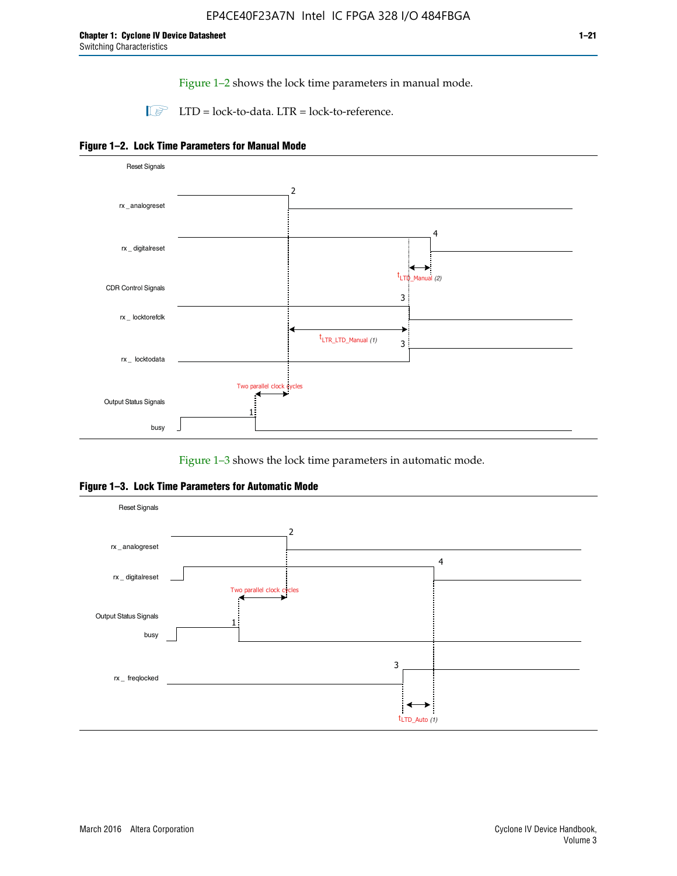Figure 1–2 shows the lock time parameters in manual mode.

 $\Box$  LTD = lock-to-data. LTR = lock-to-reference.





Figure 1–3 shows the lock time parameters in automatic mode.

**Figure 1–3. Lock Time Parameters for Automatic Mode**

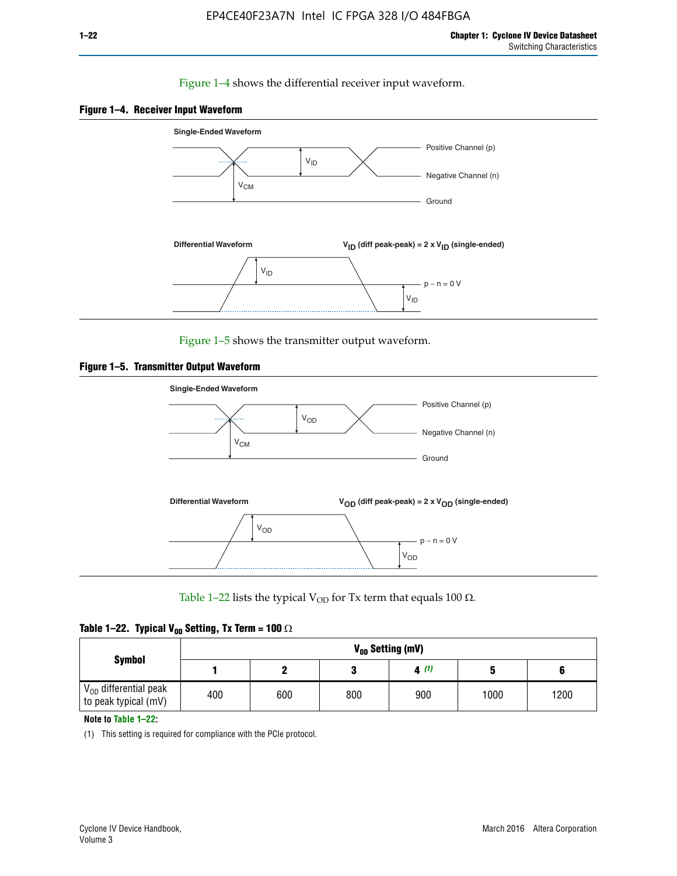#### Figure 1–4 shows the differential receiver input waveform.





Figure 1–5 shows the transmitter output waveform.





Table 1–22 lists the typical V<sub>OD</sub> for Tx term that equals 100  $\Omega$ .

| Table 1–22. Typical V <sub>0D</sub> Setting, Tx Term = 100 $\Omega$ |  |  |  |  |  |  |  |
|---------------------------------------------------------------------|--|--|--|--|--|--|--|
|---------------------------------------------------------------------|--|--|--|--|--|--|--|

|                                                        |     |     |     | V <sub>op</sub> Setting (mV) |      |      |
|--------------------------------------------------------|-----|-----|-----|------------------------------|------|------|
| <b>Symbol</b>                                          |     |     |     | 4(1)                         |      |      |
| $\rm V_{OD}$ differential peak<br>to peak typical (mV) | 400 | 600 | 800 | 900                          | 1000 | 1200 |

**Note to Table 1–22:**

(1) This setting is required for compliance with the PCIe protocol.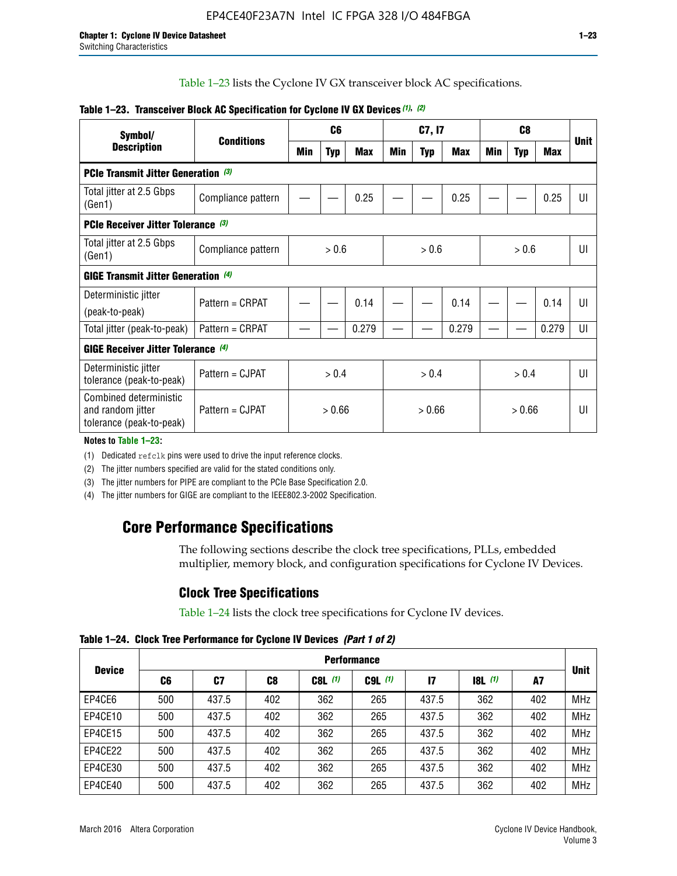Table 1–23 lists the Cyclone IV GX transceiver block AC specifications.

| Table 1–23. Transceiver Block AC Specification for Cyclone IV GX Devices (1), (2) |  |
|-----------------------------------------------------------------------------------|--|
|-----------------------------------------------------------------------------------|--|

| Symbol/                                                                 | <b>Conditions</b>  | C <sub>6</sub>   |            | C7, I7 |        |            | C <sub>8</sub> |              |            |            |             |
|-------------------------------------------------------------------------|--------------------|------------------|------------|--------|--------|------------|----------------|--------------|------------|------------|-------------|
| <b>Description</b>                                                      |                    | <b>Min</b>       | <b>Typ</b> | Max    | Min    | <b>Typ</b> | Max            | Min          | <b>Typ</b> | <b>Max</b> | <b>Unit</b> |
| <b>PCIe Transmit Jitter Generation (3)</b>                              |                    |                  |            |        |        |            |                |              |            |            |             |
| Total jitter at 2.5 Gbps<br>(Gen1)                                      | Compliance pattern |                  |            | 0.25   |        |            | 0.25           |              |            | 0.25       | UI          |
| <b>PCIe Receiver Jitter Tolerance</b> (3)                               |                    |                  |            |        |        |            |                |              |            |            |             |
| Total jitter at 2.5 Gbps<br>(Gen1)                                      | Compliance pattern | > 0.6            |            | > 0.6  |        | > 0.6      |                | $\mathsf{U}$ |            |            |             |
| <b>GIGE Transmit Jitter Generation</b> (4)                              |                    |                  |            |        |        |            |                |              |            |            |             |
| Deterministic jitter<br>(peak-to-peak)                                  | Pattern = CRPAT    |                  |            | 0.14   |        |            | 0.14           |              |            | 0.14       | UI          |
| Total jitter (peak-to-peak)                                             | Pattern = CRPAT    |                  |            | 0.279  |        |            | 0.279          |              |            | 0.279      | UI          |
| <b>GIGE Receiver Jitter Tolerance (4)</b>                               |                    |                  |            |        |        |            |                |              |            |            |             |
| Deterministic jitter<br>tolerance (peak-to-peak)                        | Pattern = CJPAT    | > 0.4            |            | > 0.4  |        |            | > 0.4          |              | UI         |            |             |
| Combined deterministic<br>and random jitter<br>tolerance (peak-to-peak) | Pattern = CJPAT    | > 0.66<br>> 0.66 |            |        | > 0.66 |            | UI             |              |            |            |             |

**Notes to Table 1–23:**

(1) Dedicated refclk pins were used to drive the input reference clocks.

(2) The jitter numbers specified are valid for the stated conditions only.

(3) The jitter numbers for PIPE are compliant to the PCIe Base Specification 2.0.

(4) The jitter numbers for GIGE are compliant to the IEEE802.3-2002 Specification.

# **Core Performance Specifications**

The following sections describe the clock tree specifications, PLLs, embedded multiplier, memory block, and configuration specifications for Cyclone IV Devices.

# **Clock Tree Specifications**

Table 1–24 lists the clock tree specifications for Cyclone IV devices.

**Table 1–24. Clock Tree Performance for Cyclone IV Devices** *(Part 1 of 2)*

|               | <b>Performance</b> |       |     |             |             |       |                  |     |             |
|---------------|--------------------|-------|-----|-------------|-------------|-------|------------------|-----|-------------|
| <b>Device</b> | C6                 | C7    | C8  | $C8L$ $(1)$ | $C9L$ $(1)$ | 17    | <b>18L</b> $(1)$ | A7  | <b>Unit</b> |
| EP4CE6        | 500                | 437.5 | 402 | 362         | 265         | 437.5 | 362              | 402 | <b>MHz</b>  |
| EP4CE10       | 500                | 437.5 | 402 | 362         | 265         | 437.5 | 362              | 402 | <b>MHz</b>  |
| EP4CE15       | 500                | 437.5 | 402 | 362         | 265         | 437.5 | 362              | 402 | <b>MHz</b>  |
| EP4CE22       | 500                | 437.5 | 402 | 362         | 265         | 437.5 | 362              | 402 | <b>MHz</b>  |
| EP4CE30       | 500                | 437.5 | 402 | 362         | 265         | 437.5 | 362              | 402 | <b>MHz</b>  |
| EP4CE40       | 500                | 437.5 | 402 | 362         | 265         | 437.5 | 362              | 402 | <b>MHz</b>  |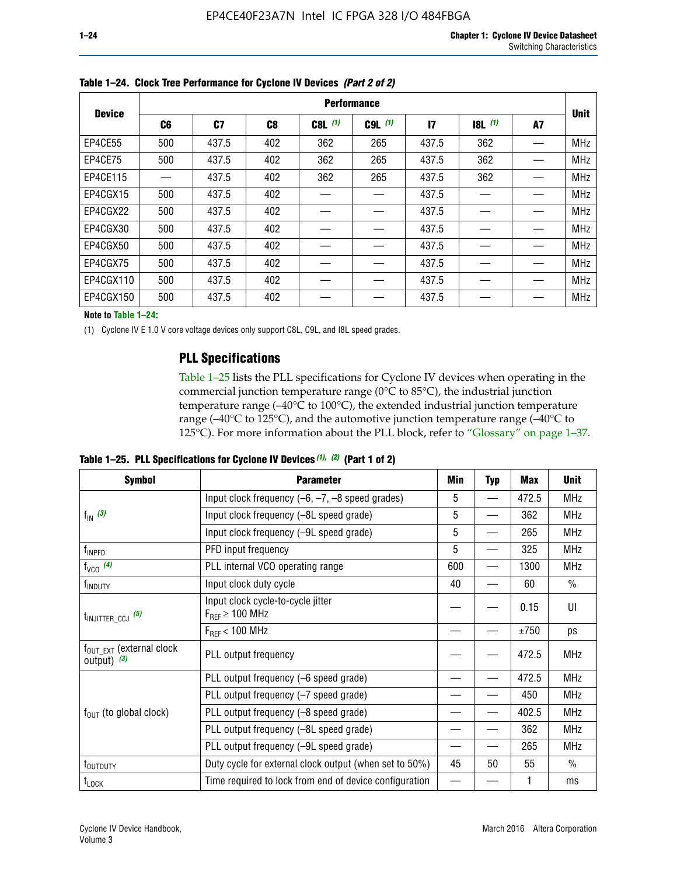|               | <b>Performance</b> |       |                |           |             |              |       |    |             |  |
|---------------|--------------------|-------|----------------|-----------|-------------|--------------|-------|----|-------------|--|
| <b>Device</b> | C <sub>6</sub>     | C7    | C <sub>8</sub> | $C8L$ (1) | $C9L$ $(1)$ | $\mathbf{I}$ | 8L(1) | A7 | <b>Unit</b> |  |
| EP4CE55       | 500                | 437.5 | 402            | 362       | 265         | 437.5        | 362   |    | <b>MHz</b>  |  |
| EP4CE75       | 500                | 437.5 | 402            | 362       | 265         | 437.5        | 362   |    | <b>MHz</b>  |  |
| EP4CE115      |                    | 437.5 | 402            | 362       | 265         | 437.5        | 362   |    | <b>MHz</b>  |  |
| EP4CGX15      | 500                | 437.5 | 402            |           |             | 437.5        |       |    | <b>MHz</b>  |  |
| EP4CGX22      | 500                | 437.5 | 402            |           |             | 437.5        |       |    | <b>MHz</b>  |  |
| EP4CGX30      | 500                | 437.5 | 402            |           |             | 437.5        |       |    | <b>MHz</b>  |  |
| EP4CGX50      | 500                | 437.5 | 402            |           |             | 437.5        |       |    | <b>MHz</b>  |  |
| EP4CGX75      | 500                | 437.5 | 402            |           |             | 437.5        |       |    | <b>MHz</b>  |  |
| EP4CGX110     | 500                | 437.5 | 402            |           |             | 437.5        |       |    | <b>MHz</b>  |  |
| EP4CGX150     | 500                | 437.5 | 402            |           |             | 437.5        |       |    | <b>MHz</b>  |  |

**Table 1–24. Clock Tree Performance for Cyclone IV Devices** *(Part 2 of 2)*

**Note to Table 1–24:**

(1) Cyclone IV E 1.0 V core voltage devices only support C8L, C9L, and I8L speed grades.

### **PLL Specifications**

Table 1–25 lists the PLL specifications for Cyclone IV devices when operating in the commercial junction temperature range (0°C to 85°C), the industrial junction temperature range (–40°C to 100°C), the extended industrial junction temperature range (–40°C to 125°C), and the automotive junction temperature range (–40°C to 125°C). For more information about the PLL block, refer to "Glossary" on page 1–37.

|  |  | Table 1–25. PLL Specifications for Cyclone IV Devices $(1)$ , $(2)$ (Part 1 of 2) |  |
|--|--|-----------------------------------------------------------------------------------|--|
|--|--|-----------------------------------------------------------------------------------|--|

| <b>Symbol</b>                                          | <b>Parameter</b>                                            |     | <b>Typ</b>               | Max   | <b>Unit</b>   |
|--------------------------------------------------------|-------------------------------------------------------------|-----|--------------------------|-------|---------------|
|                                                        | Input clock frequency $(-6, -7, -8)$ speed grades)          |     | —                        | 472.5 | <b>MHz</b>    |
| $f_{\text{IN}}$ (3)                                    | Input clock frequency (-8L speed grade)                     | 5   |                          | 362   | <b>MHz</b>    |
|                                                        | Input clock frequency (-9L speed grade)                     | 5   |                          | 265   | <b>MHz</b>    |
| f <sub>INPFD</sub>                                     | PFD input frequency                                         | 5   |                          | 325   | <b>MHz</b>    |
| $f_{VCO}$ (4)                                          | PLL internal VCO operating range                            | 600 | $\overline{\phantom{0}}$ | 1300  | <b>MHz</b>    |
| f <sub>INDUTY</sub>                                    | Input clock duty cycle                                      | 40  |                          | 60    | $\frac{0}{0}$ |
| $t_{\text{INJITTER\_CCJ}}$ (5)                         | Input clock cycle-to-cycle jitter<br>$F_{REF} \geq 100$ MHz |     |                          | 0.15  | UI            |
|                                                        | $F_{RFF}$ < 100 MHz                                         |     |                          | ±750  | ps            |
| $f_{\text{OUT\_EXT}}$ (external clock<br>output) $(3)$ | PLL output frequency                                        |     |                          | 472.5 | <b>MHz</b>    |
|                                                        | PLL output frequency (-6 speed grade)                       |     |                          | 472.5 | <b>MHz</b>    |
|                                                        | PLL output frequency (-7 speed grade)                       |     |                          | 450   | <b>MHz</b>    |
| $f_{OUT}$ (to global clock)                            | PLL output frequency (-8 speed grade)                       |     |                          | 402.5 | <b>MHz</b>    |
|                                                        | PLL output frequency (-8L speed grade)                      |     |                          | 362   | <b>MHz</b>    |
|                                                        | PLL output frequency (-9L speed grade)                      |     |                          | 265   | <b>MHz</b>    |
| t <sub>outputy</sub>                                   | Duty cycle for external clock output (when set to 50%)      | 45  | 50                       | 55    | $\frac{0}{0}$ |
| $t_{\text{LOCK}}$                                      | Time required to lock from end of device configuration      |     |                          |       | ms            |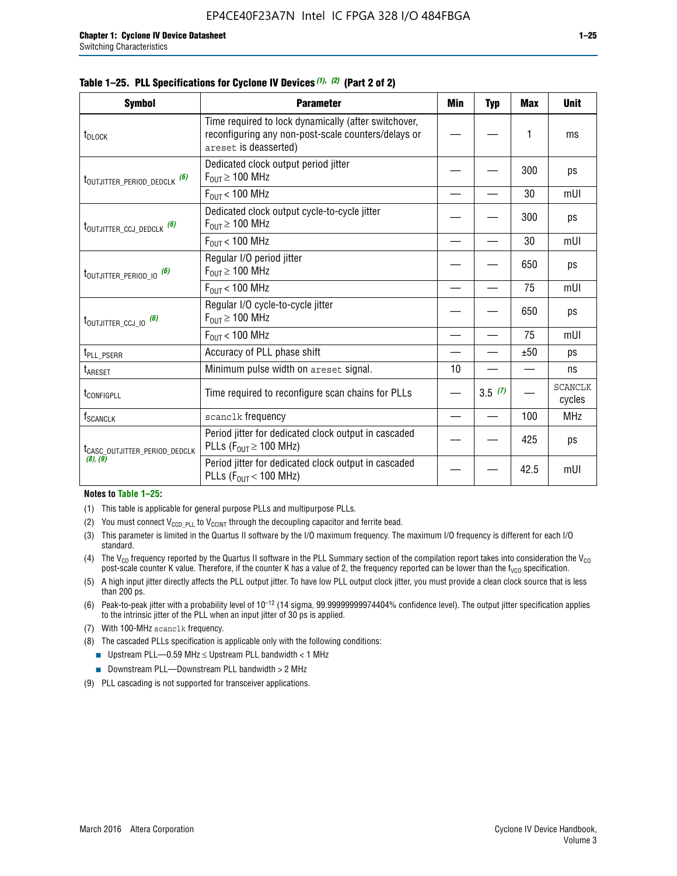|  | Table 1–25. PLL Specifications for Cyclone IV Devices (1), (2) (Part 2 of 2) |  |  |
|--|------------------------------------------------------------------------------|--|--|
|--|------------------------------------------------------------------------------|--|--|

| <b>Symbol</b>                             | <b>Parameter</b>                                                                                                                     | <b>Min</b> | <b>Typ</b> | <b>Max</b> | <b>Unit</b>              |
|-------------------------------------------|--------------------------------------------------------------------------------------------------------------------------------------|------------|------------|------------|--------------------------|
| t <sub>DLOCK</sub>                        | Time required to lock dynamically (after switchover,<br>reconfiguring any non-post-scale counters/delays or<br>areset is deasserted) |            |            | 1          | ms                       |
| t <sub>outjitter_period_dedclk</sub> (6)  | Dedicated clock output period jitter<br>$F_{OIII} \geq 100$ MHz                                                                      |            |            | 300        | ps                       |
|                                           | $F_{OIII}$ < 100 MHz                                                                                                                 |            |            | 30         | mUI                      |
| t <sub>outjitter_ccj_dedclk</sub> (6)     | Dedicated clock output cycle-to-cycle jitter<br>$F_{OUT} \geq 100$ MHz                                                               |            |            | 300        | ps                       |
|                                           | $F_{OUT}$ < 100 MHz                                                                                                                  |            |            | 30         | mUI                      |
| t <sub>outjitter_period_io</sub> (6)      | Regular I/O period jitter<br>$F_{OUT} \geq 100$ MHz                                                                                  |            |            | 650        | ps                       |
|                                           | $F_{OUT}$ < 100 MHz                                                                                                                  |            |            | 75         | mUI                      |
| t <sub>outjitter_ccj_io</sub> (6)         | Regular I/O cycle-to-cycle jitter<br>$F_{OUT} \geq 100$ MHz                                                                          |            |            | 650        | ps                       |
|                                           | $F_{OIII}$ < 100 MHz                                                                                                                 |            |            | 75         | mUI                      |
| t <sub>PLL_PSERR</sub>                    | Accuracy of PLL phase shift                                                                                                          |            |            | ±50        | ps                       |
| $t_{\sf AREF}$                            | Minimum pulse width on areset signal.                                                                                                | 10         |            |            | ns                       |
| t <sub>configpll</sub>                    | Time required to reconfigure scan chains for PLLs                                                                                    |            | 3.5(7)     |            | <b>SCANCLK</b><br>cycles |
| f <sub>SCANCLK</sub>                      | scanclk frequency                                                                                                                    |            |            | 100        | <b>MHz</b>               |
| t <sub>CASC_OUTJITTER_PERIOD_DEDCLK</sub> | Period jitter for dedicated clock output in cascaded<br>PLLs ( $F_{OUT} \ge 100$ MHz)                                                |            |            | 425        | ps                       |
| (8), (9)                                  | Period jitter for dedicated clock output in cascaded<br>PLLs ( $F_{OUT}$ < 100 MHz)                                                  |            |            | 42.5       | mUI                      |

#### **Notes to Table 1–25:**

- (1) This table is applicable for general purpose PLLs and multipurpose PLLs.
- (2) You must connect  $V_{CCD-PLL}$  to  $V_{CCINT}$  through the decoupling capacitor and ferrite bead.
- (3) This parameter is limited in the Quartus II software by the I/O maximum frequency. The maximum I/O frequency is different for each I/O standard.
- (4) The  $V_{CO}$  frequency reported by the Quartus II software in the PLL Summary section of the compilation report takes into consideration the  $V_{CO}$ post-scale counter K value. Therefore, if the counter K has a value of 2, the frequency reported can be lower than the f<sub>VCO</sub> specification.
- (5) A high input jitter directly affects the PLL output jitter. To have low PLL output clock jitter, you must provide a clean clock source that is less than 200 ps.
- (6) Peak-to-peak jitter with a probability level of 10–12 (14 sigma, 99.99999999974404% confidence level). The output jitter specification applies to the intrinsic jitter of the PLL when an input jitter of 30 ps is applied.
- (7) With 100-MHz scanclk frequency.
- (8) The cascaded PLLs specification is applicable only with the following conditions:
	- **■** Upstream PLL—0.59 MHz  $\leq$  Upstream PLL bandwidth  $<$  1 MHz
	- Downstream PLL—Downstream PLL bandwidth > 2 MHz
- (9) PLL cascading is not supported for transceiver applications.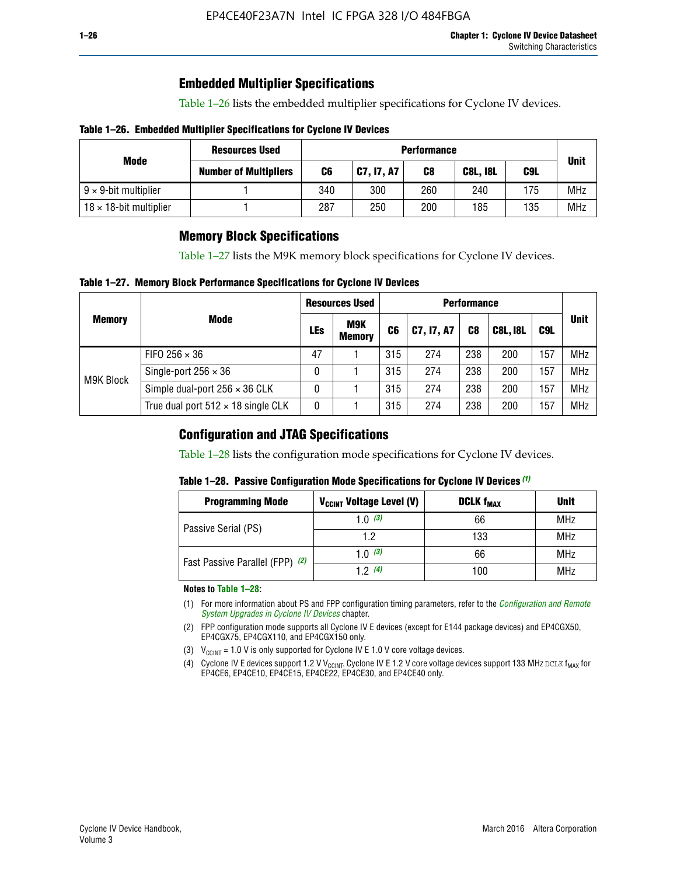# **Embedded Multiplier Specifications**

Table 1–26 lists the embedded multiplier specifications for Cyclone IV devices.

#### **Table 1–26. Embedded Multiplier Specifications for Cyclone IV Devices**

|                                | <b>Resources Used</b>        | <b>Performance</b> |            |     |                 |     |             |
|--------------------------------|------------------------------|--------------------|------------|-----|-----------------|-----|-------------|
| Mode                           | <b>Number of Multipliers</b> | C6                 | C7, I7, A7 | C8  | <b>C8L, I8L</b> | C9L | <b>Unit</b> |
| $9 \times 9$ -bit multiplier   |                              | 340                | 300        | 260 | 240             | 175 | <b>MHz</b>  |
| $18 \times 18$ -bit multiplier |                              | 287                | 250        | 200 | 185             | 135 | <b>MHz</b>  |

# **Memory Block Specifications**

Table 1–27 lists the M9K memory block specifications for Cyclone IV devices.

#### **Table 1–27. Memory Block Performance Specifications for Cyclone IV Devices**

|               |                                           | <b>Resources Used</b> |                             | <b>Performance</b> |            |                |                 |     |             |
|---------------|-------------------------------------------|-----------------------|-----------------------------|--------------------|------------|----------------|-----------------|-----|-------------|
| <b>Memory</b> | <b>Mode</b>                               | LEs                   | <b>M9K</b><br><b>Memory</b> | C <sub>6</sub>     | C7, I7, A7 | C <sub>8</sub> | <b>C8L, I8L</b> | C9L | <b>Unit</b> |
| M9K Block     | FIFO 256 $\times$ 36                      | 47                    |                             | 315                | 274        | 238            | 200             | 157 | <b>MHz</b>  |
|               | Single-port $256 \times 36$               | 0                     |                             | 315                | 274        | 238            | 200             | 157 | <b>MHz</b>  |
|               | Simple dual-port $256 \times 36$ CLK      | 0                     |                             | 315                | 274        | 238            | 200             | 157 | <b>MHz</b>  |
|               | True dual port $512 \times 18$ single CLK | 0                     |                             | 315                | 274        | 238            | 200             | 157 | <b>MHz</b>  |

### **Configuration and JTAG Specifications**

Table 1–28 lists the configuration mode specifications for Cyclone IV devices.

#### **Table 1–28. Passive Configuration Mode Specifications for Cyclone IV Devices** *(1)*

| <b>Programming Mode</b>         | V <sub>CCINT</sub> Voltage Level (V)          | <b>DCLK f<sub>MAX</sub></b> | <b>Unit</b> |
|---------------------------------|-----------------------------------------------|-----------------------------|-------------|
| Passive Serial (PS)             | 1.0 $(3)$                                     | 66                          | MHz         |
|                                 | 1.2<br>133<br>1.0 $(3)$<br>66<br>12(4)<br>100 | MHz                         |             |
| Fast Passive Parallel (FPP) (2) |                                               |                             | <b>MHz</b>  |
|                                 |                                               |                             | <b>MHz</b>  |

#### **Notes to Table 1–28:**

- (1) For more information about PS and FPP configuration timing parameters, refer to the *[Configuration and Remote](http://www.altera.com/literature/hb/cyclone-iv/cyiv-51008.pdf)  [System Upgrades in Cyclone IV Devices](http://www.altera.com/literature/hb/cyclone-iv/cyiv-51008.pdf)* chapter.
- (2) FPP configuration mode supports all Cyclone IV E devices (except for E144 package devices) and EP4CGX50, EP4CGX75, EP4CGX110, and EP4CGX150 only.
- (3)  $V_{CCMT}$  = 1.0 V is only supported for Cyclone IV E 1.0 V core voltage devices.
- (4) Cyclone IV E devices support 1.2 V V<sub>CCINT</sub>. Cyclone IV E 1.2 V core voltage devices support 133 MHz DCLK f<sub>MAX</sub> for EP4CE6, EP4CE10, EP4CE15, EP4CE22, EP4CE30, and EP4CE40 only.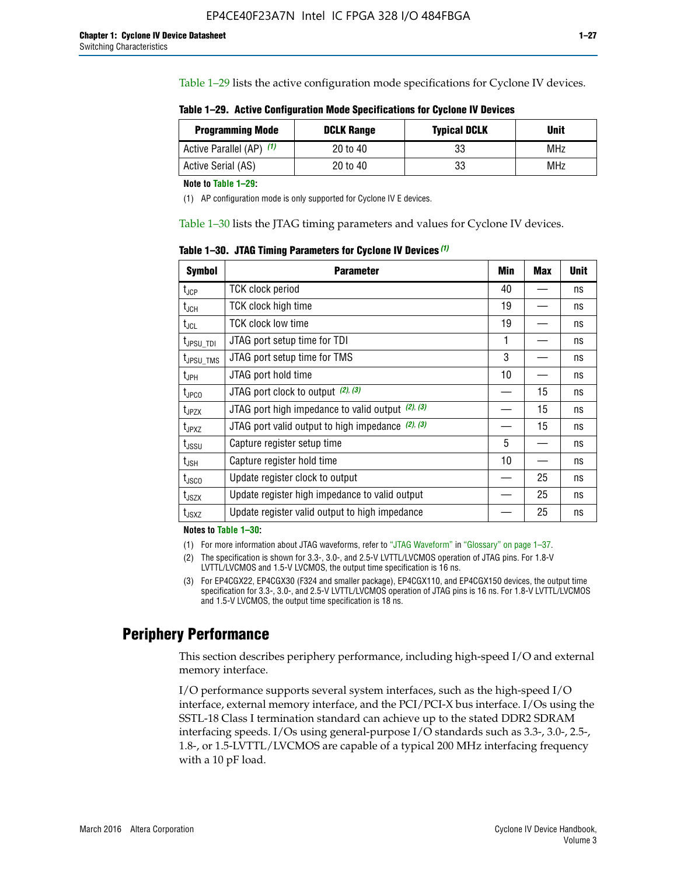Table 1–29 lists the active configuration mode specifications for Cyclone IV devices.

**Table 1–29. Active Configuration Mode Specifications for Cyclone IV Devices**

| <b>Programming Mode</b>  | <b>DCLK Range</b> | <b>Typical DCLK</b> | Unit |
|--------------------------|-------------------|---------------------|------|
| Active Parallel (AP) (1) | 20 to 40          | 33                  | MHz  |
| Active Serial (AS)       | 20 to 40          | 33                  | MHz  |

**Note to Table 1–29:**

(1) AP configuration mode is only supported for Cyclone IV E devices.

Table 1–30 lists the JTAG timing parameters and values for Cyclone IV devices.

**Table 1–30. JTAG Timing Parameters for Cyclone IV Devices** *(1)*

| <b>Symbol</b>         | <b>Parameter</b>                                       | Min | <b>Max</b> | <b>Unit</b> |
|-----------------------|--------------------------------------------------------|-----|------------|-------------|
| $t_{JCP}$             | <b>TCK clock period</b>                                | 40  |            | ns          |
| $t_{\rm JCH}$         | TCK clock high time                                    | 19  |            | ns          |
| $t_{JCL}$             | TCK clock low time                                     | 19  |            | ns          |
| t <sub>JPSU_TDI</sub> | JTAG port setup time for TDI                           | 1   |            | ns          |
| t <sub>JPSU_TMS</sub> | JTAG port setup time for TMS                           | 3   |            | ns          |
| t <sub>JPH</sub>      | JTAG port hold time                                    | 10  |            | ns          |
| t <sub>JPCO</sub>     | JTAG port clock to output (2), (3)                     |     | 15         | ns          |
| $t_{JPZX}$            | JTAG port high impedance to valid output $(2)$ , $(3)$ |     | 15         | ns          |
| t <sub>JPXZ</sub>     | JTAG port valid output to high impedance $(2)$ , $(3)$ |     | 15         | ns          |
| $t_{\rm JSSU}$        | Capture register setup time                            | 5   |            | ns          |
| $t_{\mathsf{JSH}}$    | Capture register hold time                             | 10  |            | ns          |
| $t_{\rm JSCO}$        | Update register clock to output                        |     | 25         | ns          |
| $t_{\text{JSZX}}$     | Update register high impedance to valid output         |     | 25         | ns          |
| t <sub>JSXZ</sub>     | Update register valid output to high impedance         |     | 25         | ns          |

**Notes to Table 1–30:**

(1) For more information about JTAG waveforms, refer to "JTAG Waveform" in "Glossary" on page 1–37.

(2) The specification is shown for 3.3-, 3.0-, and 2.5-V LVTTL/LVCMOS operation of JTAG pins. For 1.8-V LVTTL/LVCMOS and 1.5-V LVCMOS, the output time specification is 16 ns.

(3) For EP4CGX22, EP4CGX30 (F324 and smaller package), EP4CGX110, and EP4CGX150 devices, the output time specification for 3.3-, 3.0-, and 2.5-V LVTTL/LVCMOS operation of JTAG pins is 16 ns. For 1.8-V LVTTL/LVCMOS and 1.5-V LVCMOS, the output time specification is 18 ns.

# **Periphery Performance**

This section describes periphery performance, including high-speed I/O and external memory interface.

I/O performance supports several system interfaces, such as the high-speed I/O interface, external memory interface, and the PCI/PCI-X bus interface. I/Os using the SSTL-18 Class I termination standard can achieve up to the stated DDR2 SDRAM interfacing speeds. I/Os using general-purpose I/O standards such as 3.3-, 3.0-, 2.5-, 1.8-, or 1.5-LVTTL/LVCMOS are capable of a typical 200 MHz interfacing frequency with a 10 pF load.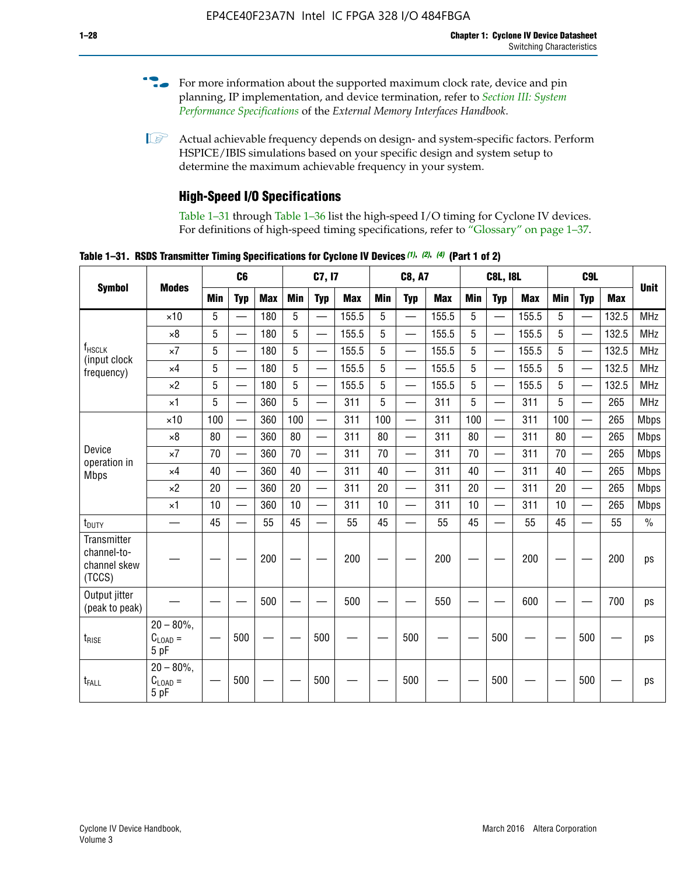- For more information about the supported maximum clock rate, device and pin planning, IP implementation, and device termination, refer to *[Section III: System](http://www.altera.com/literature/hb/external-memory/emi_intro_specs.pdf)  [Performance Specifications](http://www.altera.com/literature/hb/external-memory/emi_intro_specs.pdf)* of the *External Memory Interfaces Handbook*.
- **1 Actual achievable frequency depends on design- and system-specific factors. Perform** HSPICE/IBIS simulations based on your specific design and system setup to determine the maximum achievable frequency in your system.

### **High-Speed I/O Specifications**

Table 1–31 through Table 1–36 list the high-speed I/O timing for Cyclone IV devices. For definitions of high-speed timing specifications, refer to "Glossary" on page 1–37.

**Table 1–31. RSDS Transmitter Timing Specifications for Cyclone IV Devices** *(1)***,** *(2)***,** *(4)* **(Part 1 of 2)**

|                                                      |                                     |            | C <sub>6</sub>           |            |            | C7, I7                   |            |            | <b>C8, A7</b>            |            |            | <b>C8L, I8L</b>          |            |     | C <sub>9</sub> L         |            |             |
|------------------------------------------------------|-------------------------------------|------------|--------------------------|------------|------------|--------------------------|------------|------------|--------------------------|------------|------------|--------------------------|------------|-----|--------------------------|------------|-------------|
| <b>Symbol</b>                                        | <b>Modes</b>                        | <b>Min</b> | <b>Typ</b>               | <b>Max</b> | <b>Min</b> | <b>Typ</b>               | <b>Max</b> | <b>Min</b> | <b>Typ</b>               | <b>Max</b> | <b>Min</b> | <b>Typ</b>               | <b>Max</b> | Min | <b>Typ</b>               | <b>Max</b> | <b>Unit</b> |
|                                                      | $\times$ 10                         | 5          | $\overline{\phantom{0}}$ | 180        | 5          | $\overline{\phantom{0}}$ | 155.5      | 5          | $\overline{\phantom{0}}$ | 155.5      | 5          | $\overline{\phantom{0}}$ | 155.5      | 5   |                          | 132.5      | <b>MHz</b>  |
|                                                      | $\times 8$                          | 5          |                          | 180        | 5          |                          | 155.5      | 5          | $\overline{\phantom{0}}$ | 155.5      | 5          |                          | 155.5      | 5   |                          | 132.5      | <b>MHz</b>  |
| f <sub>HSCLK</sub><br>(input clock                   | $\times 7$                          | 5          |                          | 180        | 5          |                          | 155.5      | 5          | $\overline{\phantom{0}}$ | 155.5      | 5          |                          | 155.5      | 5   |                          | 132.5      | <b>MHz</b>  |
| frequency)                                           | $\times$ 4                          | 5          | $\overline{\phantom{0}}$ | 180        | 5          |                          | 155.5      | 5          | $\overline{\phantom{0}}$ | 155.5      | 5          |                          | 155.5      | 5   |                          | 132.5      | <b>MHz</b>  |
|                                                      | $\times 2$                          | 5          | $\overline{\phantom{m}}$ | 180        | 5          | —                        | 155.5      | 5          | $\overline{\phantom{0}}$ | 155.5      | 5          | —                        | 155.5      | 5   | —                        | 132.5      | <b>MHz</b>  |
|                                                      | $\times$ 1                          | 5          | $\overline{\phantom{0}}$ | 360        | 5          | $\overline{\phantom{0}}$ | 311        | 5          | $\qquad \qquad$          | 311        | 5          | —                        | 311        | 5   | —                        | 265        | <b>MHz</b>  |
|                                                      | $\times$ 10                         | 100        | $\overline{\phantom{0}}$ | 360        | 100        |                          | 311        | 100        | $\overline{\phantom{0}}$ | 311        | 100        | $\overline{\phantom{0}}$ | 311        | 100 |                          | 265        | <b>Mbps</b> |
|                                                      | $\times 8$                          | 80         | $\overline{\phantom{0}}$ | 360        | 80         |                          | 311        | 80         | $\overline{\phantom{0}}$ | 311        | 80         | $\overline{\phantom{0}}$ | 311        | 80  |                          | 265        | <b>Mbps</b> |
| Device<br>operation in                               | $\times 7$                          | 70         |                          | 360        | 70         | $\equiv$                 | 311        | 70         | $\overline{\phantom{0}}$ | 311        | 70         | $\overline{\phantom{0}}$ | 311        | 70  | $\equiv$                 | 265        | <b>Mbps</b> |
| <b>Mbps</b>                                          | $\times$ 4                          | 40         |                          | 360        | 40         |                          | 311        | 40         | $\overline{\phantom{0}}$ | 311        | 40         | $\overline{\phantom{0}}$ | 311        | 40  | $\overline{\phantom{0}}$ | 265        | <b>Mbps</b> |
|                                                      | $\times 2$                          | 20         |                          | 360        | 20         |                          | 311        | 20         |                          | 311        | 20         |                          | 311        | 20  | $\overline{\phantom{0}}$ | 265        | <b>Mbps</b> |
|                                                      | $\times$ 1                          | 10         |                          | 360        | 10         |                          | 311        | 10         | $\overline{\phantom{0}}$ | 311        | 10         | $\overline{\phantom{0}}$ | 311        | 10  | $\overline{\phantom{0}}$ | 265        | <b>Mbps</b> |
| $t_{\text{DUTY}}$                                    | $\overline{\phantom{0}}$            | 45         | $\overline{\phantom{0}}$ | 55         | 45         |                          | 55         | 45         | $\overline{\phantom{0}}$ | 55         | 45         |                          | 55         | 45  |                          | 55         | $\%$        |
| Transmitter<br>channel-to-<br>channel skew<br>(TCCS) |                                     |            |                          | 200        |            |                          | 200        |            |                          | 200        |            |                          | 200        |     |                          | 200        | ps          |
| Output jitter<br>(peak to peak)                      |                                     |            |                          | 500        |            |                          | 500        |            |                          | 550        |            |                          | 600        |     |                          | 700        | ps          |
| $t_{\text{RISE}}$                                    | $20 - 80\%$<br>$C_{LOAD} =$<br>5 pF |            | 500                      |            |            | 500                      |            |            | 500                      |            |            | 500                      |            |     | 500                      |            | ps          |
| t <sub>FALL</sub>                                    | $20 - 80\%$<br>$C_{LOAD}$ =<br>5 pF |            | 500                      |            |            | 500                      |            |            | 500                      |            |            | 500                      |            |     | 500                      |            | ps          |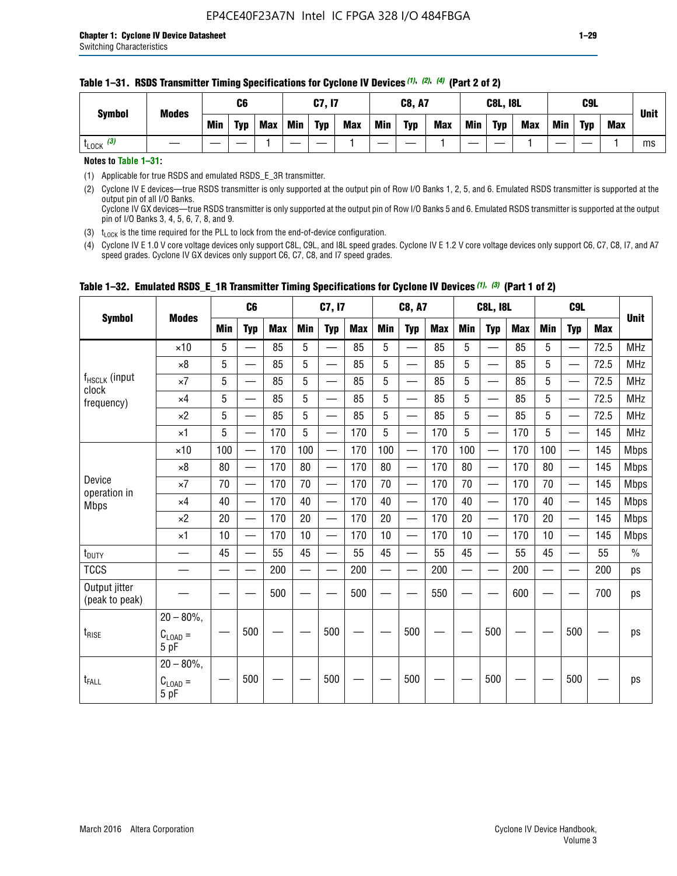#### **Table 1–31. RSDS Transmitter Timing Specifications for Cyclone IV Devices** *(1)***,** *(2)***,** *(4)* **(Part 2 of 2)**

**Notes to Table 1–31:**

(1) Applicable for true RSDS and emulated RSDS\_E\_3R transmitter.

(2) Cyclone IV E devices—true RSDS transmitter is only supported at the output pin of Row I/O Banks 1, 2, 5, and 6. Emulated RSDS transmitter is supported at the output pin of all I/O Banks. Cyclone IV GX devices—true RSDS transmitter is only supported at the output pin of Row I/O Banks 5 and 6. Emulated RSDS transmitter is supported at the output

pin of I/O Banks 3, 4, 5, 6, 7, 8, and 9.

(3)  $t_{\text{LOCK}}$  is the time required for the PLL to lock from the end-of-device configuration.

(4) Cyclone IV E 1.0 V core voltage devices only support C8L, C9L, and I8L speed grades. Cyclone IV E 1.2 V core voltage devices only support C6, C7, C8, I7, and A7 speed grades. Cyclone IV GX devices only support C6, C7, C8, and I7 speed grades.

| <b>Symbol</b>                   |                                              |     | C <sub>6</sub>           |     |            | C7, I7                   |            |                                                                                                                                                                                                                                | <b>C8, A7</b>                  |            |            | <b>C8L, I8L</b>          |            |            | C <sub>9</sub> L         |            | <b>Unit</b>   |
|---------------------------------|----------------------------------------------|-----|--------------------------|-----|------------|--------------------------|------------|--------------------------------------------------------------------------------------------------------------------------------------------------------------------------------------------------------------------------------|--------------------------------|------------|------------|--------------------------|------------|------------|--------------------------|------------|---------------|
|                                 | <b>Modes</b>                                 | Min | <b>Typ</b>               | Max | <b>Min</b> | <b>Typ</b>               | <b>Max</b> | <b>Min</b>                                                                                                                                                                                                                     | <b>Typ</b>                     | <b>Max</b> | <b>Min</b> | <b>Typ</b>               | <b>Max</b> | <b>Min</b> | <b>Typ</b>               | <b>Max</b> |               |
|                                 | $\times$ 10                                  | 5   | $\equiv$                 | 85  | 5          |                          | 85         | 5                                                                                                                                                                                                                              | $\overline{\phantom{0}}$       | 85         | 5          | $\overline{\phantom{0}}$ | 85         | 5          |                          | 72.5       | <b>MHz</b>    |
|                                 | $\times 8$                                   | 5   | $\equiv$                 | 85  | 5          | $\sim$                   | 85         | 5                                                                                                                                                                                                                              | —                              | 85         | 5          | $\overline{\phantom{0}}$ | 85         | 5          |                          | 72.5       | <b>MHz</b>    |
| f <sub>HSCLK</sub> (input       | $\times 7$                                   | 5   | $\overline{\phantom{0}}$ | 85  | 5          |                          | 85         | 5                                                                                                                                                                                                                              | —                              | 85         | 5          | —                        | 85         | 5          |                          | 72.5       | <b>MHz</b>    |
| clock<br>frequency)             | $\times$ 4                                   | 5   | —                        | 85  | 5          | $\overline{\phantom{a}}$ | 85         | 5                                                                                                                                                                                                                              | $\overline{\phantom{0}}$       | 85         | 5          | $\overline{\phantom{0}}$ | 85         | 5          |                          | 72.5       | <b>MHz</b>    |
|                                 | $\times 2$                                   | 5   | $\qquad \qquad$          | 85  | 5          | $\sim$                   | 85         | 5                                                                                                                                                                                                                              | $\overline{\phantom{0}}$       | 85         | 5          | $\overline{\phantom{0}}$ | 85         | 5          |                          | 72.5       | <b>MHz</b>    |
|                                 | $\times$ 1                                   | 5   | —                        | 170 | 5          |                          | 170        | 5                                                                                                                                                                                                                              | $\overline{\phantom{0}}$       | 170        | 5          | $\overline{\phantom{0}}$ | 170        | 5          |                          | 145        | <b>MHz</b>    |
|                                 | $\times$ 10                                  | 100 | $\overline{\phantom{0}}$ | 170 | 100        |                          | 170        | 100                                                                                                                                                                                                                            | $\overline{\phantom{0}}$       | 170        | 100        | $\overline{\phantom{0}}$ | 170        | 100        |                          | 145        | <b>Mbps</b>   |
|                                 | $\times 8$                                   | 80  | $\overline{\phantom{0}}$ | 170 | 80         | $\overline{\phantom{0}}$ | 170        | 80                                                                                                                                                                                                                             | $\overline{\phantom{0}}$       | 170        | 80         | $\overline{\phantom{0}}$ | 170        | 80         |                          | 145        | <b>Mbps</b>   |
| Device                          | $\times 7$                                   | 70  | $\qquad \qquad$          | 170 | 70         | —                        | 170        | 70                                                                                                                                                                                                                             | $\qquad \qquad \longleftarrow$ | 170        | 70         | $\overline{\phantom{0}}$ | 170        | 70         | $\hspace{0.05cm}$        | 145        | Mbps          |
| operation in<br><b>Mbps</b>     | $\times$ 4                                   | 40  | $\qquad \qquad$          | 170 | 40         | —                        | 170        | 40                                                                                                                                                                                                                             | $\overline{\phantom{0}}$       | 170        | 40         | $\overline{\phantom{0}}$ | 170        | 40         |                          | 145        | <b>Mbps</b>   |
|                                 | $\times 2$                                   | 20  | $\overline{\phantom{0}}$ | 170 | 20         | —<br>—                   | 170        | 20                                                                                                                                                                                                                             | $\overline{\phantom{0}}$       | 170        | 20         | $\overline{\phantom{0}}$ | 170        | 20         | $\overline{\phantom{0}}$ | 145        | <b>Mbps</b>   |
|                                 | $\times$ 1                                   | 10  | $\overline{\phantom{0}}$ | 170 | 10         | $\overline{\phantom{0}}$ | 170        | 10                                                                                                                                                                                                                             | $\overline{\phantom{0}}$       | 170        | 10         | $\overline{\phantom{0}}$ | 170        | 10         | $\overline{\phantom{0}}$ | 145        | <b>Mbps</b>   |
| $t_{\text{DUTY}}$               |                                              | 45  |                          | 55  | 45         |                          | 55         | 45                                                                                                                                                                                                                             |                                | 55         | 45         | $\overline{\phantom{0}}$ | 55         | 45         |                          | 55         | $\frac{0}{0}$ |
| <b>TCCS</b>                     |                                              |     |                          | 200 |            |                          | 200        | e de la provincia de la provincia de la provincia de la provincia de la provincia de la provincia de la provincia de la provincia de la provincia de la provincia de la provincia de la provincia de la provincia de la provin |                                | 200        |            | $\overline{\phantom{0}}$ | 200        |            |                          | 200        | ps            |
| Output jitter<br>(peak to peak) |                                              |     |                          | 500 |            |                          | 500        |                                                                                                                                                                                                                                |                                | 550        |            |                          | 600        |            |                          | 700        | ps            |
| $t_{\text{RISE}}$               | $20 - 80\%$ ,<br>$C_{\text{LOAD}} =$<br>5 pF |     | 500                      |     |            | 500                      |            |                                                                                                                                                                                                                                | 500                            |            |            | 500                      |            |            | 500                      |            | ps            |
| $t_{FALL}$                      | $20 - 80\%$ ,<br>$C_{LOAD} =$<br>5 pF        |     | 500                      |     |            | 500                      |            |                                                                                                                                                                                                                                | 500                            |            |            | 500                      |            |            | 500                      |            | ps            |

### **Table 1–32. Emulated RSDS\_E\_1R Transmitter Timing Specifications for Cyclone IV Devices** *(1), (3)* **(Part 1 of 2)**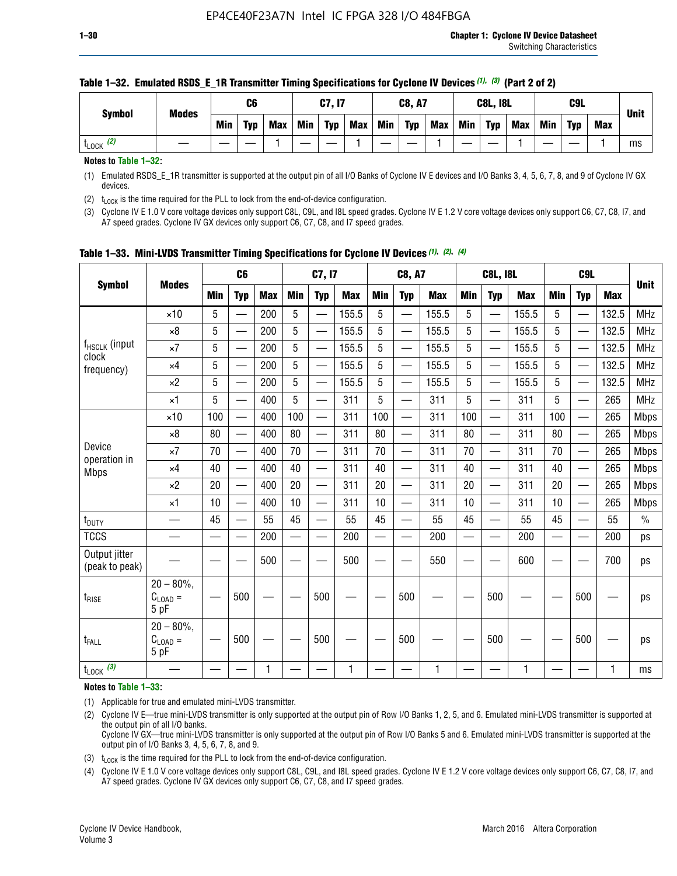| <b>Symbol</b>        | <b>Modes</b> |            | C6         |            |            | C7, I7     |            |     | <b>C8, A7</b> |            |            | <b>C8L, I8L</b> |            |     | C9L        |            | <b>Unit</b> |
|----------------------|--------------|------------|------------|------------|------------|------------|------------|-----|---------------|------------|------------|-----------------|------------|-----|------------|------------|-------------|
|                      |              | <b>Min</b> | <b>Typ</b> | <b>Max</b> | <b>Min</b> | <b>Typ</b> | <b>Max</b> | Min | <b>Typ</b>    | <b>Max</b> | <b>Min</b> | <b>Typ</b>      | <b>Max</b> | Min | <b>Typ</b> | <b>Max</b> |             |
| (2)<br><b>L</b> LOCK |              |            |            |            |            |            |            |     |               |            |            |                 |            |     |            |            | ms          |

#### **Table 1–32. Emulated RSDS\_E\_1R Transmitter Timing Specifications for Cyclone IV Devices** *(1), (3)* **(Part 2 of 2)**

**Notes to Table 1–32:**

(1) Emulated RSDS\_E\_1R transmitter is supported at the output pin of all I/O Banks of Cyclone IV E devices and I/O Banks 3, 4, 5, 6, 7, 8, and 9 of Cyclone IV GX devices.

(2)  $t_{\text{LOCK}}$  is the time required for the PLL to lock from the end-of-device configuration.

(3) Cyclone IV E 1.0 V core voltage devices only support C8L, C9L, and I8L speed grades. Cyclone IV E 1.2 V core voltage devices only support C6, C7, C8, I7, and A7 speed grades. Cyclone IV GX devices only support C6, C7, C8, and I7 speed grades.

| <b>Symbol</b>                   |                                       |            | C <sub>6</sub>           |            |            | C7, I7                   |            |            | <b>C8, A7</b>            |            |                          | <b>C8L, I8L</b>          |            |            | C <sub>9</sub> L |            |               |
|---------------------------------|---------------------------------------|------------|--------------------------|------------|------------|--------------------------|------------|------------|--------------------------|------------|--------------------------|--------------------------|------------|------------|------------------|------------|---------------|
|                                 | <b>Modes</b>                          | <b>Min</b> | <b>Typ</b>               | <b>Max</b> | <b>Min</b> | <b>Typ</b>               | <b>Max</b> | <b>Min</b> | <b>Typ</b>               | <b>Max</b> | <b>Min</b>               | <b>Typ</b>               | <b>Max</b> | <b>Min</b> | <b>Typ</b>       | <b>Max</b> | <b>Unit</b>   |
|                                 | $\times$ 10                           | 5          | —<br>—                   | 200        | 5          |                          | 155.5      | 5          | ÷,                       | 155.5      | 5                        | $\overline{\phantom{0}}$ | 155.5      | 5          |                  | 132.5      | <b>MHz</b>    |
|                                 | $\times 8$                            | 5          | $\overline{\phantom{0}}$ | 200        | 5          | $\overline{\phantom{0}}$ | 155.5      | 5          | —                        | 155.5      | 5                        |                          | 155.5      | 5          |                  | 132.5      | <b>MHz</b>    |
| f <sub>HSCLK</sub> (input       | $\times 7$                            | 5          | $\overline{\phantom{0}}$ | 200        | 5          | —                        | 155.5      | 5          | $\overline{\phantom{0}}$ | 155.5      | 5                        |                          | 155.5      | 5          | —                | 132.5      | <b>MHz</b>    |
| clock<br>frequency)             | $\times$ 4                            | 5          | $\overline{\phantom{0}}$ | 200        | 5          | —                        | 155.5      | 5          | $\overline{\phantom{0}}$ | 155.5      | 5                        | $\overline{\phantom{0}}$ | 155.5      | 5          | —                | 132.5      | <b>MHz</b>    |
|                                 | $\times 2$                            | 5          | $\overline{\phantom{0}}$ | 200        | 5          | $\overline{\phantom{0}}$ | 155.5      | 5          | $\overline{\phantom{0}}$ | 155.5      | 5                        | $\overline{\phantom{0}}$ | 155.5      | 5          |                  | 132.5      | <b>MHz</b>    |
|                                 | $\times$ 1                            | 5          | $\overline{\phantom{0}}$ | 400        | 5          |                          | 311        | 5          | —                        | 311        | 5                        | $\overline{\phantom{0}}$ | 311        | 5          |                  | 265        | <b>MHz</b>    |
|                                 | $\times$ 10                           | 100        |                          | 400        | 100        | $\overline{\phantom{0}}$ | 311        | 100        | $\overline{\phantom{0}}$ | 311        | 100                      | $\overline{\phantom{0}}$ | 311        | 100        |                  | 265        | <b>Mbps</b>   |
|                                 | $\times 8$                            | 80         | $\overline{\phantom{0}}$ | 400        | 80         | $\equiv$                 | 311        | 80         | $\overline{\phantom{0}}$ | 311        | 80                       | —                        | 311        | 80         |                  | 265        | <b>Mbps</b>   |
| Device                          | $\times 7$                            | 70         | $\overline{\phantom{0}}$ | 400        | 70         | $\overline{\phantom{0}}$ | 311        | 70         | $\qquad \qquad$          | 311        | 70                       |                          | 311        | 70         |                  | 265        | <b>Mbps</b>   |
| operation in<br><b>Mbps</b>     | $\times 4$                            | 40         | $\overline{\phantom{0}}$ | 400        | 40         |                          | 311        | 40         | eri                      | 311        | 40                       | $\overline{\phantom{0}}$ | 311        | 40         |                  | 265        | <b>Mbps</b>   |
|                                 | $\times 2$                            | 20         | $\overline{\phantom{0}}$ | 400        | 20         | —                        | 311        | 20         | $\overline{\phantom{0}}$ | 311        | 20                       | $\overline{\phantom{0}}$ | 311        | 20         |                  | 265        | <b>Mbps</b>   |
|                                 | ×1                                    | 10         | $\overline{\phantom{0}}$ | 400        | 10         | —                        | 311        | 10         | $\overline{\phantom{0}}$ | 311        | 10                       | $\overline{\phantom{0}}$ | 311        | 10         |                  | 265        | <b>Mbps</b>   |
| t <sub>DUTY</sub>               |                                       | 45         |                          | 55         | 45         |                          | 55         | 45         | $\overline{\phantom{0}}$ | 55         | 45                       | —                        | 55         | 45         |                  | 55         | $\frac{0}{0}$ |
| <b>TCCS</b>                     |                                       |            |                          | 200        | —          |                          | 200        |            |                          | 200        | $\overline{\phantom{0}}$ |                          | 200        |            |                  | 200        | ps            |
| Output jitter<br>(peak to peak) |                                       |            |                          | 500        |            |                          | 500        |            |                          | 550        |                          |                          | 600        |            |                  | 700        | ps            |
| $t_{\text{RISE}}$               | $20 - 80\%$<br>$C_{LOAD} =$<br>5 pF   |            | 500                      |            |            | 500                      |            |            | 500                      |            |                          | 500                      |            |            | 500              |            | ps            |
| t <sub>FALL</sub>               | $20 - 80\%$ ,<br>$C_{LOAD} =$<br>5 pF |            | 500                      |            |            | 500                      |            |            | 500                      |            |                          | 500                      |            |            | 500              |            | ps            |
| $t_{\text{LOCK}}$ (3)           |                                       |            |                          | 1          |            |                          | 1          |            |                          | 1          |                          |                          | 1          |            |                  | 1          | ms            |

**Table 1–33. Mini-LVDS Transmitter Timing Specifications for Cyclone IV Devices** *(1)***,** *(2)***,** *(4)*

**Notes to Table 1–33:**

(1) Applicable for true and emulated mini-LVDS transmitter.

(2) Cyclone IV E—true mini-LVDS transmitter is only supported at the output pin of Row I/O Banks 1, 2, 5, and 6. Emulated mini-LVDS transmitter is supported at the output pin of all I/O banks.

Cyclone IV GX—true mini-LVDS transmitter is only supported at the output pin of Row I/O Banks 5 and 6. Emulated mini-LVDS transmitter is supported at the output pin of I/O Banks 3, 4, 5, 6, 7, 8, and 9.

(3)  $t_{\text{LOCK}}$  is the time required for the PLL to lock from the end-of-device configuration.

(4) Cyclone IV E 1.0 V core voltage devices only support C8L, C9L, and I8L speed grades. Cyclone IV E 1.2 V core voltage devices only support C6, C7, C8, I7, and A7 speed grades. Cyclone IV GX devices only support C6, C7, C8, and I7 speed grades.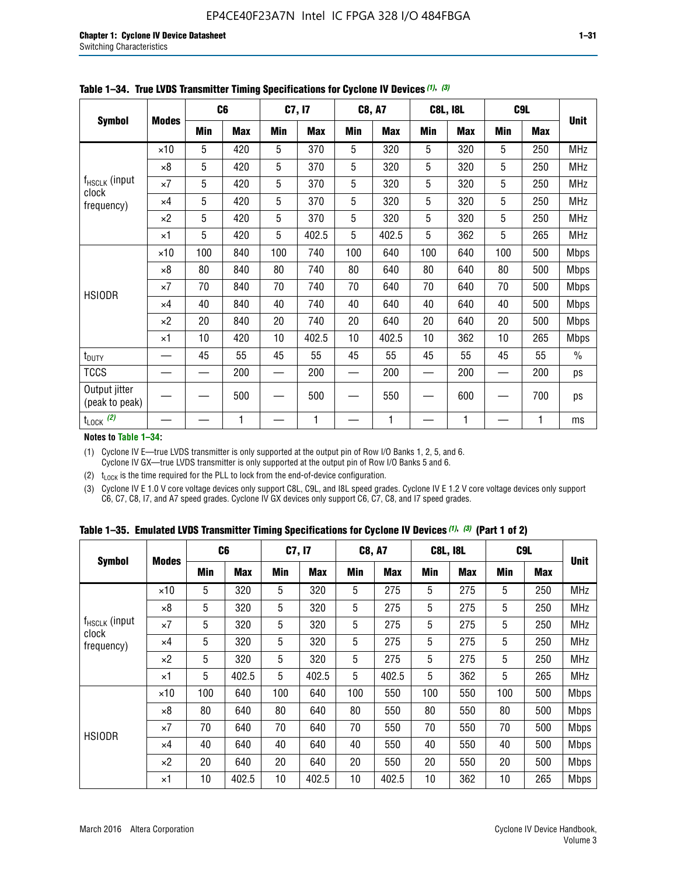| <b>Symbol</b>                   |              |     | C <sub>6</sub> |     | C7, I7     |            | <b>C8, A7</b> |             | <b>C8L, I8L</b> |            | C <sub>9</sub> L |               |
|---------------------------------|--------------|-----|----------------|-----|------------|------------|---------------|-------------|-----------------|------------|------------------|---------------|
|                                 | <b>Modes</b> | Min | <b>Max</b>     | Min | <b>Max</b> | <b>Min</b> | <b>Max</b>    | Min         | <b>Max</b>      | <b>Min</b> | <b>Max</b>       | <b>Unit</b>   |
|                                 | $\times$ 10  | 5   | 420            | 5   | 370        | 5          | 320           | 5           | 320             | 5          | 250              | <b>MHz</b>    |
|                                 | $\times 8$   | 5   | 420            | 5   | 370        | 5          | 320           | $\mathbf 5$ | 320             | 5          | 250              | <b>MHz</b>    |
| f <sub>HSCLK</sub> (input       | $\times 7$   | 5   | 420            | 5   | 370        | 5          | 320           | 5           | 320             | 5          | 250              | MHz           |
| clock<br>frequency)             | $\times 4$   | 5   | 420            | 5   | 370        | 5          | 320           | 5           | 320             | 5          | 250              | <b>MHz</b>    |
|                                 | $\times 2$   | 5   | 420            | 5   | 370        | 5          | 320           | 5           | 320             | 5          | 250              | <b>MHz</b>    |
|                                 | $\times$ 1   | 5   | 420            | 5   | 402.5      | 5          | 402.5         | 5           | 362             | 5          | 265              | <b>MHz</b>    |
|                                 | $\times$ 10  | 100 | 840            | 100 | 740        | 100        | 640           | 100         | 640             | 100        | 500              | <b>Mbps</b>   |
|                                 | $\times 8$   | 80  | 840            | 80  | 740        | 80         | 640           | 80          | 640             | 80         | 500              | <b>Mbps</b>   |
| <b>HSIODR</b>                   | $\times 7$   | 70  | 840            | 70  | 740        | 70         | 640           | 70          | 640             | 70         | 500              | <b>Mbps</b>   |
|                                 | $\times$ 4   | 40  | 840            | 40  | 740        | 40         | 640           | 40          | 640             | 40         | 500              | <b>Mbps</b>   |
|                                 | $\times 2$   | 20  | 840            | 20  | 740        | 20         | 640           | 20          | 640             | 20         | 500              | <b>Mbps</b>   |
|                                 | $\times$ 1   | 10  | 420            | 10  | 402.5      | 10         | 402.5         | 10          | 362             | 10         | 265              | <b>Mbps</b>   |
| t <sub>DUTY</sub>               |              | 45  | 55             | 45  | 55         | 45         | 55            | 45          | 55              | 45         | 55               | $\frac{0}{0}$ |
| <b>TCCS</b>                     |              |     | 200            |     | 200        |            | 200           |             | 200             |            | 200              | ps            |
| Output jitter<br>(peak to peak) |              |     | 500            |     | 500        |            | 550           |             | 600             |            | 700              | ps            |
| $t_{\text{LOCK}}$ (2)           |              |     | 1              |     | 1          |            | 1             |             | 1               |            | 1                | ms            |

**Table 1–34. True LVDS Transmitter Timing Specifications for Cyclone IV Devices** *(1)***,** *(3)*

**Notes to Table 1–34:**

(1) Cyclone IV E—true LVDS transmitter is only supported at the output pin of Row I/O Banks 1, 2, 5, and 6. Cyclone IV GX—true LVDS transmitter is only supported at the output pin of Row I/O Banks 5 and 6.

(2)  $t_{\text{LOCK}}$  is the time required for the PLL to lock from the end-of-device configuration.

(3) Cyclone IV E 1.0 V core voltage devices only support C8L, C9L, and I8L speed grades. Cyclone IV E 1.2 V core voltage devices only support C6, C7, C8, I7, and A7 speed grades. Cyclone IV GX devices only support C6, C7, C8, and I7 speed grades.

|  |  |  |  | Table 1–35. Emulated LVDS Transmitter Timing Specifications for Cyclone IV Devices <sup>(1),</sup> <sup>(3)</sup> (Part 1 of 2) |  |  |
|--|--|--|--|---------------------------------------------------------------------------------------------------------------------------------|--|--|
|--|--|--|--|---------------------------------------------------------------------------------------------------------------------------------|--|--|

|                             |              | C <sub>6</sub> |            | C7, I7     |            | <b>C8, A7</b> |            | <b>C8L, I8L</b> |            |            | C <sub>9</sub> L |             |
|-----------------------------|--------------|----------------|------------|------------|------------|---------------|------------|-----------------|------------|------------|------------------|-------------|
| <b>Symbol</b>               | <b>Modes</b> | Min            | <b>Max</b> | <b>Min</b> | <b>Max</b> | <b>Min</b>    | <b>Max</b> | <b>Min</b>      | <b>Max</b> | <b>Min</b> | <b>Max</b>       | <b>Unit</b> |
|                             | $\times$ 10  | 5              | 320        | 5          | 320        | 5             | 275        | 5               | 275        | 5          | 250              | <b>MHz</b>  |
|                             | $\times 8$   | 5              | 320        | 5          | 320        | 5             | 275        | 5               | 275        | 5          | 250              | <b>MHz</b>  |
| $f_{HSCLK}$ (input<br>clock | $\times 7$   | 5              | 320        | 5          | 320        | 5             | 275        | 5               | 275        | 5          | 250              | <b>MHz</b>  |
| frequency)                  | $\times$ 4   | 5              | 320        | 5          | 320        | 5             | 275        | 5               | 275        | 5          | 250              | <b>MHz</b>  |
|                             | $\times 2$   | 5              | 320        | 5          | 320        | 5             | 275        | 5               | 275        | 5          | 250              | <b>MHz</b>  |
|                             | $\times$ 1   | 5              | 402.5      | 5          | 402.5      | 5             | 402.5      | 5               | 362        | 5          | 265              | <b>MHz</b>  |
|                             | $\times$ 10  | 100            | 640        | 100        | 640        | 100           | 550        | 100             | 550        | 100        | 500              | <b>Mbps</b> |
|                             | $\times 8$   | 80             | 640        | 80         | 640        | 80            | 550        | 80              | 550        | 80         | 500              | <b>Mbps</b> |
| <b>HSIODR</b>               | $\times 7$   | 70             | 640        | 70         | 640        | 70            | 550        | 70              | 550        | 70         | 500              | <b>Mbps</b> |
|                             | $\times$ 4   | 40             | 640        | 40         | 640        | 40            | 550        | 40              | 550        | 40         | 500              | <b>Mbps</b> |
|                             | $\times 2$   | 20             | 640        | 20         | 640        | 20            | 550        | 20              | 550        | 20         | 500              | <b>Mbps</b> |
|                             | $\times$ 1   | 10             | 402.5      | 10         | 402.5      | 10            | 402.5      | 10              | 362        | 10         | 265              | <b>Mbps</b> |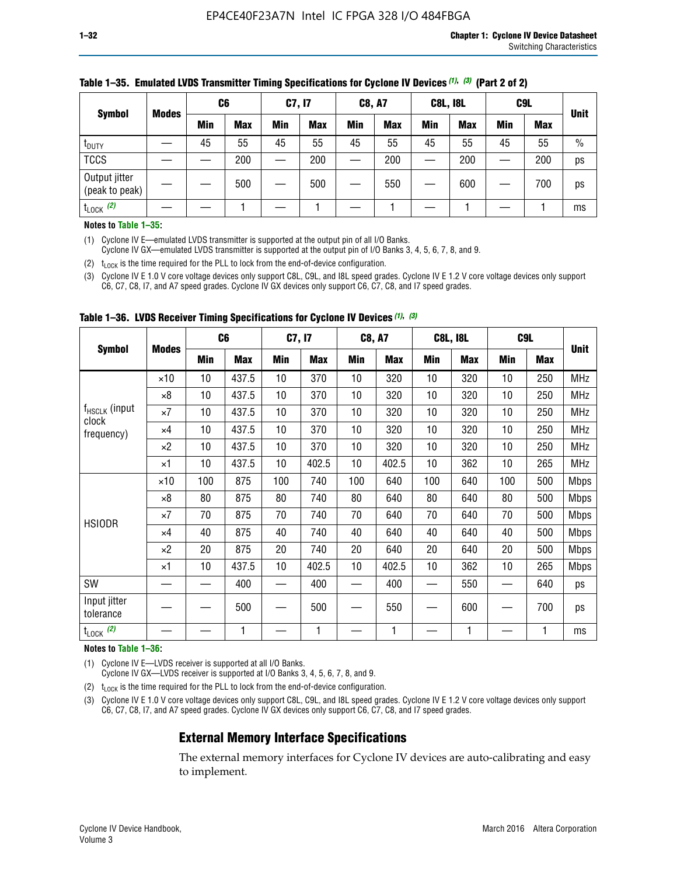|                                 | <b>Modes</b> | C <sub>6</sub> |            | C7, I7     |            | <b>C8, A7</b> |            | <b>C8L, I8L</b> |            |            | C <sub>9</sub> L | <b>Unit</b>   |
|---------------------------------|--------------|----------------|------------|------------|------------|---------------|------------|-----------------|------------|------------|------------------|---------------|
| <b>Symbol</b>                   |              | Min            | <b>Max</b> | <b>Min</b> | <b>Max</b> | <b>Min</b>    | <b>Max</b> | <b>Min</b>      | <b>Max</b> | <b>Min</b> | <b>Max</b>       |               |
| t <sub>DUTY</sub>               |              | 45             | 55         | 45         | 55         | 45            | 55         | 45              | 55         | 45         | 55               | $\frac{0}{0}$ |
| <b>TCCS</b>                     |              |                | 200        |            | 200        |               | 200        |                 | 200        | –          | 200              | ps            |
| Output jitter<br>(peak to peak) |              |                | 500        |            | 500        |               | 550        |                 | 600        |            | 700              | ps            |
| $t_{\text{LOCK}}$ (2)           |              |                |            |            |            |               |            |                 |            |            |                  | ms            |

#### **Table 1–35. Emulated LVDS Transmitter Timing Specifications for Cyclone IV Devices** *(1)***,** *(3)* **(Part 2 of 2)**

#### **Notes to Table 1–35:**

(1) Cyclone IV E—emulated LVDS transmitter is supported at the output pin of all I/O Banks.

Cyclone IV GX—emulated LVDS transmitter is supported at the output pin of I/O Banks 3, 4, 5, 6, 7, 8, and 9.

(2)  $t_{\text{LOCK}}$  is the time required for the PLL to lock from the end-of-device configuration.

(3) Cyclone IV E 1.0 V core voltage devices only support C8L, C9L, and I8L speed grades. Cyclone IV E 1.2 V core voltage devices only support C6, C7, C8, I7, and A7 speed grades. Cyclone IV GX devices only support C6, C7, C8, and I7 speed grades.

|                                    |              |     | C <sub>6</sub> | C7, I7 |       | <b>C8, A7</b> |            |     | <b>C8L, I8L</b> | C <sub>9</sub> L |     |             |
|------------------------------------|--------------|-----|----------------|--------|-------|---------------|------------|-----|-----------------|------------------|-----|-------------|
| <b>Symbol</b>                      | <b>Modes</b> | Min | <b>Max</b>     | Min    | Max   | Min           | <b>Max</b> | Min | <b>Max</b>      | Min              | Max | <b>Unit</b> |
|                                    | $\times$ 10  | 10  | 437.5          | 10     | 370   | 10            | 320        | 10  | 320             | 10               | 250 | MHz         |
|                                    | ×8           | 10  | 437.5          | 10     | 370   | 10            | 320        | 10  | 320             | 10               | 250 | <b>MHz</b>  |
| f <sub>HSCLK</sub> (input<br>clock | $\times 7$   | 10  | 437.5          | 10     | 370   | 10            | 320        | 10  | 320             | 10               | 250 | <b>MHz</b>  |
| frequency)                         | $\times 4$   | 10  | 437.5          | 10     | 370   | 10            | 320        | 10  | 320             | 10               | 250 | <b>MHz</b>  |
|                                    | $\times 2$   | 10  | 437.5          | 10     | 370   | 10            | 320        | 10  | 320             | 10               | 250 | <b>MHz</b>  |
|                                    | ×1           | 10  | 437.5          | 10     | 402.5 | 10            | 402.5      | 10  | 362             | 10               | 265 | <b>MHz</b>  |
|                                    | $\times$ 10  | 100 | 875            | 100    | 740   | 100           | 640        | 100 | 640             | 100              | 500 | <b>Mbps</b> |
|                                    | $\times 8$   | 80  | 875            | 80     | 740   | 80            | 640        | 80  | 640             | 80               | 500 | <b>Mbps</b> |
| <b>HSIODR</b>                      | $\times 7$   | 70  | 875            | 70     | 740   | 70            | 640        | 70  | 640             | 70               | 500 | <b>Mbps</b> |
|                                    | $\times 4$   | 40  | 875            | 40     | 740   | 40            | 640        | 40  | 640             | 40               | 500 | <b>Mbps</b> |
|                                    | $\times 2$   | 20  | 875            | 20     | 740   | 20            | 640        | 20  | 640             | 20               | 500 | <b>Mbps</b> |
|                                    | ×1           | 10  | 437.5          | 10     | 402.5 | 10            | 402.5      | 10  | 362             | 10               | 265 | <b>Mbps</b> |
| SW                                 |              |     | 400            |        | 400   |               | 400        |     | 550             |                  | 640 | ps          |
| Input jitter<br>tolerance          |              |     | 500            |        | 500   |               | 550        |     | 600             |                  | 700 | ps          |
| $t_{\text{LOCK}}$ (2)              |              |     | 1              |        | 1     |               | 1          |     | 1               |                  | 1   | ms          |

**Table 1–36. LVDS Receiver Timing Specifications for Cyclone IV Devices** *(1)***,** *(3)*

#### **Notes to Table 1–36:**

(1) Cyclone IV E—LVDS receiver is supported at all I/O Banks.

Cyclone IV GX—LVDS receiver is supported at I/O Banks 3, 4, 5, 6, 7, 8, and 9.

(2)  $t_{\text{LOCK}}$  is the time required for the PLL to lock from the end-of-device configuration.

(3) Cyclone IV E 1.0 V core voltage devices only support C8L, C9L, and I8L speed grades. Cyclone IV E 1.2 V core voltage devices only support C6, C7, C8, I7, and A7 speed grades. Cyclone IV GX devices only support C6, C7, C8, and I7 speed grades.

#### **External Memory Interface Specifications**

The external memory interfaces for Cyclone IV devices are auto-calibrating and easy to implement.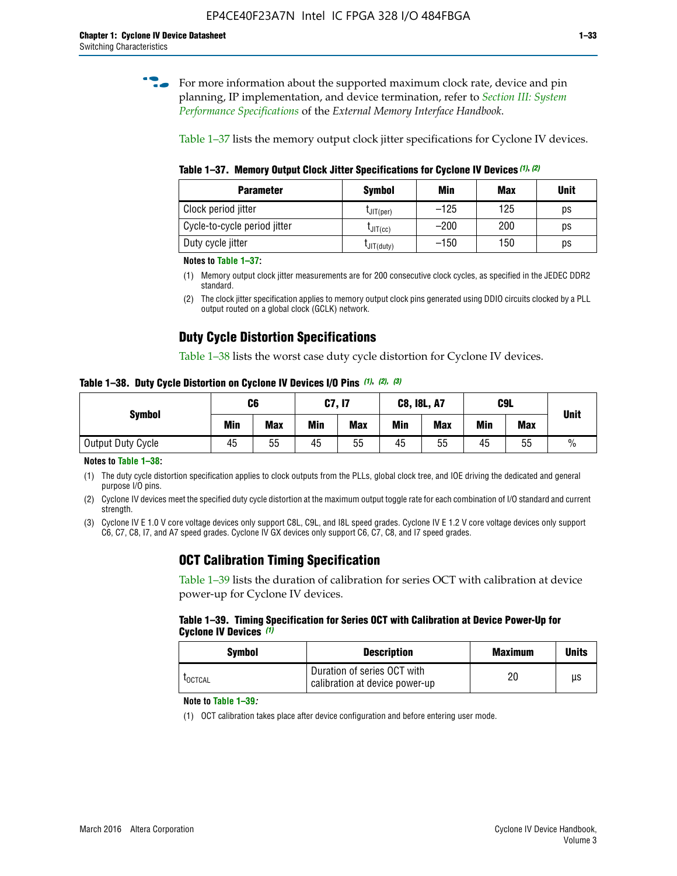**for more information about the supported maximum clock rate, device and pin** planning, IP implementation, and device termination, refer to *[Section III: System](http://www.altera.com/literature/hb/external-memory/emi_intro_specs.pdf)  [Performance Specifications](http://www.altera.com/literature/hb/external-memory/emi_intro_specs.pdf)* of the *External Memory Interface Handbook*.

Table 1–37 lists the memory output clock jitter specifications for Cyclone IV devices.

**Table 1–37. Memory Output Clock Jitter Specifications for Cyclone IV Devices** *(1)***,** *(2)*

| <b>Parameter</b>             | <b>Symbol</b>  | Min    | <b>Max</b> | <b>Unit</b> |
|------------------------------|----------------|--------|------------|-------------|
| Clock period jitter          | $L$ JIT(per)   | $-125$ | 125        | ps          |
| Cycle-to-cycle period jitter | $L$ JIT $(cc)$ | $-200$ | 200        | ps          |
| Duty cycle jitter            | LJIT(duty)     | $-150$ | 150        | рs          |

**Notes to Table 1–37:**

(1) Memory output clock jitter measurements are for 200 consecutive clock cycles, as specified in the JEDEC DDR2 standard.

(2) The clock jitter specification applies to memory output clock pins generated using DDIO circuits clocked by a PLL output routed on a global clock (GCLK) network.

# **Duty Cycle Distortion Specifications**

Table 1–38 lists the worst case duty cycle distortion for Cyclone IV devices.

**Table 1–38. Duty Cycle Distortion on Cyclone IV Devices I/O Pins** *(1)***,** *(2), (3)*

| <b>Symbol</b>     | C6  |            |     | <b>C7, I7</b> | <b>C8, I8L, A7</b> |            |            | C9L        | <b>Unit</b>   |
|-------------------|-----|------------|-----|---------------|--------------------|------------|------------|------------|---------------|
|                   | Min | <b>Max</b> | Min | <b>Max</b>    | Min                | <b>Max</b> | <b>Min</b> | <b>Max</b> |               |
| Output Duty Cycle | 45  | 55         | 45  | 55            | 45                 | 55         | 45         | 55         | $\frac{0}{0}$ |

**Notes to Table 1–38:**

(1) The duty cycle distortion specification applies to clock outputs from the PLLs, global clock tree, and IOE driving the dedicated and general purpose I/O pins.

(2) Cyclone IV devices meet the specified duty cycle distortion at the maximum output toggle rate for each combination of I/O standard and current strength.

(3) Cyclone IV E 1.0 V core voltage devices only support C8L, C9L, and I8L speed grades. Cyclone IV E 1.2 V core voltage devices only support C6, C7, C8, I7, and A7 speed grades. Cyclone IV GX devices only support C6, C7, C8, and I7 speed grades.

# **OCT Calibration Timing Specification**

Table 1–39 lists the duration of calibration for series OCT with calibration at device power-up for Cyclone IV devices.

#### **Table 1–39. Timing Specification for Series OCT with Calibration at Device Power-Up for Cyclone IV Devices** *(1)*

| Symbol  | <b>Description</b>                                            | <b>Maximum</b> | <b>Units</b> |
|---------|---------------------------------------------------------------|----------------|--------------|
| LOCTCAL | Duration of series OCT with<br>calibration at device power-up | 20             | μs           |

#### **Note to Table 1–39***:*

(1) OCT calibration takes place after device configuration and before entering user mode.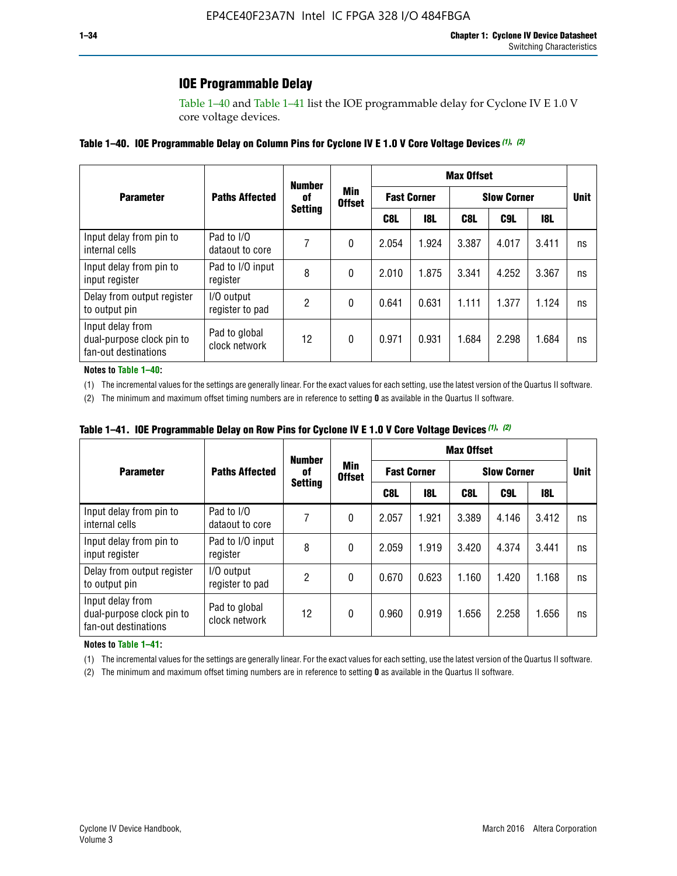# **IOE Programmable Delay**

Table 1–40 and Table 1–41 list the IOE programmable delay for Cyclone IV E 1.0 V core voltage devices.

#### **Table 1–40. IOE Programmable Delay on Column Pins for Cyclone IV E 1.0 V Core Voltage Devices** *(1)***,** *(2)*

|                                                                       |                                | <b>Number</b>  |                      |                    |            | <b>Max Offset</b>  |       |             |    |
|-----------------------------------------------------------------------|--------------------------------|----------------|----------------------|--------------------|------------|--------------------|-------|-------------|----|
| <b>Parameter</b>                                                      | <b>Paths Affected</b>          | 0f             | Min<br><b>Offset</b> | <b>Fast Corner</b> |            | <b>Slow Corner</b> |       | <b>Unit</b> |    |
|                                                                       |                                | <b>Setting</b> |                      | C8L                | <b>18L</b> | C8L                | C9L   | 18L         |    |
| Input delay from pin to<br>internal cells                             | Pad to I/O<br>dataout to core  |                | 0                    | 2.054              | 1.924      | 3.387              | 4.017 | 3.411       | ns |
| Input delay from pin to<br>input register                             | Pad to I/O input<br>register   | 8              | 0                    | 2.010              | 1.875      | 3.341              | 4.252 | 3.367       | ns |
| Delay from output register<br>to output pin                           | I/O output<br>register to pad  | 2              | 0                    | 0.641              | 0.631      | 1.111              | 1.377 | 1.124       | ns |
| Input delay from<br>dual-purpose clock pin to<br>fan-out destinations | Pad to global<br>clock network | 12             | 0                    | 0.971              | 0.931      | 1.684              | 2.298 | 1.684       | ns |

#### **Notes to Table 1–40:**

(1) The incremental values for the settings are generally linear. For the exact values for each setting, use the latest version of the Quartus II software.

(2) The minimum and maximum offset timing numbers are in reference to setting **0** as available in the Quartus II software.

| Table 1–41. IOE Programmable Delay on Row Pins for Cyclone IV E 1.0 V Core Voltage Devices (1), (2) |  |  |
|-----------------------------------------------------------------------------------------------------|--|--|
|-----------------------------------------------------------------------------------------------------|--|--|

|                                                                       |                                | <b>Number</b>  |                      |       |                    | <b>Max Offset</b> |                    |       |             |  |
|-----------------------------------------------------------------------|--------------------------------|----------------|----------------------|-------|--------------------|-------------------|--------------------|-------|-------------|--|
| <b>Parameter</b>                                                      | <b>Paths Affected</b>          | 0f             | Min<br><b>Offset</b> |       | <b>Fast Corner</b> |                   | <b>Slow Corner</b> |       | <b>Unit</b> |  |
|                                                                       |                                | <b>Setting</b> |                      | C8L   | <b>18L</b>         | C8L               | C9L                | 18L   |             |  |
| Input delay from pin to<br>internal cells                             | Pad to I/O<br>dataout to core  |                | 0                    | 2.057 | 1.921              | 3.389             | 4.146              | 3.412 | ns          |  |
| Input delay from pin to<br>input register                             | Pad to I/O input<br>register   | 8              | 0                    | 2.059 | 1.919              | 3.420             | 4.374              | 3.441 | ns          |  |
| Delay from output register<br>to output pin                           | I/O output<br>register to pad  | 2              | 0                    | 0.670 | 0.623              | 1.160             | 1.420              | 1.168 | ns          |  |
| Input delay from<br>dual-purpose clock pin to<br>fan-out destinations | Pad to global<br>clock network | 12             | 0                    | 0.960 | 0.919              | 1.656             | 2.258              | 1.656 | ns          |  |

#### **Notes to Table 1–41:**

(1) The incremental values for the settings are generally linear. For the exact values for each setting, use the latest version of the Quartus II software.

(2) The minimum and maximum offset timing numbers are in reference to setting **0** as available in the Quartus II software.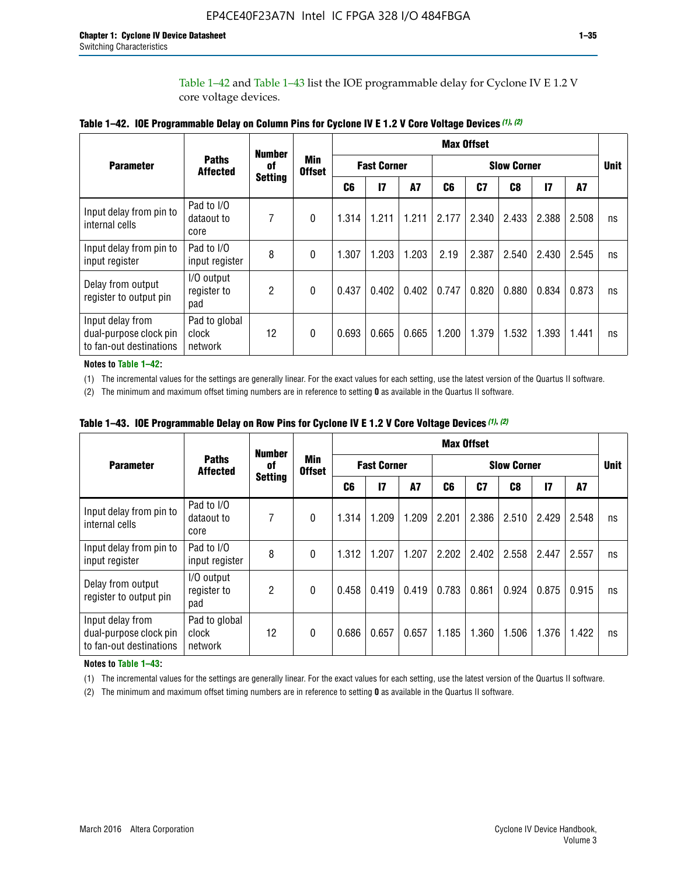Table 1–42 and Table 1–43 list the IOE programmable delay for Cyclone IV E 1.2 V core voltage devices.

|                                                                       |                                   | <b>Number</b>  |                             |                |                    |           |                    | <b>Max Offset</b> |       |               |       |             |
|-----------------------------------------------------------------------|-----------------------------------|----------------|-----------------------------|----------------|--------------------|-----------|--------------------|-------------------|-------|---------------|-------|-------------|
| <b>Parameter</b>                                                      | <b>Paths</b><br><b>Affected</b>   | of             | <b>Min</b><br><b>Offset</b> |                | <b>Fast Corner</b> |           | <b>Slow Corner</b> |                   |       |               |       | <b>Unit</b> |
|                                                                       |                                   | <b>Setting</b> |                             | C <sub>6</sub> | $\mathbf{I}$       | <b>A7</b> | C6                 | C7                | C8    | $\mathsf{I}7$ | A7    |             |
| Input delay from pin to<br>internal cells                             | Pad to I/O<br>dataout to<br>core  | 7              | 0                           | 1.314          | 1.211              | 1.211     | 2.177              | 2.340             | 2.433 | 2.388         | 2.508 | ns          |
| Input delay from pin to<br>input register                             | Pad to I/O<br>input register      | 8              | $\Omega$                    | 1.307          | 1.203              | 1.203     | 2.19               | 2.387             | 2.540 | 2.430         | 2.545 | ns          |
| Delay from output<br>register to output pin                           | I/O output<br>register to<br>pad  | 2              | 0                           | 0.437          | 0.402              | 0.402     | 0.747              | 0.820             | 0.880 | 0.834         | 0.873 | ns          |
| Input delay from<br>dual-purpose clock pin<br>to fan-out destinations | Pad to global<br>clock<br>network | 12             | 0                           | 0.693          | 0.665              | 0.665     | 1.200              | 1.379             | 1.532 | 1.393         | 1.441 | ns          |

**Table 1–42. IOE Programmable Delay on Column Pins for Cyclone IV E 1.2 V Core Voltage Devices** *(1)***,** *(2)*

**Notes to Table 1–42:**

(1) The incremental values for the settings are generally linear. For the exact values for each setting, use the latest version of the Quartus II software.

(2) The minimum and maximum offset timing numbers are in reference to setting **0** as available in the Quartus II software.

|                                                                       |                                   | <b>Number</b>  |                             |                    |       |       |       | <b>Max Offset</b>  |       |               |       |    |
|-----------------------------------------------------------------------|-----------------------------------|----------------|-----------------------------|--------------------|-------|-------|-------|--------------------|-------|---------------|-------|----|
| <b>Parameter</b>                                                      | <b>Paths</b><br><b>Affected</b>   | of             | <b>Min</b><br><b>Offset</b> | <b>Fast Corner</b> |       |       |       | <b>Slow Corner</b> |       |               |       |    |
|                                                                       |                                   | <b>Setting</b> |                             | C6                 | 17    | A7    | C6    | C7                 | C8    | $\mathsf{I}7$ | A7    |    |
| Input delay from pin to<br>internal cells                             | Pad to I/O<br>dataout to<br>core  | 7              | 0                           | 1.314              | 1.209 | 1.209 | 2.201 | 2.386              | 2.510 | 2.429         | 2.548 | ns |
| Input delay from pin to<br>input register                             | Pad to I/O<br>input register      | 8              | $\Omega$                    | 1.312              | 1.207 | 1.207 | 2.202 | 2.402              | 2.558 | 2.447         | 2.557 | ns |
| Delay from output<br>register to output pin                           | I/O output<br>register to<br>pad  | 2              | $\Omega$                    | 0.458              | 0.419 | 0.419 | 0.783 | 0.861              | 0.924 | 0.875         | 0.915 | ns |
| Input delay from<br>dual-purpose clock pin<br>to fan-out destinations | Pad to global<br>clock<br>network | 12             | 0                           | 0.686              | 0.657 | 0.657 | 1.185 | 1.360              | 1.506 | 1.376         | 1.422 | ns |

**Table 1–43. IOE Programmable Delay on Row Pins for Cyclone IV E 1.2 V Core Voltage Devices** *(1)***,** *(2)*

#### **Notes to Table 1–43:**

(1) The incremental values for the settings are generally linear. For the exact values for each setting, use the latest version of the Quartus II software.

(2) The minimum and maximum offset timing numbers are in reference to setting **0** as available in the Quartus II software.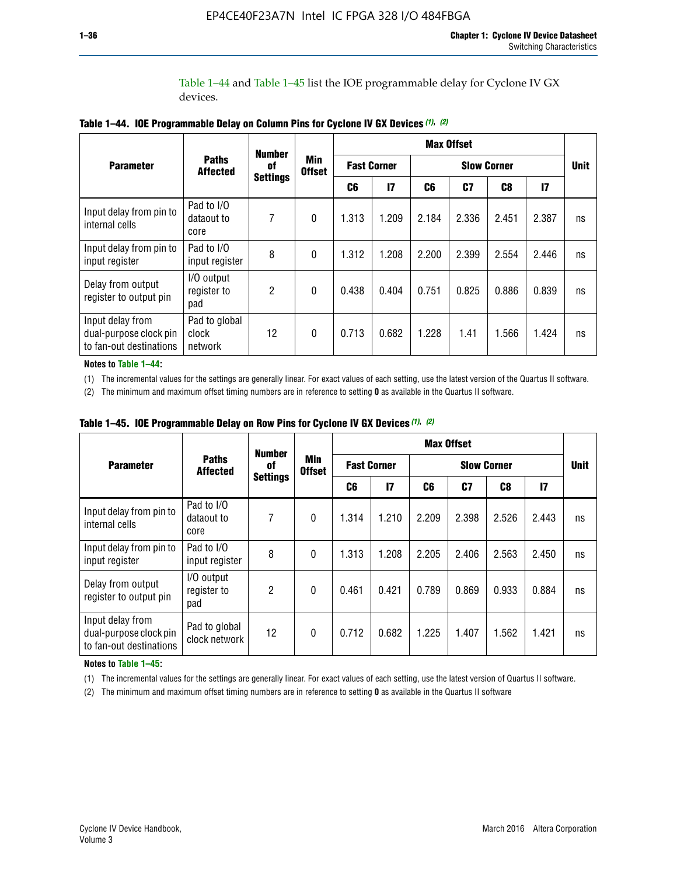Table 1–44 and Table 1–45 list the IOE programmable delay for Cyclone IV GX devices.

|                                                                       |                                   | <b>Number</b>   |                      |       |                    | <b>Max Offset</b> |                    |       |               |             |
|-----------------------------------------------------------------------|-----------------------------------|-----------------|----------------------|-------|--------------------|-------------------|--------------------|-------|---------------|-------------|
| <b>Parameter</b>                                                      | <b>Paths</b><br><b>Affected</b>   | 0f              | Min<br><b>Offset</b> |       | <b>Fast Corner</b> |                   | <b>Slow Corner</b> |       |               | <b>Unit</b> |
|                                                                       |                                   | <b>Settings</b> |                      | C6    | 17                 | C6                | C7                 | C8    | $\mathsf{I}7$ |             |
| Input delay from pin to<br>internal cells                             | Pad to I/O<br>dataout to<br>core  | 7               | 0                    | 1.313 | 1.209              | 2.184             | 2.336              | 2.451 | 2.387         | ns          |
| Input delay from pin to<br>input register                             | Pad to I/O<br>input register      | 8               | $\theta$             | 1.312 | 1.208              | 2.200             | 2.399              | 2.554 | 2.446         | ns          |
| Delay from output<br>register to output pin                           | I/O output<br>register to<br>pad  | 2               | 0                    | 0.438 | 0.404              | 0.751             | 0.825              | 0.886 | 0.839         | ns          |
| Input delay from<br>dual-purpose clock pin<br>to fan-out destinations | Pad to global<br>clock<br>network | 12              | $\mathbf{0}$         | 0.713 | 0.682              | 1.228             | 1.41               | 1.566 | 1.424         | ns          |

**Table 1–44. IOE Programmable Delay on Column Pins for Cyclone IV GX Devices** *(1)***,** *(2)*

**Notes to Table 1–44:**

(1) The incremental values for the settings are generally linear. For exact values of each setting, use the latest version of the Quartus II software.

(2) The minimum and maximum offset timing numbers are in reference to setting **0** as available in the Quartus II software.

|                                                                       |                                  | <b>Number</b>   |                      |       |                    |       | <b>Max Offset</b> |                    |               |             |  |
|-----------------------------------------------------------------------|----------------------------------|-----------------|----------------------|-------|--------------------|-------|-------------------|--------------------|---------------|-------------|--|
| <b>Parameter</b>                                                      | <b>Paths</b><br><b>Affected</b>  | 0f              | Min<br><b>Offset</b> |       | <b>Fast Corner</b> |       |                   | <b>Slow Corner</b> |               | <b>Unit</b> |  |
|                                                                       |                                  | <b>Settings</b> |                      | C6    | 17                 | C6    | C7                | C8                 | $\mathsf{I}7$ |             |  |
| Input delay from pin to<br>internal cells                             | Pad to I/O<br>dataout to<br>core | 7               | $\mathbf{0}$         | 1.314 | 1.210              | 2.209 | 2.398             | 2.526              | 2.443         | ns          |  |
| Input delay from pin to<br>input register                             | Pad to I/O<br>input register     | 8               | $\mathbf{0}$         | 1.313 | 1.208              | 2.205 | 2.406             | 2.563              | 2.450         | ns          |  |
| Delay from output<br>register to output pin                           | I/O output<br>register to<br>pad | $\overline{2}$  | $\mathbf{0}$         | 0.461 | 0.421              | 0.789 | 0.869             | 0.933              | 0.884         | ns          |  |
| Input delay from<br>dual-purpose clock pin<br>to fan-out destinations | Pad to global<br>clock network   | 12              | 0                    | 0.712 | 0.682              | 1.225 | 1.407             | 1.562              | 1.421         | ns          |  |

**Table 1–45. IOE Programmable Delay on Row Pins for Cyclone IV GX Devices** *(1)***,** *(2)*

#### **Notes to Table 1–45:**

(1) The incremental values for the settings are generally linear. For exact values of each setting, use the latest version of Quartus II software.

(2) The minimum and maximum offset timing numbers are in reference to setting **0** as available in the Quartus II software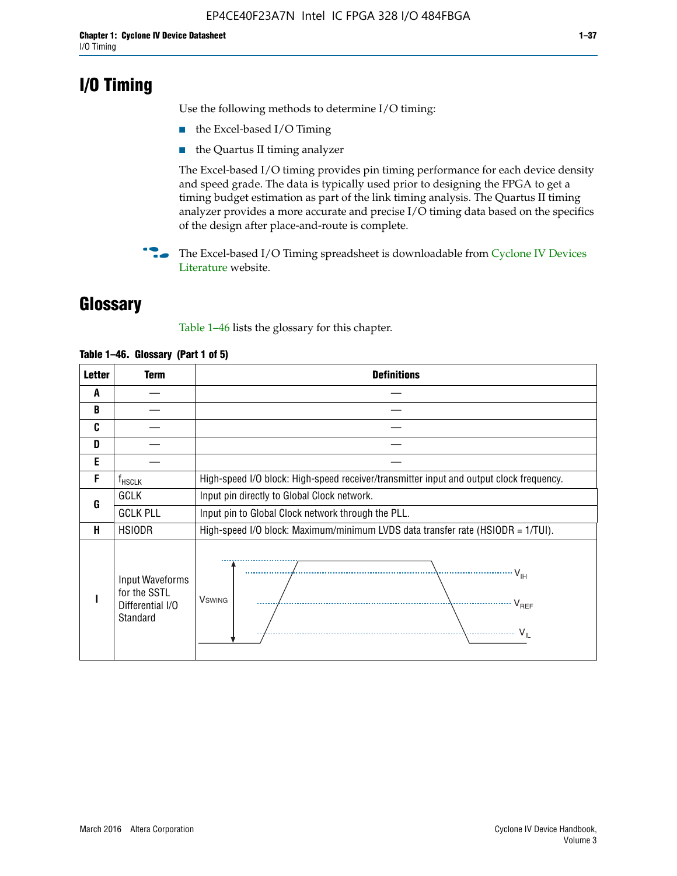# **I/O Timing**

Use the following methods to determine I/O timing:

- the Excel-based I/O Timing
- the Quartus II timing analyzer

The Excel-based I/O timing provides pin timing performance for each device density and speed grade. The data is typically used prior to designing the FPGA to get a timing budget estimation as part of the link timing analysis. The Quartus II timing analyzer provides a more accurate and precise I/O timing data based on the specifics of the design after place-and-route is complete.

**For The Excel-based I/O Timing spreadsheet is downloadable from Cyclone IV Devices** [Literature](http://www.altera.com/literature/lit-cyclone-iv.jsp) website.

# **Glossary**

Table 1–46 lists the glossary for this chapter.

| <b>Letter</b> | Term                                                            | <b>Definitions</b>                                                                                                                                                                                                                                                                                                                                                                                                                                                |  |  |  |  |  |  |  |
|---------------|-----------------------------------------------------------------|-------------------------------------------------------------------------------------------------------------------------------------------------------------------------------------------------------------------------------------------------------------------------------------------------------------------------------------------------------------------------------------------------------------------------------------------------------------------|--|--|--|--|--|--|--|
| A             |                                                                 |                                                                                                                                                                                                                                                                                                                                                                                                                                                                   |  |  |  |  |  |  |  |
| B             |                                                                 |                                                                                                                                                                                                                                                                                                                                                                                                                                                                   |  |  |  |  |  |  |  |
| C             |                                                                 |                                                                                                                                                                                                                                                                                                                                                                                                                                                                   |  |  |  |  |  |  |  |
| D             |                                                                 |                                                                                                                                                                                                                                                                                                                                                                                                                                                                   |  |  |  |  |  |  |  |
| E             |                                                                 |                                                                                                                                                                                                                                                                                                                                                                                                                                                                   |  |  |  |  |  |  |  |
| F             | $f_{HSCLK}$                                                     | High-speed I/O block: High-speed receiver/transmitter input and output clock frequency.                                                                                                                                                                                                                                                                                                                                                                           |  |  |  |  |  |  |  |
| G             | <b>GCLK</b>                                                     | Input pin directly to Global Clock network.                                                                                                                                                                                                                                                                                                                                                                                                                       |  |  |  |  |  |  |  |
|               | <b>GCLK PLL</b>                                                 | Input pin to Global Clock network through the PLL.                                                                                                                                                                                                                                                                                                                                                                                                                |  |  |  |  |  |  |  |
| н             | <b>HSIODR</b>                                                   | High-speed I/O block: Maximum/minimum LVDS data transfer rate (HSIODR = 1/TUI).                                                                                                                                                                                                                                                                                                                                                                                   |  |  |  |  |  |  |  |
|               | Input Waveforms<br>for the SSTL<br>Differential I/O<br>Standard | $\frac{1}{1 + \frac{1}{1 + \frac{1}{1 + \frac{1}{1 + \frac{1}{1 + \frac{1}{1 + \frac{1}{1 + \frac{1}{1 + \frac{1}{1 + \frac{1}{1 + \frac{1}{1 + \frac{1}{1 + \frac{1}{1 + \frac{1}{1 + \frac{1}{1 + \frac{1}{1 + \frac{1}{1 + \frac{1}{1 + \frac{1}{1 + \frac{1}{1 + \frac{1}{1 + \frac{1}{1 + \frac{1}{1 + \frac{1}{1 + \frac{1}{1 + \frac{1}{1 + \frac{1}{1 + \frac{1}{1 + \frac{1}{1 + \frac{1}{1 + \frac{1}{1 + \frac{$<br><b>V</b> swing<br>V <sub>REF</sub> |  |  |  |  |  |  |  |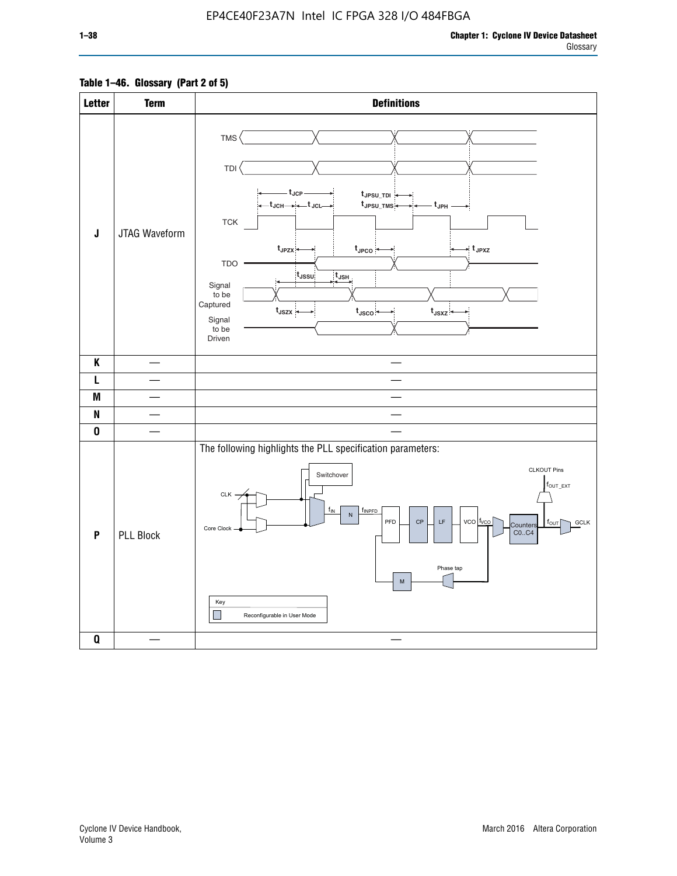### **Table 1–46. Glossary (Part 2 of 5)**

| <b>Letter</b> | <b>Term</b>      | <b>Definitions</b>                                                                                                                                                                                                                                                                                                                                                                                                                                                                                                                                  |
|---------------|------------------|-----------------------------------------------------------------------------------------------------------------------------------------------------------------------------------------------------------------------------------------------------------------------------------------------------------------------------------------------------------------------------------------------------------------------------------------------------------------------------------------------------------------------------------------------------|
| J             | JTAG Waveform    | TMS<br>TDI<br>– t <sub>JCP</sub> –<br>t <sub>JPSU_TDI</sub><br>—t <sub>JCH</sub> → → + + J <sub>CL</sub> →<br>t <sub>JPSU_TMS</sub><br>- t <sub>JPH</sub> -<br>${\sf TCK}$<br>$t_{JPZX}$<br>$t_{\text{JPCO}}$<br>$\star$ t <sub>JPXZ</sub><br><b>TDO</b><br>$t_{\rm JSSU}$<br>$t_{\mathsf{JSH}}$<br>Signal<br>to be<br>Captured<br>$t_{\text{JSZX}}$<br>$t_{\text{JSCO}}$<br>$t_{JSXZ}$<br>Signal<br>to be<br>Driven                                                                                                                                |
| K             |                  |                                                                                                                                                                                                                                                                                                                                                                                                                                                                                                                                                     |
| L             |                  |                                                                                                                                                                                                                                                                                                                                                                                                                                                                                                                                                     |
| M             |                  |                                                                                                                                                                                                                                                                                                                                                                                                                                                                                                                                                     |
| N             |                  |                                                                                                                                                                                                                                                                                                                                                                                                                                                                                                                                                     |
| $\bf{0}$      |                  |                                                                                                                                                                                                                                                                                                                                                                                                                                                                                                                                                     |
| P             | <b>PLL Block</b> | The following highlights the PLL specification parameters:<br><b>CLKOUT Pins</b><br>Switchover<br>$f_{\text{OUT\_EXT}}$<br>CLK -<br>$f_{IN}$<br>fINPFD<br>$\hbox{\sf N}$<br>$vco$ $ t_{VCO} $<br>PFD<br>$\mathsf{CP}$<br>$\mathsf{LF}% _{0}\left( t\right) \equiv\mathsf{LF}_{0}\left( t\right)$<br><b>GCLK</b><br>$f_{\text{OUT}}$<br>Counters<br>Core Clock<br>CO., C4<br>Phase tap<br>$\mathsf{M}% _{T}=\mathsf{M}_{T}\!\left( a,b\right) ,\ \mathsf{M}_{T}=\mathsf{M}_{T}\!\left( a,b\right) ,$<br>Key<br>$\Box$<br>Reconfigurable in User Mode |
| $\pmb{0}$     |                  |                                                                                                                                                                                                                                                                                                                                                                                                                                                                                                                                                     |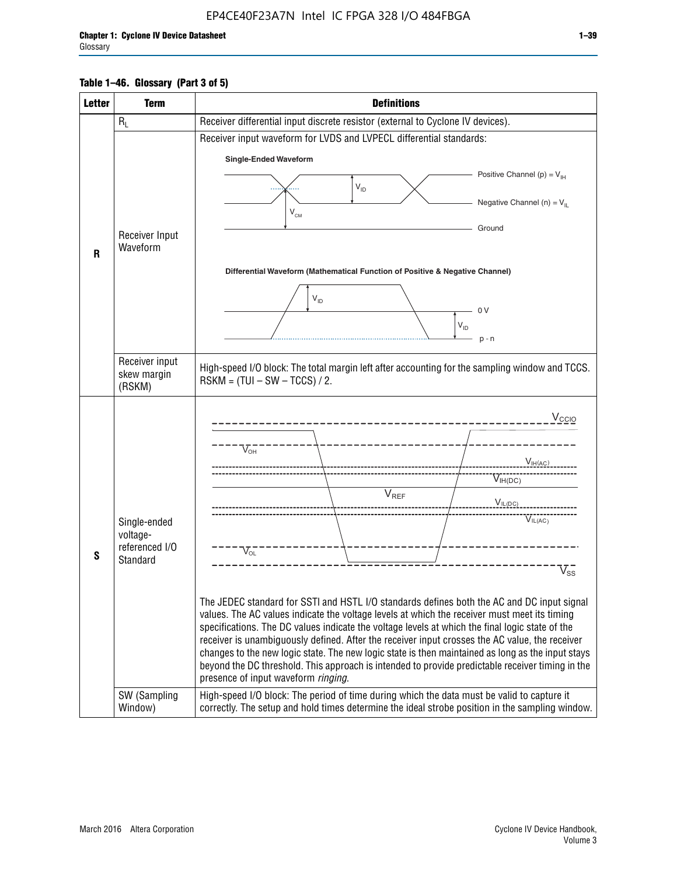#### **Table 1–46. Glossary (Part 3 of 5)**

| <b>Letter</b> | <b>Term</b>                                                            | <b>Definitions</b>                                                                                                                                                                                                                                                                                                                                                                                                                                                                                                                                                                                                                                                                                                                                                                                                                                                                                               |
|---------------|------------------------------------------------------------------------|------------------------------------------------------------------------------------------------------------------------------------------------------------------------------------------------------------------------------------------------------------------------------------------------------------------------------------------------------------------------------------------------------------------------------------------------------------------------------------------------------------------------------------------------------------------------------------------------------------------------------------------------------------------------------------------------------------------------------------------------------------------------------------------------------------------------------------------------------------------------------------------------------------------|
|               | $R_L$                                                                  | Receiver differential input discrete resistor (external to Cyclone IV devices).                                                                                                                                                                                                                                                                                                                                                                                                                                                                                                                                                                                                                                                                                                                                                                                                                                  |
|               |                                                                        | Receiver input waveform for LVDS and LVPECL differential standards:                                                                                                                                                                                                                                                                                                                                                                                                                                                                                                                                                                                                                                                                                                                                                                                                                                              |
|               |                                                                        | <b>Single-Ended Waveform</b>                                                                                                                                                                                                                                                                                                                                                                                                                                                                                                                                                                                                                                                                                                                                                                                                                                                                                     |
|               |                                                                        | Positive Channel (p) = $V_{\text{H}}$                                                                                                                                                                                                                                                                                                                                                                                                                                                                                                                                                                                                                                                                                                                                                                                                                                                                            |
|               |                                                                        | $\mathsf{V}_{\mathsf{ID}}$                                                                                                                                                                                                                                                                                                                                                                                                                                                                                                                                                                                                                                                                                                                                                                                                                                                                                       |
|               |                                                                        | Negative Channel (n) = $V_{\parallel}$<br>V <sub>CM</sub>                                                                                                                                                                                                                                                                                                                                                                                                                                                                                                                                                                                                                                                                                                                                                                                                                                                        |
|               | Receiver Input                                                         | Ground                                                                                                                                                                                                                                                                                                                                                                                                                                                                                                                                                                                                                                                                                                                                                                                                                                                                                                           |
| R             | Waveform                                                               |                                                                                                                                                                                                                                                                                                                                                                                                                                                                                                                                                                                                                                                                                                                                                                                                                                                                                                                  |
|               |                                                                        | Differential Waveform (Mathematical Function of Positive & Negative Channel)                                                                                                                                                                                                                                                                                                                                                                                                                                                                                                                                                                                                                                                                                                                                                                                                                                     |
|               |                                                                        |                                                                                                                                                                                                                                                                                                                                                                                                                                                                                                                                                                                                                                                                                                                                                                                                                                                                                                                  |
|               |                                                                        | $V_{ID}$<br>0V                                                                                                                                                                                                                                                                                                                                                                                                                                                                                                                                                                                                                                                                                                                                                                                                                                                                                                   |
|               |                                                                        | $V_{ID}$                                                                                                                                                                                                                                                                                                                                                                                                                                                                                                                                                                                                                                                                                                                                                                                                                                                                                                         |
|               |                                                                        | $p - n$                                                                                                                                                                                                                                                                                                                                                                                                                                                                                                                                                                                                                                                                                                                                                                                                                                                                                                          |
|               | Receiver input<br>skew margin                                          | High-speed I/O block: The total margin left after accounting for the sampling window and TCCS.                                                                                                                                                                                                                                                                                                                                                                                                                                                                                                                                                                                                                                                                                                                                                                                                                   |
|               | (RSKM)                                                                 | $RSKM = (TUI - SW - TCCS) / 2.$                                                                                                                                                                                                                                                                                                                                                                                                                                                                                                                                                                                                                                                                                                                                                                                                                                                                                  |
| S             | Single-ended<br>voltage-<br>referenced I/O<br>Standard<br>SW (Sampling | $V_{CCIO}$<br>$V_{\text{\tiny OH}}^-$<br>$V_{H(AC)}$<br>$V_{IH(DC)}$<br>V <sub>REF</sub><br>$V_{\text{IL(DC)}}$<br>VIL(AC)<br>$V_{\text{OL}}$<br>$\rm V_{ss}^-$<br>The JEDEC standard for SSTI and HSTL I/O standards defines both the AC and DC input signal<br>values. The AC values indicate the voltage levels at which the receiver must meet its timing<br>specifications. The DC values indicate the voltage levels at which the final logic state of the<br>receiver is unambiguously defined. After the receiver input crosses the AC value, the receiver<br>changes to the new logic state. The new logic state is then maintained as long as the input stays<br>beyond the DC threshold. This approach is intended to provide predictable receiver timing in the<br>presence of input waveform ringing.<br>High-speed I/O block: The period of time during which the data must be valid to capture it |
|               | Window)                                                                | correctly. The setup and hold times determine the ideal strobe position in the sampling window.                                                                                                                                                                                                                                                                                                                                                                                                                                                                                                                                                                                                                                                                                                                                                                                                                  |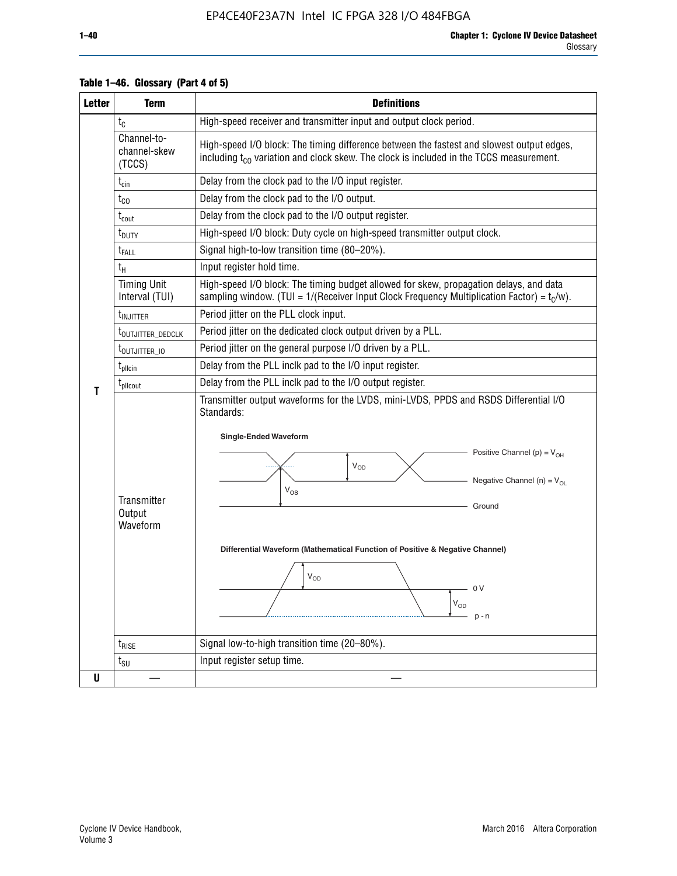| <b>Letter</b> | <b>Term</b>                           | <b>Definitions</b>                                                                                                                                                                                                                                                                                                                                                                |  |  |  |  |  |  |  |  |
|---------------|---------------------------------------|-----------------------------------------------------------------------------------------------------------------------------------------------------------------------------------------------------------------------------------------------------------------------------------------------------------------------------------------------------------------------------------|--|--|--|--|--|--|--|--|
|               | $t_{C}$                               | High-speed receiver and transmitter input and output clock period.                                                                                                                                                                                                                                                                                                                |  |  |  |  |  |  |  |  |
|               | Channel-to-<br>channel-skew<br>(TCCS) | High-speed I/O block: The timing difference between the fastest and slowest output edges,<br>including $t_{C0}$ variation and clock skew. The clock is included in the TCCS measurement.                                                                                                                                                                                          |  |  |  |  |  |  |  |  |
|               | $t_{\text{cin}}$                      | Delay from the clock pad to the I/O input register.                                                                                                                                                                                                                                                                                                                               |  |  |  |  |  |  |  |  |
|               | $t_{CO}$                              | Delay from the clock pad to the I/O output.                                                                                                                                                                                                                                                                                                                                       |  |  |  |  |  |  |  |  |
|               | $t_{\text{cout}}$                     | Delay from the clock pad to the I/O output register.                                                                                                                                                                                                                                                                                                                              |  |  |  |  |  |  |  |  |
|               | $t_{\text{DUTY}}$                     | High-speed I/O block: Duty cycle on high-speed transmitter output clock.                                                                                                                                                                                                                                                                                                          |  |  |  |  |  |  |  |  |
|               | $t_{\sf FALL}$                        | Signal high-to-low transition time (80-20%).                                                                                                                                                                                                                                                                                                                                      |  |  |  |  |  |  |  |  |
|               | $t_H$                                 | Input register hold time.                                                                                                                                                                                                                                                                                                                                                         |  |  |  |  |  |  |  |  |
|               | <b>Timing Unit</b><br>Interval (TUI)  | High-speed I/O block: The timing budget allowed for skew, propagation delays, and data<br>sampling window. (TUI = 1/(Receiver Input Clock Frequency Multiplication Factor) = $t_c/w$ ).                                                                                                                                                                                           |  |  |  |  |  |  |  |  |
|               | t <sub>INJITTER</sub>                 | Period jitter on the PLL clock input.                                                                                                                                                                                                                                                                                                                                             |  |  |  |  |  |  |  |  |
|               | t <sub>outjitter_dedclk</sub>         | Period jitter on the dedicated clock output driven by a PLL.                                                                                                                                                                                                                                                                                                                      |  |  |  |  |  |  |  |  |
|               | t <sub>outjitter_io</sub>             | Period jitter on the general purpose I/O driven by a PLL.                                                                                                                                                                                                                                                                                                                         |  |  |  |  |  |  |  |  |
|               | $t_{\text{pllcin}}$                   | Delay from the PLL inclk pad to the I/O input register.                                                                                                                                                                                                                                                                                                                           |  |  |  |  |  |  |  |  |
| т             | t <sub>plicout</sub>                  | Delay from the PLL inclk pad to the I/O output register.                                                                                                                                                                                                                                                                                                                          |  |  |  |  |  |  |  |  |
|               | Transmitter<br>Output<br>Waveform     | Transmitter output waveforms for the LVDS, mini-LVDS, PPDS and RSDS Differential I/O<br>Standards:<br><b>Single-Ended Waveform</b><br>Positive Channel (p) = $V_{OH}$<br>VOD<br>Negative Channel (n) = $V_{OL}$<br>$V_{OS}$<br>Ground<br>Differential Waveform (Mathematical Function of Positive & Negative Channel)<br>$V_{OD}$<br>0 V<br>$\mathsf{V}_{\mathsf{OD}}$<br>$p - n$ |  |  |  |  |  |  |  |  |
|               | $t_{\text{RISE}}$                     | Signal low-to-high transition time (20-80%).                                                                                                                                                                                                                                                                                                                                      |  |  |  |  |  |  |  |  |
|               | $t_{\scriptstyle\text{SU}}$           | Input register setup time.                                                                                                                                                                                                                                                                                                                                                        |  |  |  |  |  |  |  |  |
| U             |                                       |                                                                                                                                                                                                                                                                                                                                                                                   |  |  |  |  |  |  |  |  |

#### **Table 1–46. Glossary (Part 4 of 5)**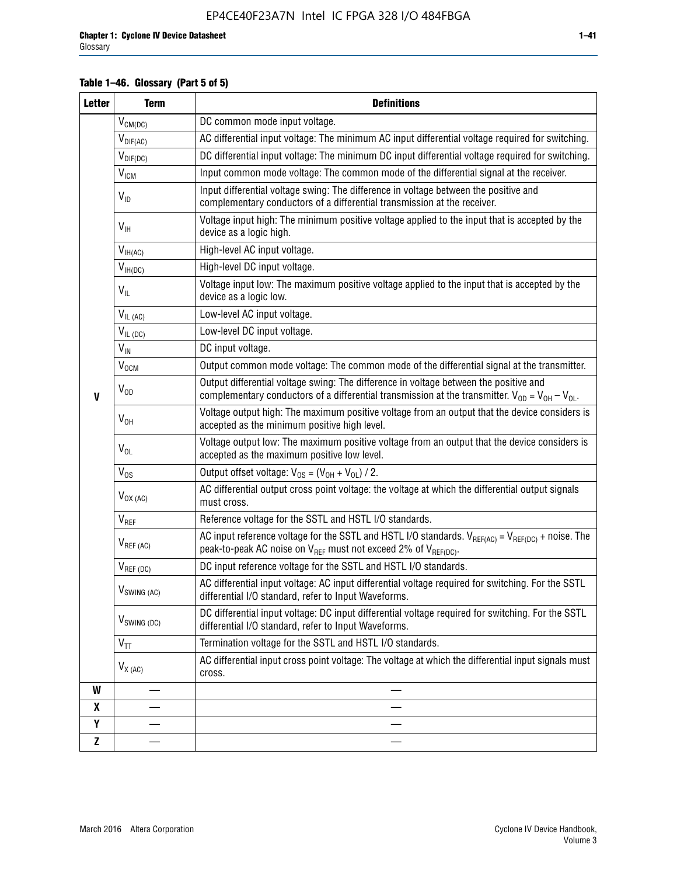#### **Table 1–46. Glossary (Part 5 of 5)**

| <b>Letter</b> | <b>Term</b>               | <b>Definitions</b>                                                                                                                                                                                |  |  |
|---------------|---------------------------|---------------------------------------------------------------------------------------------------------------------------------------------------------------------------------------------------|--|--|
|               | $V_{CM(DC)}$              | DC common mode input voltage.                                                                                                                                                                     |  |  |
|               | $V_{DIF(AC)}$             | AC differential input voltage: The minimum AC input differential voltage required for switching.                                                                                                  |  |  |
|               | $V_{DIF(DC)}$             | DC differential input voltage: The minimum DC input differential voltage required for switching.                                                                                                  |  |  |
|               | V <sub>ICM</sub>          | Input common mode voltage: The common mode of the differential signal at the receiver.                                                                                                            |  |  |
|               | $V_{ID}$                  | Input differential voltage swing: The difference in voltage between the positive and<br>complementary conductors of a differential transmission at the receiver.                                  |  |  |
|               | $V_{\text{IH}}$           | Voltage input high: The minimum positive voltage applied to the input that is accepted by the<br>device as a logic high.                                                                          |  |  |
|               | $V_{IH(AC)}$              | High-level AC input voltage.                                                                                                                                                                      |  |  |
|               | $V_{IH(DC)}$              | High-level DC input voltage.                                                                                                                                                                      |  |  |
|               | $V_{IL}$                  | Voltage input low: The maximum positive voltage applied to the input that is accepted by the<br>device as a logic low.                                                                            |  |  |
|               | $V_{IL(AC)}$              | Low-level AC input voltage.                                                                                                                                                                       |  |  |
|               | $V_{IL(DC)}$              | Low-level DC input voltage.                                                                                                                                                                       |  |  |
|               | $V_{\text{IN}}$           | DC input voltage.                                                                                                                                                                                 |  |  |
|               | $V_{OCM}$                 | Output common mode voltage: The common mode of the differential signal at the transmitter.                                                                                                        |  |  |
| $\mathbf{V}$  | $V_{OD}$                  | Output differential voltage swing: The difference in voltage between the positive and<br>complementary conductors of a differential transmission at the transmitter. $V_{OD} = V_{OH} - V_{OL}$ . |  |  |
|               | $V_{OH}$                  | Voltage output high: The maximum positive voltage from an output that the device considers is<br>accepted as the minimum positive high level.                                                     |  |  |
|               | $V_{OL}$                  | Voltage output low: The maximum positive voltage from an output that the device considers is<br>accepted as the maximum positive low level.                                                       |  |  |
|               | $V_{OS}$                  | Output offset voltage: $V_{OS} = (V_{OH} + V_{OL}) / 2$ .                                                                                                                                         |  |  |
|               | $V_{OX(AC)}$              | AC differential output cross point voltage: the voltage at which the differential output signals<br>must cross.                                                                                   |  |  |
|               | $V_{REF}$                 | Reference voltage for the SSTL and HSTL I/O standards.                                                                                                                                            |  |  |
|               | $V_{REF\,(AC)}$           | AC input reference voltage for the SSTL and HSTL I/O standards. $V_{REF(AC)} = V_{REF(DC)} +$ noise. The<br>peak-to-peak AC noise on $V_{REF}$ must not exceed 2% of $V_{REF(DC)}$ .              |  |  |
|               | $V_{REF(DC)}$             | DC input reference voltage for the SSTL and HSTL I/O standards.                                                                                                                                   |  |  |
|               | $V_{\textrm{SWING (AC)}}$ | AC differential input voltage: AC input differential voltage required for switching. For the SSTL<br>differential I/O standard, refer to Input Waveforms.                                         |  |  |
|               | $V_{SWING (DC)}$          | DC differential input voltage: DC input differential voltage required for switching. For the SSTL<br>differential I/O standard, refer to Input Waveforms.                                         |  |  |
|               | $\text{V}_{\text{TT}}$    | Termination voltage for the SSTL and HSTL I/O standards.                                                                                                                                          |  |  |
|               | $V_{X (AC)}$              | AC differential input cross point voltage: The voltage at which the differential input signals must<br>cross.                                                                                     |  |  |
| W             |                           |                                                                                                                                                                                                   |  |  |
| X             |                           |                                                                                                                                                                                                   |  |  |
| Y             |                           |                                                                                                                                                                                                   |  |  |
| $\mathbf{Z}$  |                           |                                                                                                                                                                                                   |  |  |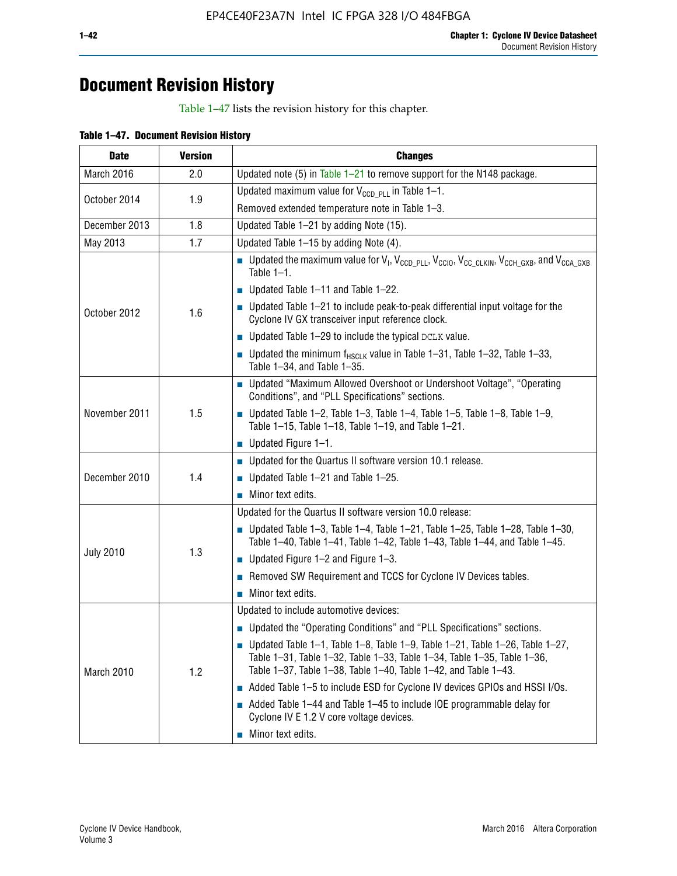# **Document Revision History**

Table 1–47 lists the revision history for this chapter.

| Table 1-47. Document Revision History |  |  |
|---------------------------------------|--|--|
|                                       |  |  |

| <b>Date</b>      | <b>Version</b> | <b>Changes</b>                                                                                                                                                                                                                            |
|------------------|----------------|-------------------------------------------------------------------------------------------------------------------------------------------------------------------------------------------------------------------------------------------|
| March 2016       | 2.0            | Updated note (5) in Table $1-21$ to remove support for the N148 package.                                                                                                                                                                  |
|                  | 1.9            | Updated maximum value for $V_{CCD, PL}$ in Table 1-1.                                                                                                                                                                                     |
| October 2014     |                | Removed extended temperature note in Table 1-3.                                                                                                                                                                                           |
| December 2013    | 1.8            | Updated Table 1-21 by adding Note (15).                                                                                                                                                                                                   |
| May 2013         | 1.7            | Updated Table 1-15 by adding Note (4).                                                                                                                                                                                                    |
|                  |                | Dpdated the maximum value for $V_1$ , $V_{CCD\_PLL}$ , $V_{CC10}$ , $V_{CC\_CLKIN}$ , $V_{CCH\_GXB}$ , and $V_{CCA\_GXB}$<br>Table $1-1$ .                                                                                                |
|                  |                | $\blacksquare$ Updated Table 1-11 and Table 1-22.                                                                                                                                                                                         |
| October 2012     | 1.6            | $\blacksquare$ Updated Table 1-21 to include peak-to-peak differential input voltage for the<br>Cyclone IV GX transceiver input reference clock.                                                                                          |
|                  |                | $\blacksquare$ Updated Table 1-29 to include the typical DCLK value.                                                                                                                                                                      |
|                  |                | <b>Updated the minimum f<sub>HSCLK</sub></b> value in Table 1-31, Table 1-32, Table 1-33,<br>Table 1-34, and Table 1-35.                                                                                                                  |
|                  | 1.5            | • Updated "Maximum Allowed Overshoot or Undershoot Voltage", "Operating<br>Conditions", and "PLL Specifications" sections.                                                                                                                |
| November 2011    |                | Updated Table 1-2, Table 1-3, Table 1-4, Table 1-5, Table 1-8, Table 1-9,<br>Table 1-15, Table 1-18, Table 1-19, and Table 1-21.                                                                                                          |
|                  |                | ■ Updated Figure $1-1$ .                                                                                                                                                                                                                  |
|                  |                | • Updated for the Quartus II software version 10.1 release.                                                                                                                                                                               |
| December 2010    | 1.4            | $\blacksquare$ Updated Table 1-21 and Table 1-25.                                                                                                                                                                                         |
|                  |                | $\blacksquare$ Minor text edits.                                                                                                                                                                                                          |
|                  | 1.3            | Updated for the Quartus II software version 10.0 release:                                                                                                                                                                                 |
|                  |                | Updated Table 1-3, Table 1-4, Table 1-21, Table 1-25, Table 1-28, Table 1-30,<br>Table 1-40, Table 1-41, Table 1-42, Table 1-43, Table 1-44, and Table 1-45.                                                                              |
| <b>July 2010</b> |                | ■ Updated Figure $1-2$ and Figure $1-3$ .                                                                                                                                                                                                 |
|                  |                | Removed SW Requirement and TCCS for Cyclone IV Devices tables.                                                                                                                                                                            |
|                  |                | $\blacksquare$ Minor text edits.                                                                                                                                                                                                          |
|                  |                | Updated to include automotive devices:                                                                                                                                                                                                    |
|                  | 1.2            | • Updated the "Operating Conditions" and "PLL Specifications" sections.                                                                                                                                                                   |
| March 2010       |                | $\blacksquare$ Updated Table 1-1, Table 1-8, Table 1-9, Table 1-21, Table 1-26, Table 1-27,<br>Table 1-31, Table 1-32, Table 1-33, Table 1-34, Table 1-35, Table 1-36,<br>Table 1-37, Table 1-38, Table 1-40, Table 1-42, and Table 1-43. |
|                  |                | Added Table 1-5 to include ESD for Cyclone IV devices GPIOs and HSSI I/Os.                                                                                                                                                                |
|                  |                | Added Table 1-44 and Table 1-45 to include IOE programmable delay for<br>Cyclone IV E 1.2 V core voltage devices.                                                                                                                         |
|                  |                | Minor text edits.                                                                                                                                                                                                                         |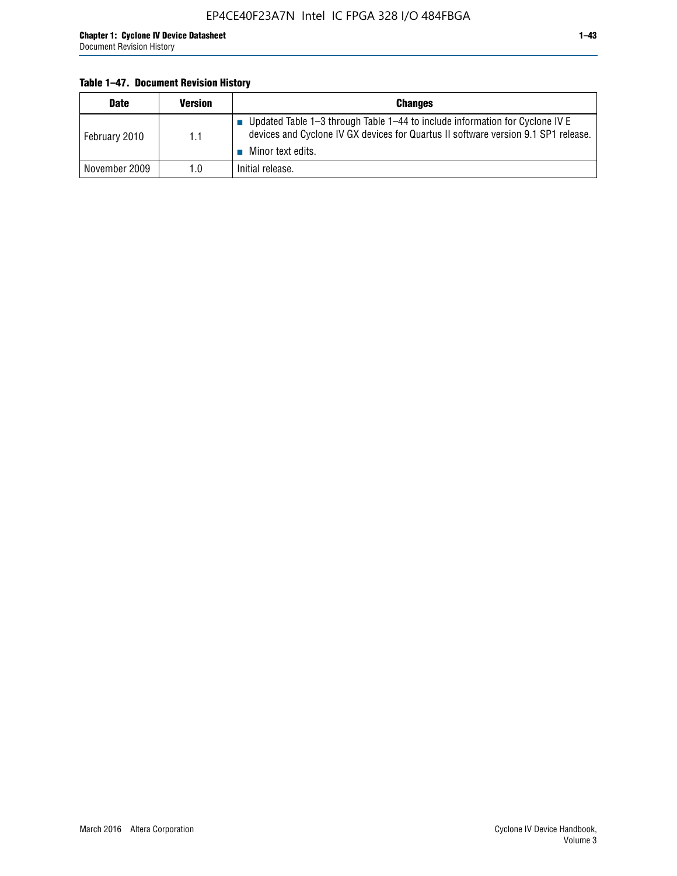#### **Table 1–47. Document Revision History**

| <b>Date</b>   | <b>Version</b> | <b>Changes</b>                                                                                                                                                                          |
|---------------|----------------|-----------------------------------------------------------------------------------------------------------------------------------------------------------------------------------------|
| February 2010 | 1.1            | Updated Table 1-3 through Table 1-44 to include information for Cyclone IV E<br>devices and Cyclone IV GX devices for Quartus II software version 9.1 SP1 release.<br>Minor text edits. |
| November 2009 | 1.0            | Initial release.                                                                                                                                                                        |